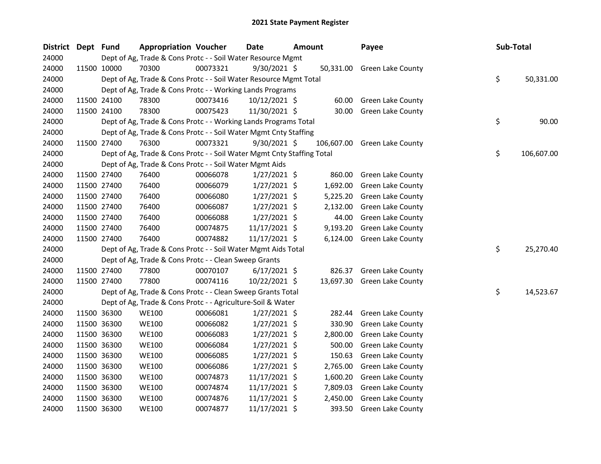| <b>District</b> | Dept Fund |             | <b>Appropriation Voucher</b>                                           |          | Date           | <b>Amount</b> |          | Payee                        | Sub-Total |            |
|-----------------|-----------|-------------|------------------------------------------------------------------------|----------|----------------|---------------|----------|------------------------------|-----------|------------|
| 24000           |           |             | Dept of Ag, Trade & Cons Protc - - Soil Water Resource Mgmt            |          |                |               |          |                              |           |            |
| 24000           |           | 11500 10000 | 70300                                                                  | 00073321 | 9/30/2021 \$   |               |          | 50,331.00 Green Lake County  |           |            |
| 24000           |           |             | Dept of Ag, Trade & Cons Protc - - Soil Water Resource Mgmt Total      |          |                |               |          |                              | \$        | 50,331.00  |
| 24000           |           |             | Dept of Ag, Trade & Cons Protc - - Working Lands Programs              |          |                |               |          |                              |           |            |
| 24000           |           | 11500 24100 | 78300                                                                  | 00073416 | 10/12/2021 \$  |               | 60.00    | Green Lake County            |           |            |
| 24000           |           | 11500 24100 | 78300                                                                  | 00075423 | 11/30/2021 \$  |               | 30.00    | <b>Green Lake County</b>     |           |            |
| 24000           |           |             | Dept of Ag, Trade & Cons Protc - - Working Lands Programs Total        |          |                |               |          |                              | \$        | 90.00      |
| 24000           |           |             | Dept of Ag, Trade & Cons Protc - - Soil Water Mgmt Cnty Staffing       |          |                |               |          |                              |           |            |
| 24000           |           | 11500 27400 | 76300                                                                  | 00073321 | 9/30/2021 \$   |               |          | 106,607.00 Green Lake County |           |            |
| 24000           |           |             | Dept of Ag, Trade & Cons Protc - - Soil Water Mgmt Cnty Staffing Total |          |                |               |          |                              | \$        | 106,607.00 |
| 24000           |           |             | Dept of Ag, Trade & Cons Protc - - Soil Water Mgmt Aids                |          |                |               |          |                              |           |            |
| 24000           |           | 11500 27400 | 76400                                                                  | 00066078 | 1/27/2021 \$   |               | 860.00   | Green Lake County            |           |            |
| 24000           |           | 11500 27400 | 76400                                                                  | 00066079 | $1/27/2021$ \$ |               | 1,692.00 | Green Lake County            |           |            |
| 24000           |           | 11500 27400 | 76400                                                                  | 00066080 | $1/27/2021$ \$ |               | 5,225.20 | Green Lake County            |           |            |
| 24000           |           | 11500 27400 | 76400                                                                  | 00066087 | $1/27/2021$ \$ |               | 2,132.00 | <b>Green Lake County</b>     |           |            |
| 24000           |           | 11500 27400 | 76400                                                                  | 00066088 | $1/27/2021$ \$ |               | 44.00    | Green Lake County            |           |            |
| 24000           |           | 11500 27400 | 76400                                                                  | 00074875 | 11/17/2021 \$  |               | 9,193.20 | <b>Green Lake County</b>     |           |            |
| 24000           |           | 11500 27400 | 76400                                                                  | 00074882 | 11/17/2021 \$  |               |          | 6,124.00 Green Lake County   |           |            |
| 24000           |           |             | Dept of Ag, Trade & Cons Protc - - Soil Water Mgmt Aids Total          |          |                |               |          |                              | \$        | 25,270.40  |
| 24000           |           |             | Dept of Ag, Trade & Cons Protc - - Clean Sweep Grants                  |          |                |               |          |                              |           |            |
| 24000           |           | 11500 27400 | 77800                                                                  | 00070107 | $6/17/2021$ \$ |               | 826.37   | <b>Green Lake County</b>     |           |            |
| 24000           |           | 11500 27400 | 77800                                                                  | 00074116 | 10/22/2021 \$  |               |          | 13,697.30 Green Lake County  |           |            |
| 24000           |           |             | Dept of Ag, Trade & Cons Protc - - Clean Sweep Grants Total            |          |                |               |          |                              | \$        | 14,523.67  |
| 24000           |           |             | Dept of Ag, Trade & Cons Protc - - Agriculture-Soil & Water            |          |                |               |          |                              |           |            |
| 24000           |           | 11500 36300 | <b>WE100</b>                                                           | 00066081 | $1/27/2021$ \$ |               | 282.44   | <b>Green Lake County</b>     |           |            |
| 24000           |           | 11500 36300 | <b>WE100</b>                                                           | 00066082 | $1/27/2021$ \$ |               | 330.90   | Green Lake County            |           |            |
| 24000           |           | 11500 36300 | <b>WE100</b>                                                           | 00066083 | $1/27/2021$ \$ |               | 2,800.00 | <b>Green Lake County</b>     |           |            |
| 24000           |           | 11500 36300 | <b>WE100</b>                                                           | 00066084 | $1/27/2021$ \$ |               | 500.00   | Green Lake County            |           |            |
| 24000           |           | 11500 36300 | <b>WE100</b>                                                           | 00066085 | 1/27/2021 \$   |               | 150.63   | Green Lake County            |           |            |
| 24000           |           | 11500 36300 | <b>WE100</b>                                                           | 00066086 | $1/27/2021$ \$ |               | 2,765.00 | <b>Green Lake County</b>     |           |            |
| 24000           |           | 11500 36300 | <b>WE100</b>                                                           | 00074873 | 11/17/2021 \$  |               | 1,600.20 | Green Lake County            |           |            |
| 24000           |           | 11500 36300 | <b>WE100</b>                                                           | 00074874 | 11/17/2021 \$  |               | 7,809.03 | Green Lake County            |           |            |
| 24000           |           | 11500 36300 | <b>WE100</b>                                                           | 00074876 | 11/17/2021 \$  |               | 2,450.00 | Green Lake County            |           |            |
| 24000           |           | 11500 36300 | <b>WE100</b>                                                           | 00074877 | 11/17/2021 \$  |               | 393.50   | <b>Green Lake County</b>     |           |            |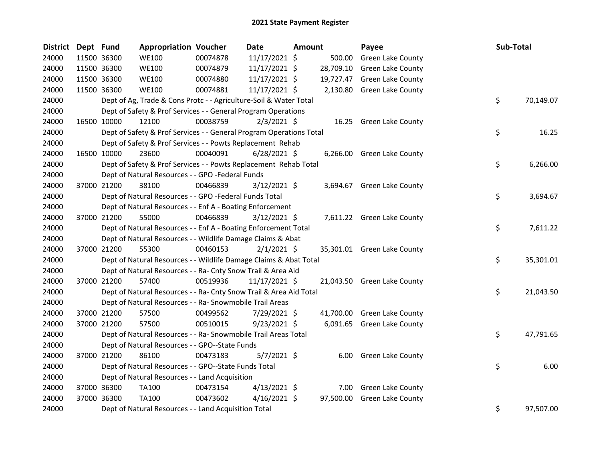| <b>District</b> | Dept Fund |             | <b>Appropriation Voucher</b>                                        |          | <b>Date</b>    | Amount |           | Payee                       | Sub-Total |           |
|-----------------|-----------|-------------|---------------------------------------------------------------------|----------|----------------|--------|-----------|-----------------------------|-----------|-----------|
| 24000           |           | 11500 36300 | <b>WE100</b>                                                        | 00074878 | 11/17/2021 \$  |        | 500.00    | Green Lake County           |           |           |
| 24000           |           | 11500 36300 | <b>WE100</b>                                                        | 00074879 | 11/17/2021 \$  |        | 28,709.10 | Green Lake County           |           |           |
| 24000           |           | 11500 36300 | <b>WE100</b>                                                        | 00074880 | 11/17/2021 \$  |        |           | 19,727.47 Green Lake County |           |           |
| 24000           |           | 11500 36300 | <b>WE100</b>                                                        | 00074881 | 11/17/2021 \$  |        |           | 2,130.80 Green Lake County  |           |           |
| 24000           |           |             | Dept of Ag, Trade & Cons Protc - - Agriculture-Soil & Water Total   |          |                |        |           |                             | \$        | 70,149.07 |
| 24000           |           |             | Dept of Safety & Prof Services - - General Program Operations       |          |                |        |           |                             |           |           |
| 24000           |           | 16500 10000 | 12100                                                               | 00038759 | $2/3/2021$ \$  |        |           | 16.25 Green Lake County     |           |           |
| 24000           |           |             | Dept of Safety & Prof Services - - General Program Operations Total |          |                |        |           |                             | \$        | 16.25     |
| 24000           |           |             | Dept of Safety & Prof Services - - Powts Replacement Rehab          |          |                |        |           |                             |           |           |
| 24000           |           | 16500 10000 | 23600                                                               | 00040091 | $6/28/2021$ \$ |        |           | 6,266.00 Green Lake County  |           |           |
| 24000           |           |             | Dept of Safety & Prof Services - - Powts Replacement Rehab Total    |          |                |        |           |                             | \$        | 6,266.00  |
| 24000           |           |             | Dept of Natural Resources - - GPO -Federal Funds                    |          |                |        |           |                             |           |           |
| 24000           |           | 37000 21200 | 38100                                                               | 00466839 | $3/12/2021$ \$ |        |           | 3,694.67 Green Lake County  |           |           |
| 24000           |           |             | Dept of Natural Resources - - GPO -Federal Funds Total              |          |                |        |           |                             | \$        | 3,694.67  |
| 24000           |           |             | Dept of Natural Resources - - Enf A - Boating Enforcement           |          |                |        |           |                             |           |           |
| 24000           |           | 37000 21200 | 55000                                                               | 00466839 | $3/12/2021$ \$ |        |           | 7,611.22 Green Lake County  |           |           |
| 24000           |           |             | Dept of Natural Resources - - Enf A - Boating Enforcement Total     |          |                |        |           |                             | \$        | 7,611.22  |
| 24000           |           |             | Dept of Natural Resources - - Wildlife Damage Claims & Abat         |          |                |        |           |                             |           |           |
| 24000           |           | 37000 21200 | 55300                                                               | 00460153 | $2/1/2021$ \$  |        |           | 35,301.01 Green Lake County |           |           |
| 24000           |           |             | Dept of Natural Resources - - Wildlife Damage Claims & Abat Total   |          |                |        |           |                             | \$        | 35,301.01 |
| 24000           |           |             | Dept of Natural Resources - - Ra- Cnty Snow Trail & Area Aid        |          |                |        |           |                             |           |           |
| 24000           |           | 37000 21200 | 57400                                                               | 00519936 | 11/17/2021 \$  |        |           | 21,043.50 Green Lake County |           |           |
| 24000           |           |             | Dept of Natural Resources - - Ra- Cnty Snow Trail & Area Aid Total  |          |                |        |           |                             | \$        | 21,043.50 |
| 24000           |           |             | Dept of Natural Resources - - Ra- Snowmobile Trail Areas            |          |                |        |           |                             |           |           |
| 24000           |           | 37000 21200 | 57500                                                               | 00499562 | 7/29/2021 \$   |        |           | 41,700.00 Green Lake County |           |           |
| 24000           |           | 37000 21200 | 57500                                                               | 00510015 | $9/23/2021$ \$ |        |           | 6,091.65 Green Lake County  |           |           |
| 24000           |           |             | Dept of Natural Resources - - Ra- Snowmobile Trail Areas Total      |          |                |        |           |                             | \$        | 47,791.65 |
| 24000           |           |             | Dept of Natural Resources - - GPO--State Funds                      |          |                |        |           |                             |           |           |
| 24000           |           | 37000 21200 | 86100                                                               | 00473183 | 5/7/2021 \$    |        |           | 6.00 Green Lake County      |           |           |
| 24000           |           |             | Dept of Natural Resources - - GPO--State Funds Total                |          |                |        |           |                             | \$        | 6.00      |
| 24000           |           |             | Dept of Natural Resources - - Land Acquisition                      |          |                |        |           |                             |           |           |
| 24000           |           | 37000 36300 | TA100                                                               | 00473154 | $4/13/2021$ \$ |        |           | 7.00 Green Lake County      |           |           |
| 24000           |           | 37000 36300 | TA100                                                               | 00473602 | $4/16/2021$ \$ |        | 97,500.00 | Green Lake County           |           |           |
| 24000           |           |             | Dept of Natural Resources - - Land Acquisition Total                |          |                |        |           |                             | \$        | 97,507.00 |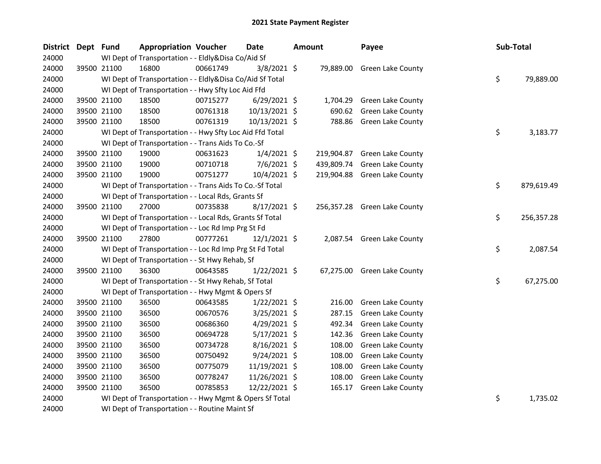| District Dept Fund |             | <b>Appropriation Voucher</b>                             |          | Date           | <b>Amount</b> |          | Payee                        | Sub-Total |            |
|--------------------|-------------|----------------------------------------------------------|----------|----------------|---------------|----------|------------------------------|-----------|------------|
| 24000              |             | WI Dept of Transportation - - Eldly&Disa Co/Aid Sf       |          |                |               |          |                              |           |            |
| 24000              | 39500 21100 | 16800                                                    | 00661749 | 3/8/2021 \$    |               |          | 79,889.00 Green Lake County  |           |            |
| 24000              |             | WI Dept of Transportation - - Eldly&Disa Co/Aid Sf Total |          |                |               |          |                              | \$        | 79,889.00  |
| 24000              |             | WI Dept of Transportation - - Hwy Sfty Loc Aid Ffd       |          |                |               |          |                              |           |            |
| 24000              | 39500 21100 | 18500                                                    | 00715277 | $6/29/2021$ \$ |               | 1,704.29 | Green Lake County            |           |            |
| 24000              | 39500 21100 | 18500                                                    | 00761318 | 10/13/2021 \$  |               | 690.62   | Green Lake County            |           |            |
| 24000              | 39500 21100 | 18500                                                    | 00761319 | 10/13/2021 \$  |               | 788.86   | <b>Green Lake County</b>     |           |            |
| 24000              |             | WI Dept of Transportation - - Hwy Sfty Loc Aid Ffd Total |          |                |               |          |                              | \$        | 3,183.77   |
| 24000              |             | WI Dept of Transportation - - Trans Aids To Co.-Sf       |          |                |               |          |                              |           |            |
| 24000              | 39500 21100 | 19000                                                    | 00631623 | $1/4/2021$ \$  |               |          | 219,904.87 Green Lake County |           |            |
| 24000              | 39500 21100 | 19000                                                    | 00710718 | 7/6/2021 \$    |               |          | 439,809.74 Green Lake County |           |            |
| 24000              | 39500 21100 | 19000                                                    | 00751277 | 10/4/2021 \$   |               |          | 219,904.88 Green Lake County |           |            |
| 24000              |             | WI Dept of Transportation - - Trans Aids To Co.-Sf Total |          |                |               |          |                              | \$        | 879,619.49 |
| 24000              |             | WI Dept of Transportation - - Local Rds, Grants Sf       |          |                |               |          |                              |           |            |
| 24000              | 39500 21100 | 27000                                                    | 00735838 | $8/17/2021$ \$ |               |          | 256,357.28 Green Lake County |           |            |
| 24000              |             | WI Dept of Transportation - - Local Rds, Grants Sf Total |          |                |               |          |                              | \$        | 256,357.28 |
| 24000              |             | WI Dept of Transportation - - Loc Rd Imp Prg St Fd       |          |                |               |          |                              |           |            |
| 24000              | 39500 21100 | 27800                                                    | 00777261 | $12/1/2021$ \$ |               |          | 2,087.54 Green Lake County   |           |            |
| 24000              |             | WI Dept of Transportation - - Loc Rd Imp Prg St Fd Total |          |                |               |          |                              | \$        | 2,087.54   |
| 24000              |             | WI Dept of Transportation - - St Hwy Rehab, Sf           |          |                |               |          |                              |           |            |
| 24000              | 39500 21100 | 36300                                                    | 00643585 | $1/22/2021$ \$ |               |          | 67,275.00 Green Lake County  |           |            |
| 24000              |             | WI Dept of Transportation - - St Hwy Rehab, Sf Total     |          |                |               |          |                              | \$        | 67,275.00  |
| 24000              |             | WI Dept of Transportation - - Hwy Mgmt & Opers Sf        |          |                |               |          |                              |           |            |
| 24000              | 39500 21100 | 36500                                                    | 00643585 | $1/22/2021$ \$ |               | 216.00   | Green Lake County            |           |            |
| 24000              | 39500 21100 | 36500                                                    | 00670576 | 3/25/2021 \$   |               | 287.15   | Green Lake County            |           |            |
| 24000              | 39500 21100 | 36500                                                    | 00686360 | 4/29/2021 \$   |               | 492.34   | Green Lake County            |           |            |
| 24000              | 39500 21100 | 36500                                                    | 00694728 | $5/17/2021$ \$ |               | 142.36   | Green Lake County            |           |            |
| 24000              | 39500 21100 | 36500                                                    | 00734728 | 8/16/2021 \$   |               | 108.00   | Green Lake County            |           |            |
| 24000              | 39500 21100 | 36500                                                    | 00750492 | 9/24/2021 \$   |               | 108.00   | Green Lake County            |           |            |
| 24000              | 39500 21100 | 36500                                                    | 00775079 | 11/19/2021 \$  |               | 108.00   | Green Lake County            |           |            |
| 24000              | 39500 21100 | 36500                                                    | 00778247 | 11/26/2021 \$  |               | 108.00   | Green Lake County            |           |            |
| 24000              | 39500 21100 | 36500                                                    | 00785853 | 12/22/2021 \$  |               |          | 165.17 Green Lake County     |           |            |
| 24000              |             | WI Dept of Transportation - - Hwy Mgmt & Opers Sf Total  |          |                |               |          |                              | \$        | 1,735.02   |
| 24000              |             | WI Dept of Transportation - - Routine Maint Sf           |          |                |               |          |                              |           |            |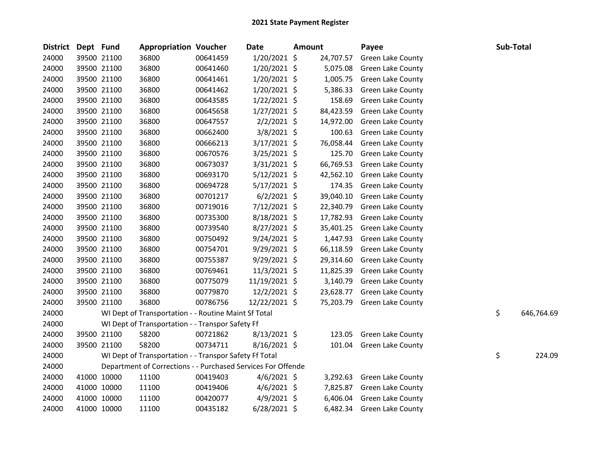| <b>District</b> | Dept Fund |             | <b>Appropriation Voucher</b>                                 |          | <b>Date</b>    | <b>Amount</b> |           | Payee                    | Sub-Total        |
|-----------------|-----------|-------------|--------------------------------------------------------------|----------|----------------|---------------|-----------|--------------------------|------------------|
| 24000           |           | 39500 21100 | 36800                                                        | 00641459 | 1/20/2021 \$   |               | 24,707.57 | Green Lake County        |                  |
| 24000           |           | 39500 21100 | 36800                                                        | 00641460 | 1/20/2021 \$   |               | 5,075.08  | Green Lake County        |                  |
| 24000           |           | 39500 21100 | 36800                                                        | 00641461 | $1/20/2021$ \$ |               | 1,005.75  | <b>Green Lake County</b> |                  |
| 24000           |           | 39500 21100 | 36800                                                        | 00641462 | $1/20/2021$ \$ |               | 5,386.33  | <b>Green Lake County</b> |                  |
| 24000           |           | 39500 21100 | 36800                                                        | 00643585 | $1/22/2021$ \$ |               | 158.69    | <b>Green Lake County</b> |                  |
| 24000           |           | 39500 21100 | 36800                                                        | 00645658 | $1/27/2021$ \$ |               | 84,423.59 | <b>Green Lake County</b> |                  |
| 24000           |           | 39500 21100 | 36800                                                        | 00647557 | $2/2/2021$ \$  |               | 14,972.00 | Green Lake County        |                  |
| 24000           |           | 39500 21100 | 36800                                                        | 00662400 | 3/8/2021 \$    |               | 100.63    | Green Lake County        |                  |
| 24000           |           | 39500 21100 | 36800                                                        | 00666213 | 3/17/2021 \$   |               | 76,058.44 | <b>Green Lake County</b> |                  |
| 24000           |           | 39500 21100 | 36800                                                        | 00670576 | 3/25/2021 \$   |               | 125.70    | <b>Green Lake County</b> |                  |
| 24000           |           | 39500 21100 | 36800                                                        | 00673037 | 3/31/2021 \$   |               | 66,769.53 | Green Lake County        |                  |
| 24000           |           | 39500 21100 | 36800                                                        | 00693170 | $5/12/2021$ \$ |               | 42,562.10 | <b>Green Lake County</b> |                  |
| 24000           |           | 39500 21100 | 36800                                                        | 00694728 | $5/17/2021$ \$ |               | 174.35    | Green Lake County        |                  |
| 24000           |           | 39500 21100 | 36800                                                        | 00701217 | $6/2/2021$ \$  |               | 39,040.10 | <b>Green Lake County</b> |                  |
| 24000           |           | 39500 21100 | 36800                                                        | 00719016 | 7/12/2021 \$   |               | 22,340.79 | Green Lake County        |                  |
| 24000           |           | 39500 21100 | 36800                                                        | 00735300 | $8/18/2021$ \$ |               | 17,782.93 | Green Lake County        |                  |
| 24000           |           | 39500 21100 | 36800                                                        | 00739540 | 8/27/2021 \$   |               | 35,401.25 | <b>Green Lake County</b> |                  |
| 24000           |           | 39500 21100 | 36800                                                        | 00750492 | $9/24/2021$ \$ |               | 1,447.93  | Green Lake County        |                  |
| 24000           |           | 39500 21100 | 36800                                                        | 00754701 | $9/29/2021$ \$ |               | 66,118.59 | Green Lake County        |                  |
| 24000           |           | 39500 21100 | 36800                                                        | 00755387 | $9/29/2021$ \$ |               | 29,314.60 | <b>Green Lake County</b> |                  |
| 24000           |           | 39500 21100 | 36800                                                        | 00769461 | $11/3/2021$ \$ |               | 11,825.39 | <b>Green Lake County</b> |                  |
| 24000           |           | 39500 21100 | 36800                                                        | 00775079 | 11/19/2021 \$  |               | 3,140.79  | Green Lake County        |                  |
| 24000           |           | 39500 21100 | 36800                                                        | 00779870 | $12/2/2021$ \$ |               | 23,628.77 | <b>Green Lake County</b> |                  |
| 24000           |           | 39500 21100 | 36800                                                        | 00786756 | 12/22/2021 \$  |               | 75,203.79 | Green Lake County        |                  |
| 24000           |           |             | WI Dept of Transportation - - Routine Maint Sf Total         |          |                |               |           |                          | \$<br>646,764.69 |
| 24000           |           |             | WI Dept of Transportation - - Transpor Safety Ff             |          |                |               |           |                          |                  |
| 24000           |           | 39500 21100 | 58200                                                        | 00721862 | 8/13/2021 \$   |               | 123.05    | Green Lake County        |                  |
| 24000           |           | 39500 21100 | 58200                                                        | 00734711 | $8/16/2021$ \$ |               |           | 101.04 Green Lake County |                  |
| 24000           |           |             | WI Dept of Transportation - - Transpor Safety Ff Total       |          |                |               |           |                          | \$<br>224.09     |
| 24000           |           |             | Department of Corrections - - Purchased Services For Offende |          |                |               |           |                          |                  |
| 24000           |           | 41000 10000 | 11100                                                        | 00419403 | $4/6/2021$ \$  |               | 3,292.63  | Green Lake County        |                  |
| 24000           |           | 41000 10000 | 11100                                                        | 00419406 | $4/6/2021$ \$  |               | 7,825.87  | <b>Green Lake County</b> |                  |
| 24000           |           | 41000 10000 | 11100                                                        | 00420077 | $4/9/2021$ \$  |               | 6,406.04  | Green Lake County        |                  |
| 24000           |           | 41000 10000 | 11100                                                        | 00435182 | 6/28/2021 \$   |               | 6,482.34  | <b>Green Lake County</b> |                  |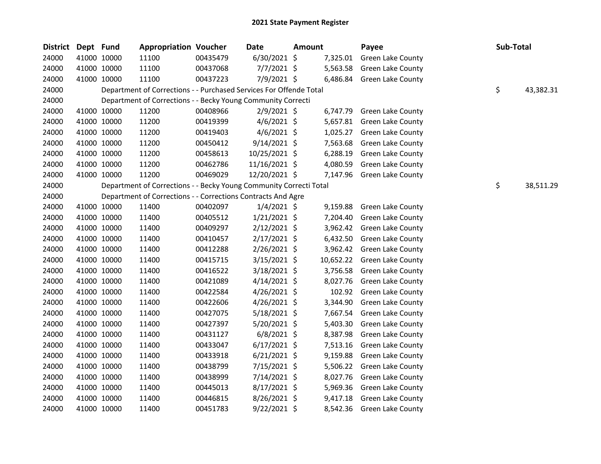| <b>District</b> | Dept Fund |             | <b>Appropriation Voucher</b>                                       |          | Date           | <b>Amount</b> |           | Payee                      | Sub-Total |           |
|-----------------|-----------|-------------|--------------------------------------------------------------------|----------|----------------|---------------|-----------|----------------------------|-----------|-----------|
| 24000           |           | 41000 10000 | 11100                                                              | 00435479 | $6/30/2021$ \$ |               | 7,325.01  | Green Lake County          |           |           |
| 24000           |           | 41000 10000 | 11100                                                              | 00437068 | 7/7/2021 \$    |               | 5,563.58  | <b>Green Lake County</b>   |           |           |
| 24000           |           | 41000 10000 | 11100                                                              | 00437223 | 7/9/2021 \$    |               |           | 6,486.84 Green Lake County |           |           |
| 24000           |           |             | Department of Corrections - - Purchased Services For Offende Total |          |                |               |           |                            | \$        | 43,382.31 |
| 24000           |           |             | Department of Corrections - - Becky Young Community Correcti       |          |                |               |           |                            |           |           |
| 24000           |           | 41000 10000 | 11200                                                              | 00408966 | $2/9/2021$ \$  |               | 6,747.79  | <b>Green Lake County</b>   |           |           |
| 24000           |           | 41000 10000 | 11200                                                              | 00419399 | $4/6/2021$ \$  |               | 5,657.81  | <b>Green Lake County</b>   |           |           |
| 24000           |           | 41000 10000 | 11200                                                              | 00419403 | $4/6/2021$ \$  |               | 1,025.27  | Green Lake County          |           |           |
| 24000           |           | 41000 10000 | 11200                                                              | 00450412 | $9/14/2021$ \$ |               | 7,563.68  | <b>Green Lake County</b>   |           |           |
| 24000           |           | 41000 10000 | 11200                                                              | 00458613 | 10/25/2021 \$  |               | 6,288.19  | Green Lake County          |           |           |
| 24000           |           | 41000 10000 | 11200                                                              | 00462786 | 11/16/2021 \$  |               | 4,080.59  | Green Lake County          |           |           |
| 24000           |           | 41000 10000 | 11200                                                              | 00469029 | 12/20/2021 \$  |               | 7,147.96  | Green Lake County          |           |           |
| 24000           |           |             | Department of Corrections - - Becky Young Community Correcti Total |          |                |               |           |                            | \$        | 38,511.29 |
| 24000           |           |             | Department of Corrections - - Corrections Contracts And Agre       |          |                |               |           |                            |           |           |
| 24000           |           | 41000 10000 | 11400                                                              | 00402097 | $1/4/2021$ \$  |               | 9,159.88  | Green Lake County          |           |           |
| 24000           |           | 41000 10000 | 11400                                                              | 00405512 | $1/21/2021$ \$ |               | 7,204.40  | <b>Green Lake County</b>   |           |           |
| 24000           |           | 41000 10000 | 11400                                                              | 00409297 | $2/12/2021$ \$ |               | 3,962.42  | Green Lake County          |           |           |
| 24000           |           | 41000 10000 | 11400                                                              | 00410457 | $2/17/2021$ \$ |               | 6,432.50  | Green Lake County          |           |           |
| 24000           |           | 41000 10000 | 11400                                                              | 00412288 | 2/26/2021 \$   |               | 3,962.42  | <b>Green Lake County</b>   |           |           |
| 24000           |           | 41000 10000 | 11400                                                              | 00415715 | 3/15/2021 \$   |               | 10,652.22 | Green Lake County          |           |           |
| 24000           |           | 41000 10000 | 11400                                                              | 00416522 | $3/18/2021$ \$ |               | 3,756.58  | <b>Green Lake County</b>   |           |           |
| 24000           |           | 41000 10000 | 11400                                                              | 00421089 | $4/14/2021$ \$ |               | 8,027.76  | <b>Green Lake County</b>   |           |           |
| 24000           |           | 41000 10000 | 11400                                                              | 00422584 | 4/26/2021 \$   |               | 102.92    | <b>Green Lake County</b>   |           |           |
| 24000           |           | 41000 10000 | 11400                                                              | 00422606 | $4/26/2021$ \$ |               | 3,344.90  | <b>Green Lake County</b>   |           |           |
| 24000           |           | 41000 10000 | 11400                                                              | 00427075 | $5/18/2021$ \$ |               | 7,667.54  | Green Lake County          |           |           |
| 24000           |           | 41000 10000 | 11400                                                              | 00427397 | 5/20/2021 \$   |               | 5,403.30  | Green Lake County          |           |           |
| 24000           |           | 41000 10000 | 11400                                                              | 00431127 | $6/8/2021$ \$  |               | 8,387.98  | Green Lake County          |           |           |
| 24000           |           | 41000 10000 | 11400                                                              | 00433047 | $6/17/2021$ \$ |               | 7,513.16  | Green Lake County          |           |           |
| 24000           |           | 41000 10000 | 11400                                                              | 00433918 | $6/21/2021$ \$ |               | 9,159.88  | Green Lake County          |           |           |
| 24000           |           | 41000 10000 | 11400                                                              | 00438799 | 7/15/2021 \$   |               | 5,506.22  | Green Lake County          |           |           |
| 24000           |           | 41000 10000 | 11400                                                              | 00438999 | 7/14/2021 \$   |               | 8,027.76  | Green Lake County          |           |           |
| 24000           |           | 41000 10000 | 11400                                                              | 00445013 | $8/17/2021$ \$ |               | 5,969.36  | <b>Green Lake County</b>   |           |           |
| 24000           |           | 41000 10000 | 11400                                                              | 00446815 | $8/26/2021$ \$ |               | 9,417.18  | <b>Green Lake County</b>   |           |           |
| 24000           |           | 41000 10000 | 11400                                                              | 00451783 | 9/22/2021 \$   |               | 8,542.36  | <b>Green Lake County</b>   |           |           |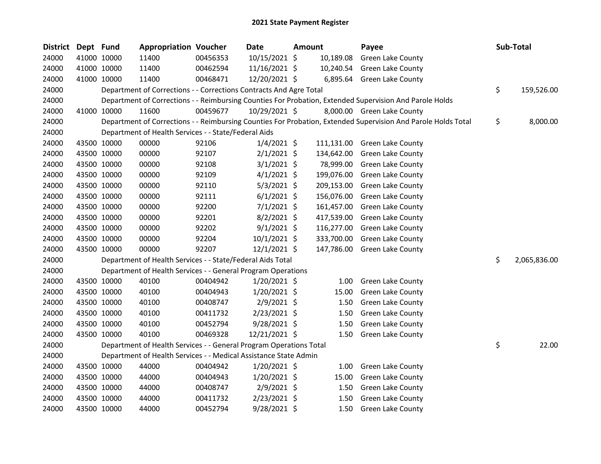| <b>District</b> | Dept Fund |             | <b>Appropriation Voucher</b>                                       |          | <b>Date</b>    | <b>Amount</b> |            | Payee                                                                                                         | Sub-Total          |
|-----------------|-----------|-------------|--------------------------------------------------------------------|----------|----------------|---------------|------------|---------------------------------------------------------------------------------------------------------------|--------------------|
| 24000           |           | 41000 10000 | 11400                                                              | 00456353 | 10/15/2021 \$  |               | 10,189.08  | Green Lake County                                                                                             |                    |
| 24000           |           | 41000 10000 | 11400                                                              | 00462594 | 11/16/2021 \$  |               |            | 10,240.54 Green Lake County                                                                                   |                    |
| 24000           |           | 41000 10000 | 11400                                                              | 00468471 | 12/20/2021 \$  |               |            | 6,895.64 Green Lake County                                                                                    |                    |
| 24000           |           |             | Department of Corrections - - Corrections Contracts And Agre Total |          |                |               |            |                                                                                                               | \$<br>159,526.00   |
| 24000           |           |             |                                                                    |          |                |               |            | Department of Corrections - - Reimbursing Counties For Probation, Extended Supervision And Parole Holds       |                    |
| 24000           |           | 41000 10000 | 11600                                                              | 00459677 | 10/29/2021 \$  |               |            | 8,000.00 Green Lake County                                                                                    |                    |
| 24000           |           |             |                                                                    |          |                |               |            | Department of Corrections - - Reimbursing Counties For Probation, Extended Supervision And Parole Holds Total | \$<br>8,000.00     |
| 24000           |           |             | Department of Health Services - - State/Federal Aids               |          |                |               |            |                                                                                                               |                    |
| 24000           |           | 43500 10000 | 00000                                                              | 92106    | $1/4/2021$ \$  |               | 111,131.00 | Green Lake County                                                                                             |                    |
| 24000           |           | 43500 10000 | 00000                                                              | 92107    | $2/1/2021$ \$  |               | 134,642.00 | Green Lake County                                                                                             |                    |
| 24000           |           | 43500 10000 | 00000                                                              | 92108    | $3/1/2021$ \$  |               | 78,999.00  | Green Lake County                                                                                             |                    |
| 24000           |           | 43500 10000 | 00000                                                              | 92109    | $4/1/2021$ \$  |               | 199,076.00 | Green Lake County                                                                                             |                    |
| 24000           |           | 43500 10000 | 00000                                                              | 92110    | $5/3/2021$ \$  |               | 209,153.00 | <b>Green Lake County</b>                                                                                      |                    |
| 24000           |           | 43500 10000 | 00000                                                              | 92111    | $6/1/2021$ \$  |               | 156,076.00 | Green Lake County                                                                                             |                    |
| 24000           |           | 43500 10000 | 00000                                                              | 92200    | $7/1/2021$ \$  |               | 161,457.00 | Green Lake County                                                                                             |                    |
| 24000           |           | 43500 10000 | 00000                                                              | 92201    | $8/2/2021$ \$  |               | 417,539.00 | Green Lake County                                                                                             |                    |
| 24000           |           | 43500 10000 | 00000                                                              | 92202    | $9/1/2021$ \$  |               | 116,277.00 | <b>Green Lake County</b>                                                                                      |                    |
| 24000           |           | 43500 10000 | 00000                                                              | 92204    | $10/1/2021$ \$ |               | 333,700.00 | Green Lake County                                                                                             |                    |
| 24000           |           | 43500 10000 | 00000                                                              | 92207    | 12/1/2021 \$   |               | 147,786.00 | Green Lake County                                                                                             |                    |
| 24000           |           |             | Department of Health Services - - State/Federal Aids Total         |          |                |               |            |                                                                                                               | \$<br>2,065,836.00 |
| 24000           |           |             | Department of Health Services - - General Program Operations       |          |                |               |            |                                                                                                               |                    |
| 24000           |           | 43500 10000 | 40100                                                              | 00404942 | $1/20/2021$ \$ |               | 1.00       | Green Lake County                                                                                             |                    |
| 24000           |           | 43500 10000 | 40100                                                              | 00404943 | 1/20/2021 \$   |               | 15.00      | Green Lake County                                                                                             |                    |
| 24000           |           | 43500 10000 | 40100                                                              | 00408747 | 2/9/2021 \$    |               | 1.50       | <b>Green Lake County</b>                                                                                      |                    |
| 24000           |           | 43500 10000 | 40100                                                              | 00411732 | 2/23/2021 \$   |               | 1.50       | <b>Green Lake County</b>                                                                                      |                    |
| 24000           |           | 43500 10000 | 40100                                                              | 00452794 | 9/28/2021 \$   |               | 1.50       | Green Lake County                                                                                             |                    |
| 24000           |           | 43500 10000 | 40100                                                              | 00469328 | 12/21/2021 \$  |               | 1.50       | <b>Green Lake County</b>                                                                                      |                    |
| 24000           |           |             | Department of Health Services - - General Program Operations Total |          |                |               |            |                                                                                                               | \$<br>22.00        |
| 24000           |           |             | Department of Health Services - - Medical Assistance State Admin   |          |                |               |            |                                                                                                               |                    |
| 24000           |           | 43500 10000 | 44000                                                              | 00404942 | 1/20/2021 \$   |               | 1.00       | Green Lake County                                                                                             |                    |
| 24000           |           | 43500 10000 | 44000                                                              | 00404943 | 1/20/2021 \$   |               | 15.00      | Green Lake County                                                                                             |                    |
| 24000           |           | 43500 10000 | 44000                                                              | 00408747 | $2/9/2021$ \$  |               | 1.50       | Green Lake County                                                                                             |                    |
| 24000           |           | 43500 10000 | 44000                                                              | 00411732 | 2/23/2021 \$   |               | 1.50       | Green Lake County                                                                                             |                    |
| 24000           |           | 43500 10000 | 44000                                                              | 00452794 | 9/28/2021 \$   |               | 1.50       | <b>Green Lake County</b>                                                                                      |                    |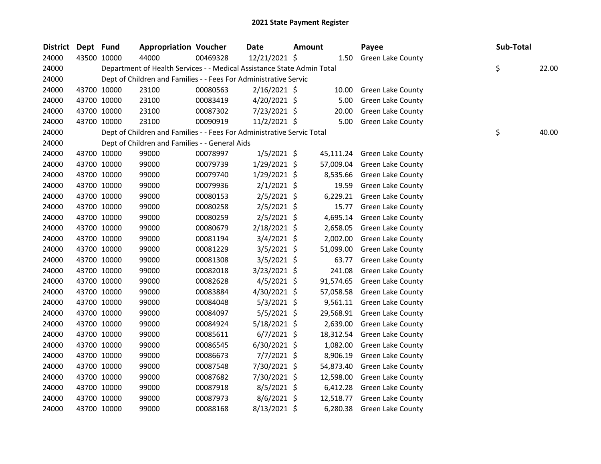| <b>District</b> | Dept Fund   |             | <b>Appropriation Voucher</b>                                           |          | Date           | <b>Amount</b> |           | Payee                    | Sub-Total |       |
|-----------------|-------------|-------------|------------------------------------------------------------------------|----------|----------------|---------------|-----------|--------------------------|-----------|-------|
| 24000           |             | 43500 10000 | 44000                                                                  | 00469328 | 12/21/2021 \$  |               | 1.50      | Green Lake County        |           |       |
| 24000           |             |             | Department of Health Services - - Medical Assistance State Admin Total |          |                |               |           |                          | \$        | 22.00 |
| 24000           |             |             | Dept of Children and Families - - Fees For Administrative Servic       |          |                |               |           |                          |           |       |
| 24000           |             | 43700 10000 | 23100                                                                  | 00080563 | $2/16/2021$ \$ |               | 10.00     | <b>Green Lake County</b> |           |       |
| 24000           | 43700 10000 |             | 23100                                                                  | 00083419 | $4/20/2021$ \$ |               | 5.00      | Green Lake County        |           |       |
| 24000           |             | 43700 10000 | 23100                                                                  | 00087302 | 7/23/2021 \$   |               | 20.00     | Green Lake County        |           |       |
| 24000           |             | 43700 10000 | 23100                                                                  | 00090919 | $11/2/2021$ \$ |               | 5.00      | Green Lake County        |           |       |
| 24000           |             |             | Dept of Children and Families - - Fees For Administrative Servic Total |          |                |               |           |                          | \$        | 40.00 |
| 24000           |             |             | Dept of Children and Families - - General Aids                         |          |                |               |           |                          |           |       |
| 24000           | 43700 10000 |             | 99000                                                                  | 00078997 | $1/5/2021$ \$  |               | 45,111.24 | <b>Green Lake County</b> |           |       |
| 24000           | 43700 10000 |             | 99000                                                                  | 00079739 | $1/29/2021$ \$ |               | 57,009.04 | Green Lake County        |           |       |
| 24000           | 43700 10000 |             | 99000                                                                  | 00079740 | 1/29/2021 \$   |               | 8,535.66  | <b>Green Lake County</b> |           |       |
| 24000           | 43700 10000 |             | 99000                                                                  | 00079936 | $2/1/2021$ \$  |               | 19.59     | Green Lake County        |           |       |
| 24000           | 43700 10000 |             | 99000                                                                  | 00080153 | $2/5/2021$ \$  |               | 6,229.21  | Green Lake County        |           |       |
| 24000           |             | 43700 10000 | 99000                                                                  | 00080258 | 2/5/2021 \$    |               | 15.77     | <b>Green Lake County</b> |           |       |
| 24000           |             | 43700 10000 | 99000                                                                  | 00080259 | 2/5/2021 \$    |               | 4,695.14  | <b>Green Lake County</b> |           |       |
| 24000           | 43700 10000 |             | 99000                                                                  | 00080679 | 2/18/2021 \$   |               | 2,658.05  | Green Lake County        |           |       |
| 24000           | 43700 10000 |             | 99000                                                                  | 00081194 | $3/4/2021$ \$  |               | 2,002.00  | <b>Green Lake County</b> |           |       |
| 24000           | 43700 10000 |             | 99000                                                                  | 00081229 | $3/5/2021$ \$  |               | 51,099.00 | <b>Green Lake County</b> |           |       |
| 24000           | 43700 10000 |             | 99000                                                                  | 00081308 | $3/5/2021$ \$  |               | 63.77     | <b>Green Lake County</b> |           |       |
| 24000           | 43700 10000 |             | 99000                                                                  | 00082018 | 3/23/2021 \$   |               | 241.08    | <b>Green Lake County</b> |           |       |
| 24000           |             | 43700 10000 | 99000                                                                  | 00082628 | $4/5/2021$ \$  |               | 91,574.65 | <b>Green Lake County</b> |           |       |
| 24000           |             | 43700 10000 | 99000                                                                  | 00083884 | 4/30/2021 \$   |               | 57,058.58 | Green Lake County        |           |       |
| 24000           |             | 43700 10000 | 99000                                                                  | 00084048 | $5/3/2021$ \$  |               | 9,561.11  | <b>Green Lake County</b> |           |       |
| 24000           | 43700 10000 |             | 99000                                                                  | 00084097 | $5/5/2021$ \$  |               | 29,568.91 | Green Lake County        |           |       |
| 24000           | 43700 10000 |             | 99000                                                                  | 00084924 | 5/18/2021 \$   |               | 2,639.00  | <b>Green Lake County</b> |           |       |
| 24000           | 43700 10000 |             | 99000                                                                  | 00085611 | $6/7/2021$ \$  |               | 18,312.54 | Green Lake County        |           |       |
| 24000           | 43700 10000 |             | 99000                                                                  | 00086545 | 6/30/2021 \$   |               | 1,082.00  | <b>Green Lake County</b> |           |       |
| 24000           | 43700 10000 |             | 99000                                                                  | 00086673 | $7/7/2021$ \$  |               | 8,906.19  | Green Lake County        |           |       |
| 24000           | 43700 10000 |             | 99000                                                                  | 00087548 | 7/30/2021 \$   |               | 54,873.40 | <b>Green Lake County</b> |           |       |
| 24000           | 43700 10000 |             | 99000                                                                  | 00087682 | 7/30/2021 \$   |               | 12,598.00 | Green Lake County        |           |       |
| 24000           | 43700 10000 |             | 99000                                                                  | 00087918 | $8/5/2021$ \$  |               | 6,412.28  | Green Lake County        |           |       |
| 24000           |             | 43700 10000 | 99000                                                                  | 00087973 | $8/6/2021$ \$  |               | 12,518.77 | <b>Green Lake County</b> |           |       |
| 24000           |             | 43700 10000 | 99000                                                                  | 00088168 | 8/13/2021 \$   |               | 6,280.38  | <b>Green Lake County</b> |           |       |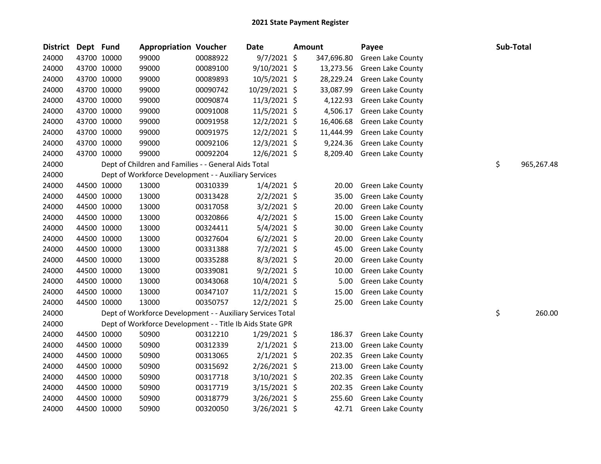| <b>District</b> | Dept Fund |             | <b>Appropriation Voucher</b>                               |          | <b>Date</b>    | <b>Amount</b> | Payee                    |    | Sub-Total  |
|-----------------|-----------|-------------|------------------------------------------------------------|----------|----------------|---------------|--------------------------|----|------------|
| 24000           |           | 43700 10000 | 99000                                                      | 00088922 | $9/7/2021$ \$  | 347,696.80    | Green Lake County        |    |            |
| 24000           |           | 43700 10000 | 99000                                                      | 00089100 | 9/10/2021 \$   | 13,273.56     | <b>Green Lake County</b> |    |            |
| 24000           |           | 43700 10000 | 99000                                                      | 00089893 | 10/5/2021 \$   | 28,229.24     | <b>Green Lake County</b> |    |            |
| 24000           |           | 43700 10000 | 99000                                                      | 00090742 | 10/29/2021 \$  | 33,087.99     | Green Lake County        |    |            |
| 24000           |           | 43700 10000 | 99000                                                      | 00090874 | 11/3/2021 \$   | 4,122.93      | <b>Green Lake County</b> |    |            |
| 24000           |           | 43700 10000 | 99000                                                      | 00091008 | 11/5/2021 \$   | 4,506.17      | Green Lake County        |    |            |
| 24000           |           | 43700 10000 | 99000                                                      | 00091958 | 12/2/2021 \$   | 16,406.68     | Green Lake County        |    |            |
| 24000           |           | 43700 10000 | 99000                                                      | 00091975 | 12/2/2021 \$   | 11,444.99     | Green Lake County        |    |            |
| 24000           |           | 43700 10000 | 99000                                                      | 00092106 | 12/3/2021 \$   | 9,224.36      | Green Lake County        |    |            |
| 24000           |           | 43700 10000 | 99000                                                      | 00092204 | 12/6/2021 \$   | 8,209.40      | Green Lake County        |    |            |
| 24000           |           |             | Dept of Children and Families - - General Aids Total       |          |                |               |                          | \$ | 965,267.48 |
| 24000           |           |             | Dept of Workforce Development - - Auxiliary Services       |          |                |               |                          |    |            |
| 24000           |           | 44500 10000 | 13000                                                      | 00310339 | $1/4/2021$ \$  | 20.00         | Green Lake County        |    |            |
| 24000           |           | 44500 10000 | 13000                                                      | 00313428 | $2/2/2021$ \$  | 35.00         | Green Lake County        |    |            |
| 24000           |           | 44500 10000 | 13000                                                      | 00317058 | $3/2/2021$ \$  | 20.00         | Green Lake County        |    |            |
| 24000           |           | 44500 10000 | 13000                                                      | 00320866 | $4/2/2021$ \$  | 15.00         | Green Lake County        |    |            |
| 24000           |           | 44500 10000 | 13000                                                      | 00324411 | 5/4/2021 \$    | 30.00         | <b>Green Lake County</b> |    |            |
| 24000           |           | 44500 10000 | 13000                                                      | 00327604 | $6/2/2021$ \$  | 20.00         | <b>Green Lake County</b> |    |            |
| 24000           |           | 44500 10000 | 13000                                                      | 00331388 | 7/2/2021 \$    | 45.00         | Green Lake County        |    |            |
| 24000           |           | 44500 10000 | 13000                                                      | 00335288 | $8/3/2021$ \$  | 20.00         | <b>Green Lake County</b> |    |            |
| 24000           |           | 44500 10000 | 13000                                                      | 00339081 | $9/2/2021$ \$  | 10.00         | Green Lake County        |    |            |
| 24000           |           | 44500 10000 | 13000                                                      | 00343068 | 10/4/2021 \$   | 5.00          | Green Lake County        |    |            |
| 24000           |           | 44500 10000 | 13000                                                      | 00347107 | 11/2/2021 \$   | 15.00         | Green Lake County        |    |            |
| 24000           |           | 44500 10000 | 13000                                                      | 00350757 | 12/2/2021 \$   | 25.00         | <b>Green Lake County</b> |    |            |
| 24000           |           |             | Dept of Workforce Development - - Auxiliary Services Total |          |                |               |                          | \$ | 260.00     |
| 24000           |           |             | Dept of Workforce Development - - Title Ib Aids State GPR  |          |                |               |                          |    |            |
| 24000           |           | 44500 10000 | 50900                                                      | 00312210 | 1/29/2021 \$   | 186.37        | <b>Green Lake County</b> |    |            |
| 24000           |           | 44500 10000 | 50900                                                      | 00312339 | $2/1/2021$ \$  | 213.00        | Green Lake County        |    |            |
| 24000           |           | 44500 10000 | 50900                                                      | 00313065 | $2/1/2021$ \$  | 202.35        | Green Lake County        |    |            |
| 24000           |           | 44500 10000 | 50900                                                      | 00315692 | 2/26/2021 \$   | 213.00        | Green Lake County        |    |            |
| 24000           |           | 44500 10000 | 50900                                                      | 00317718 | 3/10/2021 \$   | 202.35        | Green Lake County        |    |            |
| 24000           |           | 44500 10000 | 50900                                                      | 00317719 | $3/15/2021$ \$ | 202.35        | Green Lake County        |    |            |
| 24000           |           | 44500 10000 | 50900                                                      | 00318779 | 3/26/2021 \$   | 255.60        | <b>Green Lake County</b> |    |            |
| 24000           |           | 44500 10000 | 50900                                                      | 00320050 | 3/26/2021 \$   | 42.71         | Green Lake County        |    |            |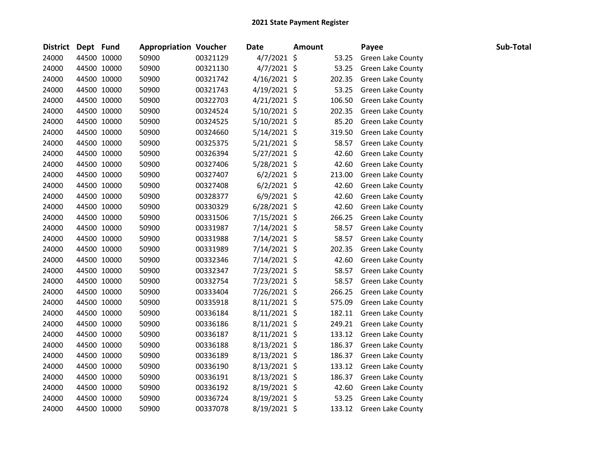|       | District Dept Fund |             | <b>Appropriation Voucher</b> |          | <b>Date</b>    | <b>Amount</b> |        | Payee                    | Sub-Total |
|-------|--------------------|-------------|------------------------------|----------|----------------|---------------|--------|--------------------------|-----------|
| 24000 |                    | 44500 10000 | 50900                        | 00321129 | $4/7/2021$ \$  |               | 53.25  | <b>Green Lake County</b> |           |
| 24000 |                    | 44500 10000 | 50900                        | 00321130 | $4/7/2021$ \$  |               | 53.25  | <b>Green Lake County</b> |           |
| 24000 |                    | 44500 10000 | 50900                        | 00321742 | $4/16/2021$ \$ |               | 202.35 | <b>Green Lake County</b> |           |
| 24000 |                    | 44500 10000 | 50900                        | 00321743 | $4/19/2021$ \$ |               | 53.25  | Green Lake County        |           |
| 24000 |                    | 44500 10000 | 50900                        | 00322703 | $4/21/2021$ \$ |               | 106.50 | <b>Green Lake County</b> |           |
| 24000 |                    | 44500 10000 | 50900                        | 00324524 | 5/10/2021 \$   |               | 202.35 | Green Lake County        |           |
| 24000 |                    | 44500 10000 | 50900                        | 00324525 | $5/10/2021$ \$ |               | 85.20  | <b>Green Lake County</b> |           |
| 24000 |                    | 44500 10000 | 50900                        | 00324660 | $5/14/2021$ \$ |               | 319.50 | Green Lake County        |           |
| 24000 |                    | 44500 10000 | 50900                        | 00325375 | $5/21/2021$ \$ |               | 58.57  | Green Lake County        |           |
| 24000 |                    | 44500 10000 | 50900                        | 00326394 | $5/27/2021$ \$ |               | 42.60  | Green Lake County        |           |
| 24000 |                    | 44500 10000 | 50900                        | 00327406 | 5/28/2021 \$   |               | 42.60  | <b>Green Lake County</b> |           |
| 24000 |                    | 44500 10000 | 50900                        | 00327407 | $6/2/2021$ \$  |               | 213.00 | <b>Green Lake County</b> |           |
| 24000 |                    | 44500 10000 | 50900                        | 00327408 | $6/2/2021$ \$  |               | 42.60  | Green Lake County        |           |
| 24000 |                    | 44500 10000 | 50900                        | 00328377 | $6/9/2021$ \$  |               | 42.60  | <b>Green Lake County</b> |           |
| 24000 |                    | 44500 10000 | 50900                        | 00330329 | $6/28/2021$ \$ |               | 42.60  | Green Lake County        |           |
| 24000 |                    | 44500 10000 | 50900                        | 00331506 | $7/15/2021$ \$ |               | 266.25 | Green Lake County        |           |
| 24000 |                    | 44500 10000 | 50900                        | 00331987 | 7/14/2021 \$   |               | 58.57  | Green Lake County        |           |
| 24000 |                    | 44500 10000 | 50900                        | 00331988 | 7/14/2021 \$   |               | 58.57  | <b>Green Lake County</b> |           |
| 24000 |                    | 44500 10000 | 50900                        | 00331989 | 7/14/2021 \$   |               | 202.35 | <b>Green Lake County</b> |           |
| 24000 |                    | 44500 10000 | 50900                        | 00332346 | 7/14/2021 \$   |               | 42.60  | Green Lake County        |           |
| 24000 |                    | 44500 10000 | 50900                        | 00332347 | 7/23/2021 \$   |               | 58.57  | <b>Green Lake County</b> |           |
| 24000 |                    | 44500 10000 | 50900                        | 00332754 | 7/23/2021 \$   |               | 58.57  | Green Lake County        |           |
| 24000 |                    | 44500 10000 | 50900                        | 00333404 | 7/26/2021 \$   |               | 266.25 | Green Lake County        |           |
| 24000 |                    | 44500 10000 | 50900                        | 00335918 | $8/11/2021$ \$ |               | 575.09 | Green Lake County        |           |
| 24000 |                    | 44500 10000 | 50900                        | 00336184 | $8/11/2021$ \$ |               | 182.11 | <b>Green Lake County</b> |           |
| 24000 |                    | 44500 10000 | 50900                        | 00336186 | $8/11/2021$ \$ |               | 249.21 | Green Lake County        |           |
| 24000 |                    | 44500 10000 | 50900                        | 00336187 | $8/11/2021$ \$ |               | 133.12 | Green Lake County        |           |
| 24000 |                    | 44500 10000 | 50900                        | 00336188 | $8/13/2021$ \$ |               | 186.37 | Green Lake County        |           |
| 24000 |                    | 44500 10000 | 50900                        | 00336189 | $8/13/2021$ \$ |               | 186.37 | Green Lake County        |           |
| 24000 |                    | 44500 10000 | 50900                        | 00336190 | $8/13/2021$ \$ |               | 133.12 | <b>Green Lake County</b> |           |
| 24000 |                    | 44500 10000 | 50900                        | 00336191 | $8/13/2021$ \$ |               | 186.37 | Green Lake County        |           |
| 24000 |                    | 44500 10000 | 50900                        | 00336192 | $8/19/2021$ \$ |               | 42.60  | <b>Green Lake County</b> |           |
| 24000 |                    | 44500 10000 | 50900                        | 00336724 | $8/19/2021$ \$ |               | 53.25  | Green Lake County        |           |
| 24000 |                    | 44500 10000 | 50900                        | 00337078 | 8/19/2021 \$   |               | 133.12 | <b>Green Lake County</b> |           |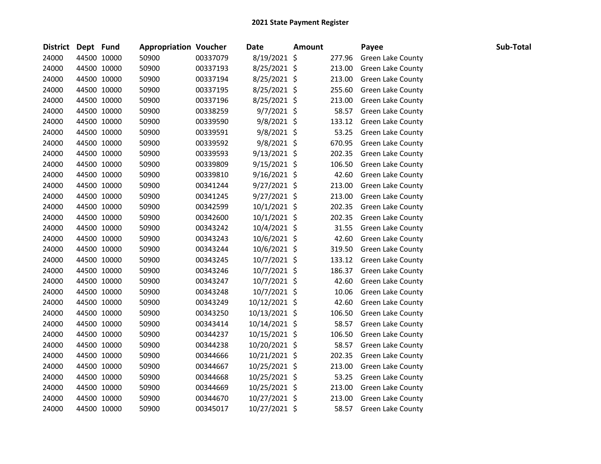| District Dept Fund |             | <b>Appropriation Voucher</b> |          | <b>Date</b>    | <b>Amount</b> |        | Payee                    | Sub-Total |
|--------------------|-------------|------------------------------|----------|----------------|---------------|--------|--------------------------|-----------|
| 24000              | 44500 10000 | 50900                        | 00337079 | 8/19/2021 \$   |               | 277.96 | Green Lake County        |           |
| 24000              | 44500 10000 | 50900                        | 00337193 | 8/25/2021 \$   |               | 213.00 | Green Lake County        |           |
| 24000              | 44500 10000 | 50900                        | 00337194 | 8/25/2021 \$   |               | 213.00 | <b>Green Lake County</b> |           |
| 24000              | 44500 10000 | 50900                        | 00337195 | 8/25/2021 \$   |               | 255.60 | Green Lake County        |           |
| 24000              | 44500 10000 | 50900                        | 00337196 | 8/25/2021 \$   |               | 213.00 | <b>Green Lake County</b> |           |
| 24000              | 44500 10000 | 50900                        | 00338259 | $9/7/2021$ \$  |               | 58.57  | Green Lake County        |           |
| 24000              | 44500 10000 | 50900                        | 00339590 | $9/8/2021$ \$  |               | 133.12 | <b>Green Lake County</b> |           |
| 24000              | 44500 10000 | 50900                        | 00339591 | $9/8/2021$ \$  |               | 53.25  | <b>Green Lake County</b> |           |
| 24000              | 44500 10000 | 50900                        | 00339592 | $9/8/2021$ \$  |               | 670.95 | <b>Green Lake County</b> |           |
| 24000              | 44500 10000 | 50900                        | 00339593 | 9/13/2021 \$   |               | 202.35 | Green Lake County        |           |
| 24000              | 44500 10000 | 50900                        | 00339809 | $9/15/2021$ \$ |               | 106.50 | <b>Green Lake County</b> |           |
| 24000              | 44500 10000 | 50900                        | 00339810 | $9/16/2021$ \$ |               | 42.60  | <b>Green Lake County</b> |           |
| 24000              | 44500 10000 | 50900                        | 00341244 | 9/27/2021 \$   |               | 213.00 | Green Lake County        |           |
| 24000              | 44500 10000 | 50900                        | 00341245 | $9/27/2021$ \$ |               | 213.00 | Green Lake County        |           |
| 24000              | 44500 10000 | 50900                        | 00342599 | 10/1/2021 \$   |               | 202.35 | <b>Green Lake County</b> |           |
| 24000              | 44500 10000 | 50900                        | 00342600 | 10/1/2021 \$   |               | 202.35 | Green Lake County        |           |
| 24000              | 44500 10000 | 50900                        | 00343242 | 10/4/2021 \$   |               | 31.55  | <b>Green Lake County</b> |           |
| 24000              | 44500 10000 | 50900                        | 00343243 | 10/6/2021 \$   |               | 42.60  | <b>Green Lake County</b> |           |
| 24000              | 44500 10000 | 50900                        | 00343244 | 10/6/2021 \$   |               | 319.50 | <b>Green Lake County</b> |           |
| 24000              | 44500 10000 | 50900                        | 00343245 | $10/7/2021$ \$ |               | 133.12 | Green Lake County        |           |
| 24000              | 44500 10000 | 50900                        | 00343246 | 10/7/2021 \$   |               | 186.37 | Green Lake County        |           |
| 24000              | 44500 10000 | 50900                        | 00343247 | 10/7/2021 \$   |               | 42.60  | Green Lake County        |           |
| 24000              | 44500 10000 | 50900                        | 00343248 | 10/7/2021 \$   |               | 10.06  | Green Lake County        |           |
| 24000              | 44500 10000 | 50900                        | 00343249 | 10/12/2021 \$  |               | 42.60  | <b>Green Lake County</b> |           |
| 24000              | 44500 10000 | 50900                        | 00343250 | 10/13/2021 \$  |               | 106.50 | <b>Green Lake County</b> |           |
| 24000              | 44500 10000 | 50900                        | 00343414 | 10/14/2021 \$  |               | 58.57  | Green Lake County        |           |
| 24000              | 44500 10000 | 50900                        | 00344237 | 10/15/2021 \$  |               | 106.50 | Green Lake County        |           |
| 24000              | 44500 10000 | 50900                        | 00344238 | 10/20/2021 \$  |               | 58.57  | Green Lake County        |           |
| 24000              | 44500 10000 | 50900                        | 00344666 | 10/21/2021 \$  |               | 202.35 | Green Lake County        |           |
| 24000              | 44500 10000 | 50900                        | 00344667 | 10/25/2021 \$  |               | 213.00 | <b>Green Lake County</b> |           |
| 24000              | 44500 10000 | 50900                        | 00344668 | 10/25/2021 \$  |               | 53.25  | <b>Green Lake County</b> |           |
| 24000              | 44500 10000 | 50900                        | 00344669 | 10/25/2021 \$  |               | 213.00 | Green Lake County        |           |
| 24000              | 44500 10000 | 50900                        | 00344670 | 10/27/2021 \$  |               | 213.00 | Green Lake County        |           |
| 24000              | 44500 10000 | 50900                        | 00345017 | 10/27/2021 \$  |               | 58.57  | <b>Green Lake County</b> |           |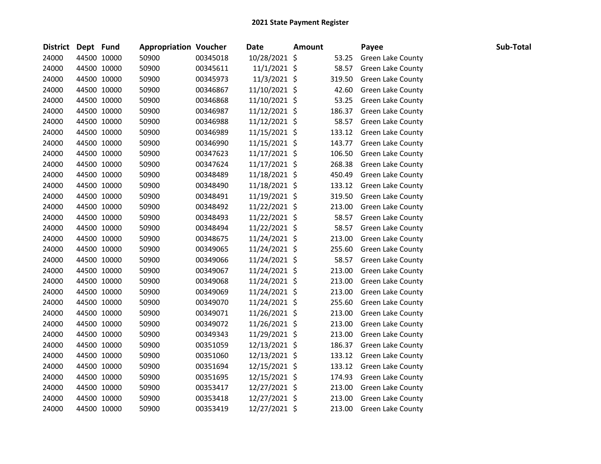| District Dept Fund |             | <b>Appropriation Voucher</b> |          | <b>Date</b>    | <b>Amount</b> |        | Payee                    | Sub-Total |
|--------------------|-------------|------------------------------|----------|----------------|---------------|--------|--------------------------|-----------|
| 24000              | 44500 10000 | 50900                        | 00345018 | 10/28/2021 \$  |               | 53.25  | Green Lake County        |           |
| 24000              | 44500 10000 | 50900                        | 00345611 | $11/1/2021$ \$ |               | 58.57  | Green Lake County        |           |
| 24000              | 44500 10000 | 50900                        | 00345973 | 11/3/2021 \$   |               | 319.50 | Green Lake County        |           |
| 24000              | 44500 10000 | 50900                        | 00346867 | 11/10/2021 \$  |               | 42.60  | Green Lake County        |           |
| 24000              | 44500 10000 | 50900                        | 00346868 | 11/10/2021 \$  |               | 53.25  | <b>Green Lake County</b> |           |
| 24000              | 44500 10000 | 50900                        | 00346987 | 11/12/2021 \$  |               | 186.37 | Green Lake County        |           |
| 24000              | 44500 10000 | 50900                        | 00346988 | 11/12/2021 \$  |               | 58.57  | Green Lake County        |           |
| 24000              | 44500 10000 | 50900                        | 00346989 | 11/15/2021 \$  |               | 133.12 | <b>Green Lake County</b> |           |
| 24000              | 44500 10000 | 50900                        | 00346990 | 11/15/2021 \$  |               | 143.77 | Green Lake County        |           |
| 24000              | 44500 10000 | 50900                        | 00347623 | 11/17/2021 \$  |               | 106.50 | Green Lake County        |           |
| 24000              | 44500 10000 | 50900                        | 00347624 | 11/17/2021 \$  |               | 268.38 | Green Lake County        |           |
| 24000              | 44500 10000 | 50900                        | 00348489 | 11/18/2021 \$  |               | 450.49 | Green Lake County        |           |
| 24000              | 44500 10000 | 50900                        | 00348490 | 11/18/2021 \$  |               | 133.12 | Green Lake County        |           |
| 24000              | 44500 10000 | 50900                        | 00348491 | 11/19/2021 \$  |               | 319.50 | Green Lake County        |           |
| 24000              | 44500 10000 | 50900                        | 00348492 | 11/22/2021 \$  |               | 213.00 | Green Lake County        |           |
| 24000              | 44500 10000 | 50900                        | 00348493 | 11/22/2021 \$  |               | 58.57  | <b>Green Lake County</b> |           |
| 24000              | 44500 10000 | 50900                        | 00348494 | 11/22/2021 \$  |               | 58.57  | Green Lake County        |           |
| 24000              | 44500 10000 | 50900                        | 00348675 | 11/24/2021 \$  |               | 213.00 | <b>Green Lake County</b> |           |
| 24000              | 44500 10000 | 50900                        | 00349065 | 11/24/2021 \$  |               | 255.60 | Green Lake County        |           |
| 24000              | 44500 10000 | 50900                        | 00349066 | 11/24/2021 \$  |               | 58.57  | <b>Green Lake County</b> |           |
| 24000              | 44500 10000 | 50900                        | 00349067 | 11/24/2021 \$  |               | 213.00 | Green Lake County        |           |
| 24000              | 44500 10000 | 50900                        | 00349068 | 11/24/2021 \$  |               | 213.00 | Green Lake County        |           |
| 24000              | 44500 10000 | 50900                        | 00349069 | 11/24/2021 \$  |               | 213.00 | Green Lake County        |           |
| 24000              | 44500 10000 | 50900                        | 00349070 | 11/24/2021 \$  |               | 255.60 | Green Lake County        |           |
| 24000              | 44500 10000 | 50900                        | 00349071 | 11/26/2021 \$  |               | 213.00 | Green Lake County        |           |
| 24000              | 44500 10000 | 50900                        | 00349072 | 11/26/2021 \$  |               | 213.00 | <b>Green Lake County</b> |           |
| 24000              | 44500 10000 | 50900                        | 00349343 | 11/29/2021 \$  |               | 213.00 | Green Lake County        |           |
| 24000              | 44500 10000 | 50900                        | 00351059 | 12/13/2021 \$  |               | 186.37 | Green Lake County        |           |
| 24000              | 44500 10000 | 50900                        | 00351060 | 12/13/2021 \$  |               | 133.12 | Green Lake County        |           |
| 24000              | 44500 10000 | 50900                        | 00351694 | 12/15/2021 \$  |               | 133.12 | <b>Green Lake County</b> |           |
| 24000              | 44500 10000 | 50900                        | 00351695 | 12/15/2021 \$  |               | 174.93 | Green Lake County        |           |
| 24000              | 44500 10000 | 50900                        | 00353417 | 12/27/2021 \$  |               | 213.00 | Green Lake County        |           |
| 24000              | 44500 10000 | 50900                        | 00353418 | 12/27/2021 \$  |               | 213.00 | Green Lake County        |           |
| 24000              | 44500 10000 | 50900                        | 00353419 | 12/27/2021 \$  |               | 213.00 | <b>Green Lake County</b> |           |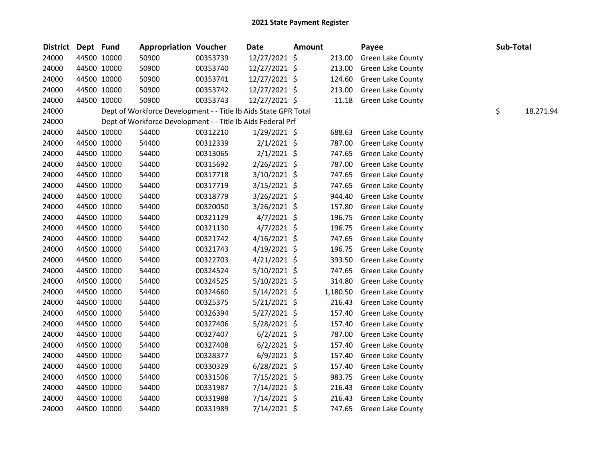| <b>District</b> | Dept Fund |             | <b>Appropriation Voucher</b>                                    |          | Date           | <b>Amount</b> |          | Payee                    | Sub-Total |           |
|-----------------|-----------|-------------|-----------------------------------------------------------------|----------|----------------|---------------|----------|--------------------------|-----------|-----------|
| 24000           |           | 44500 10000 | 50900                                                           | 00353739 | 12/27/2021 \$  |               | 213.00   | Green Lake County        |           |           |
| 24000           |           | 44500 10000 | 50900                                                           | 00353740 | 12/27/2021 \$  |               | 213.00   | <b>Green Lake County</b> |           |           |
| 24000           |           | 44500 10000 | 50900                                                           | 00353741 | 12/27/2021 \$  |               | 124.60   | Green Lake County        |           |           |
| 24000           |           | 44500 10000 | 50900                                                           | 00353742 | 12/27/2021 \$  |               | 213.00   | Green Lake County        |           |           |
| 24000           |           | 44500 10000 | 50900                                                           | 00353743 | 12/27/2021 \$  |               | 11.18    | <b>Green Lake County</b> |           |           |
| 24000           |           |             | Dept of Workforce Development - - Title Ib Aids State GPR Total |          |                |               |          |                          | \$        | 18,271.94 |
| 24000           |           |             | Dept of Workforce Development - - Title Ib Aids Federal Prf     |          |                |               |          |                          |           |           |
| 24000           |           | 44500 10000 | 54400                                                           | 00312210 | $1/29/2021$ \$ |               | 688.63   | Green Lake County        |           |           |
| 24000           |           | 44500 10000 | 54400                                                           | 00312339 | $2/1/2021$ \$  |               | 787.00   | Green Lake County        |           |           |
| 24000           |           | 44500 10000 | 54400                                                           | 00313065 | $2/1/2021$ \$  |               | 747.65   | Green Lake County        |           |           |
| 24000           |           | 44500 10000 | 54400                                                           | 00315692 | 2/26/2021 \$   |               | 787.00   | <b>Green Lake County</b> |           |           |
| 24000           |           | 44500 10000 | 54400                                                           | 00317718 | 3/10/2021 \$   |               | 747.65   | Green Lake County        |           |           |
| 24000           |           | 44500 10000 | 54400                                                           | 00317719 | $3/15/2021$ \$ |               | 747.65   | Green Lake County        |           |           |
| 24000           |           | 44500 10000 | 54400                                                           | 00318779 | 3/26/2021 \$   |               | 944.40   | <b>Green Lake County</b> |           |           |
| 24000           |           | 44500 10000 | 54400                                                           | 00320050 | 3/26/2021 \$   |               | 157.80   | <b>Green Lake County</b> |           |           |
| 24000           |           | 44500 10000 | 54400                                                           | 00321129 | $4/7/2021$ \$  |               | 196.75   | <b>Green Lake County</b> |           |           |
| 24000           |           | 44500 10000 | 54400                                                           | 00321130 | $4/7/2021$ \$  |               | 196.75   | Green Lake County        |           |           |
| 24000           |           | 44500 10000 | 54400                                                           | 00321742 | $4/16/2021$ \$ |               | 747.65   | <b>Green Lake County</b> |           |           |
| 24000           |           | 44500 10000 | 54400                                                           | 00321743 | $4/19/2021$ \$ |               | 196.75   | Green Lake County        |           |           |
| 24000           |           | 44500 10000 | 54400                                                           | 00322703 | $4/21/2021$ \$ |               | 393.50   | Green Lake County        |           |           |
| 24000           |           | 44500 10000 | 54400                                                           | 00324524 | 5/10/2021 \$   |               | 747.65   | <b>Green Lake County</b> |           |           |
| 24000           |           | 44500 10000 | 54400                                                           | 00324525 | $5/10/2021$ \$ |               | 314.80   | Green Lake County        |           |           |
| 24000           |           | 44500 10000 | 54400                                                           | 00324660 | $5/14/2021$ \$ |               | 1,180.50 | Green Lake County        |           |           |
| 24000           |           | 44500 10000 | 54400                                                           | 00325375 | $5/21/2021$ \$ |               | 216.43   | Green Lake County        |           |           |
| 24000           |           | 44500 10000 | 54400                                                           | 00326394 | 5/27/2021 \$   |               | 157.40   | <b>Green Lake County</b> |           |           |
| 24000           |           | 44500 10000 | 54400                                                           | 00327406 | 5/28/2021 \$   |               | 157.40   | Green Lake County        |           |           |
| 24000           |           | 44500 10000 | 54400                                                           | 00327407 | $6/2/2021$ \$  |               | 787.00   | <b>Green Lake County</b> |           |           |
| 24000           |           | 44500 10000 | 54400                                                           | 00327408 | $6/2/2021$ \$  |               | 157.40   | Green Lake County        |           |           |
| 24000           |           | 44500 10000 | 54400                                                           | 00328377 | $6/9/2021$ \$  |               | 157.40   | Green Lake County        |           |           |
| 24000           |           | 44500 10000 | 54400                                                           | 00330329 | $6/28/2021$ \$ |               | 157.40   | <b>Green Lake County</b> |           |           |
| 24000           |           | 44500 10000 | 54400                                                           | 00331506 | 7/15/2021 \$   |               | 983.75   | Green Lake County        |           |           |
| 24000           |           | 44500 10000 | 54400                                                           | 00331987 | 7/14/2021 \$   |               | 216.43   | Green Lake County        |           |           |
| 24000           |           | 44500 10000 | 54400                                                           | 00331988 | 7/14/2021 \$   |               | 216.43   | <b>Green Lake County</b> |           |           |
| 24000           |           | 44500 10000 | 54400                                                           | 00331989 | 7/14/2021 \$   |               | 747.65   | <b>Green Lake County</b> |           |           |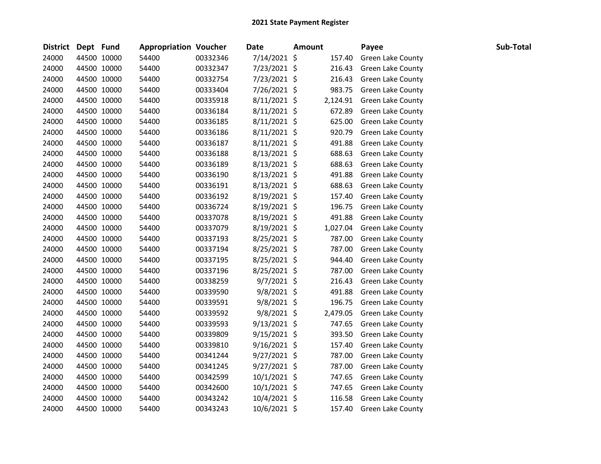| District Dept Fund |             | <b>Appropriation Voucher</b> |          | <b>Date</b>    | <b>Amount</b> | Payee                    | Sub-Total |
|--------------------|-------------|------------------------------|----------|----------------|---------------|--------------------------|-----------|
| 24000              | 44500 10000 | 54400                        | 00332346 | 7/14/2021 \$   | 157.40        | Green Lake County        |           |
| 24000              | 44500 10000 | 54400                        | 00332347 | 7/23/2021 \$   | 216.43        | Green Lake County        |           |
| 24000              | 44500 10000 | 54400                        | 00332754 | 7/23/2021 \$   | 216.43        | Green Lake County        |           |
| 24000              | 44500 10000 | 54400                        | 00333404 | 7/26/2021 \$   | 983.75        | Green Lake County        |           |
| 24000              | 44500 10000 | 54400                        | 00335918 | $8/11/2021$ \$ | 2,124.91      | <b>Green Lake County</b> |           |
| 24000              | 44500 10000 | 54400                        | 00336184 | $8/11/2021$ \$ | 672.89        | Green Lake County        |           |
| 24000              | 44500 10000 | 54400                        | 00336185 | $8/11/2021$ \$ | 625.00        | <b>Green Lake County</b> |           |
| 24000              | 44500 10000 | 54400                        | 00336186 | $8/11/2021$ \$ | 920.79        | Green Lake County        |           |
| 24000              | 44500 10000 | 54400                        | 00336187 | $8/11/2021$ \$ | 491.88        | Green Lake County        |           |
| 24000              | 44500 10000 | 54400                        | 00336188 | 8/13/2021 \$   | 688.63        | Green Lake County        |           |
| 24000              | 44500 10000 | 54400                        | 00336189 | 8/13/2021 \$   | 688.63        | <b>Green Lake County</b> |           |
| 24000              | 44500 10000 | 54400                        | 00336190 | 8/13/2021 \$   | 491.88        | <b>Green Lake County</b> |           |
| 24000              | 44500 10000 | 54400                        | 00336191 | 8/13/2021 \$   | 688.63        | Green Lake County        |           |
| 24000              | 44500 10000 | 54400                        | 00336192 | $8/19/2021$ \$ | 157.40        | Green Lake County        |           |
| 24000              | 44500 10000 | 54400                        | 00336724 | $8/19/2021$ \$ | 196.75        | Green Lake County        |           |
| 24000              | 44500 10000 | 54400                        | 00337078 | 8/19/2021 \$   | 491.88        | Green Lake County        |           |
| 24000              | 44500 10000 | 54400                        | 00337079 | 8/19/2021 \$   | 1,027.04      | <b>Green Lake County</b> |           |
| 24000              | 44500 10000 | 54400                        | 00337193 | 8/25/2021 \$   | 787.00        | <b>Green Lake County</b> |           |
| 24000              | 44500 10000 | 54400                        | 00337194 | 8/25/2021 \$   | 787.00        | <b>Green Lake County</b> |           |
| 24000              | 44500 10000 | 54400                        | 00337195 | $8/25/2021$ \$ | 944.40        | Green Lake County        |           |
| 24000              | 44500 10000 | 54400                        | 00337196 | $8/25/2021$ \$ | 787.00        | Green Lake County        |           |
| 24000              | 44500 10000 | 54400                        | 00338259 | $9/7/2021$ \$  | 216.43        | Green Lake County        |           |
| 24000              | 44500 10000 | 54400                        | 00339590 | 9/8/2021 \$    | 491.88        | Green Lake County        |           |
| 24000              | 44500 10000 | 54400                        | 00339591 | $9/8/2021$ \$  | 196.75        | <b>Green Lake County</b> |           |
| 24000              | 44500 10000 | 54400                        | 00339592 | $9/8/2021$ \$  | 2,479.05      | <b>Green Lake County</b> |           |
| 24000              | 44500 10000 | 54400                        | 00339593 | $9/13/2021$ \$ | 747.65        | Green Lake County        |           |
| 24000              | 44500 10000 | 54400                        | 00339809 | $9/15/2021$ \$ | 393.50        | <b>Green Lake County</b> |           |
| 24000              | 44500 10000 | 54400                        | 00339810 | $9/16/2021$ \$ | 157.40        | Green Lake County        |           |
| 24000              | 44500 10000 | 54400                        | 00341244 | $9/27/2021$ \$ | 787.00        | Green Lake County        |           |
| 24000              | 44500 10000 | 54400                        | 00341245 | $9/27/2021$ \$ | 787.00        | <b>Green Lake County</b> |           |
| 24000              | 44500 10000 | 54400                        | 00342599 | 10/1/2021 \$   | 747.65        | <b>Green Lake County</b> |           |
| 24000              | 44500 10000 | 54400                        | 00342600 | $10/1/2021$ \$ | 747.65        | Green Lake County        |           |
| 24000              | 44500 10000 | 54400                        | 00343242 | 10/4/2021 \$   | 116.58        | Green Lake County        |           |
| 24000              | 44500 10000 | 54400                        | 00343243 | 10/6/2021 \$   | 157.40        | <b>Green Lake County</b> |           |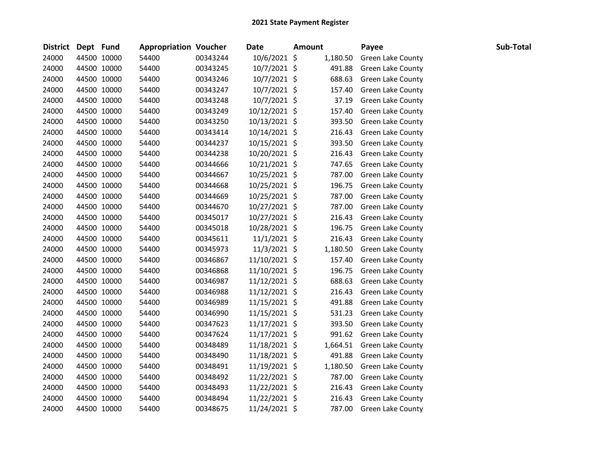| District Dept Fund |             | <b>Appropriation Voucher</b> |          | <b>Date</b>    | <b>Amount</b> | Payee                    | Sub-Total |
|--------------------|-------------|------------------------------|----------|----------------|---------------|--------------------------|-----------|
| 24000              | 44500 10000 | 54400                        | 00343244 | 10/6/2021 \$   | 1,180.50      | Green Lake County        |           |
| 24000              | 44500 10000 | 54400                        | 00343245 | 10/7/2021 \$   | 491.88        | Green Lake County        |           |
| 24000              | 44500 10000 | 54400                        | 00343246 | 10/7/2021 \$   | 688.63        | Green Lake County        |           |
| 24000              | 44500 10000 | 54400                        | 00343247 | 10/7/2021 \$   | 157.40        | Green Lake County        |           |
| 24000              | 44500 10000 | 54400                        | 00343248 | 10/7/2021 \$   | 37.19         | <b>Green Lake County</b> |           |
| 24000              | 44500 10000 | 54400                        | 00343249 | 10/12/2021 \$  | 157.40        | Green Lake County        |           |
| 24000              | 44500 10000 | 54400                        | 00343250 | 10/13/2021 \$  | 393.50        | Green Lake County        |           |
| 24000              | 44500 10000 | 54400                        | 00343414 | 10/14/2021 \$  | 216.43        | Green Lake County        |           |
| 24000              | 44500 10000 | 54400                        | 00344237 | 10/15/2021 \$  | 393.50        | Green Lake County        |           |
| 24000              | 44500 10000 | 54400                        | 00344238 | 10/20/2021 \$  | 216.43        | Green Lake County        |           |
| 24000              | 44500 10000 | 54400                        | 00344666 | 10/21/2021 \$  | 747.65        | Green Lake County        |           |
| 24000              | 44500 10000 | 54400                        | 00344667 | 10/25/2021 \$  | 787.00        | Green Lake County        |           |
| 24000              | 44500 10000 | 54400                        | 00344668 | 10/25/2021 \$  | 196.75        | <b>Green Lake County</b> |           |
| 24000              | 44500 10000 | 54400                        | 00344669 | 10/25/2021 \$  | 787.00        | Green Lake County        |           |
| 24000              | 44500 10000 | 54400                        | 00344670 | 10/27/2021 \$  | 787.00        | Green Lake County        |           |
| 24000              | 44500 10000 | 54400                        | 00345017 | 10/27/2021 \$  | 216.43        | <b>Green Lake County</b> |           |
| 24000              | 44500 10000 | 54400                        | 00345018 | 10/28/2021 \$  | 196.75        | Green Lake County        |           |
| 24000              | 44500 10000 | 54400                        | 00345611 | $11/1/2021$ \$ | 216.43        | Green Lake County        |           |
| 24000              | 44500 10000 | 54400                        | 00345973 | 11/3/2021 \$   | 1,180.50      | Green Lake County        |           |
| 24000              | 44500 10000 | 54400                        | 00346867 | 11/10/2021 \$  | 157.40        | <b>Green Lake County</b> |           |
| 24000              | 44500 10000 | 54400                        | 00346868 | 11/10/2021 \$  | 196.75        | <b>Green Lake County</b> |           |
| 24000              | 44500 10000 | 54400                        | 00346987 | 11/12/2021 \$  | 688.63        | Green Lake County        |           |
| 24000              | 44500 10000 | 54400                        | 00346988 | 11/12/2021 \$  | 216.43        | Green Lake County        |           |
| 24000              | 44500 10000 | 54400                        | 00346989 | 11/15/2021 \$  | 491.88        | Green Lake County        |           |
| 24000              | 44500 10000 | 54400                        | 00346990 | 11/15/2021 \$  | 531.23        | <b>Green Lake County</b> |           |
| 24000              | 44500 10000 | 54400                        | 00347623 | 11/17/2021 \$  | 393.50        | <b>Green Lake County</b> |           |
| 24000              | 44500 10000 | 54400                        | 00347624 | 11/17/2021 \$  | 991.62        | Green Lake County        |           |
| 24000              | 44500 10000 | 54400                        | 00348489 | 11/18/2021 \$  | 1,664.51      | <b>Green Lake County</b> |           |
| 24000              | 44500 10000 | 54400                        | 00348490 | 11/18/2021 \$  | 491.88        | Green Lake County        |           |
| 24000              | 44500 10000 | 54400                        | 00348491 | 11/19/2021 \$  | 1,180.50      | Green Lake County        |           |
| 24000              | 44500 10000 | 54400                        | 00348492 | 11/22/2021 \$  | 787.00        | <b>Green Lake County</b> |           |
| 24000              | 44500 10000 | 54400                        | 00348493 | 11/22/2021 \$  | 216.43        | <b>Green Lake County</b> |           |
| 24000              | 44500 10000 | 54400                        | 00348494 | 11/22/2021 \$  | 216.43        | Green Lake County        |           |
| 24000              | 44500 10000 | 54400                        | 00348675 | 11/24/2021 \$  | 787.00        | <b>Green Lake County</b> |           |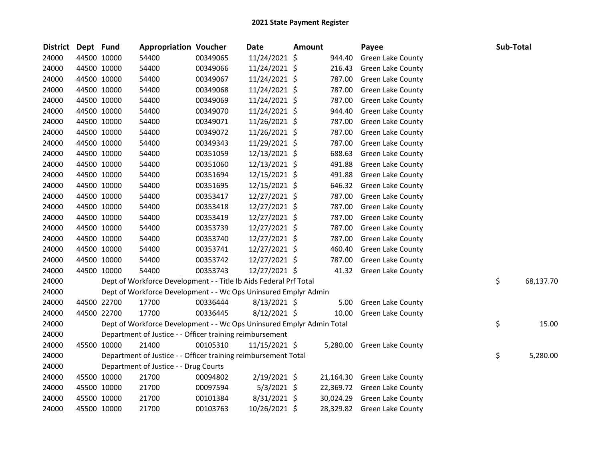| <b>District</b> | Dept Fund |             | <b>Appropriation Voucher</b>                                          |          | Date           | <b>Amount</b> |           | Payee                       | Sub-Total |           |
|-----------------|-----------|-------------|-----------------------------------------------------------------------|----------|----------------|---------------|-----------|-----------------------------|-----------|-----------|
| 24000           |           | 44500 10000 | 54400                                                                 | 00349065 | 11/24/2021 \$  |               | 944.40    | Green Lake County           |           |           |
| 24000           |           | 44500 10000 | 54400                                                                 | 00349066 | 11/24/2021 \$  |               | 216.43    | <b>Green Lake County</b>    |           |           |
| 24000           |           | 44500 10000 | 54400                                                                 | 00349067 | 11/24/2021 \$  |               | 787.00    | <b>Green Lake County</b>    |           |           |
| 24000           |           | 44500 10000 | 54400                                                                 | 00349068 | 11/24/2021 \$  |               | 787.00    | <b>Green Lake County</b>    |           |           |
| 24000           |           | 44500 10000 | 54400                                                                 | 00349069 | 11/24/2021 \$  |               | 787.00    | <b>Green Lake County</b>    |           |           |
| 24000           |           | 44500 10000 | 54400                                                                 | 00349070 | 11/24/2021 \$  |               | 944.40    | Green Lake County           |           |           |
| 24000           |           | 44500 10000 | 54400                                                                 | 00349071 | 11/26/2021 \$  |               | 787.00    | Green Lake County           |           |           |
| 24000           |           | 44500 10000 | 54400                                                                 | 00349072 | 11/26/2021 \$  |               | 787.00    | <b>Green Lake County</b>    |           |           |
| 24000           |           | 44500 10000 | 54400                                                                 | 00349343 | 11/29/2021 \$  |               | 787.00    | <b>Green Lake County</b>    |           |           |
| 24000           |           | 44500 10000 | 54400                                                                 | 00351059 | 12/13/2021 \$  |               | 688.63    | <b>Green Lake County</b>    |           |           |
| 24000           |           | 44500 10000 | 54400                                                                 | 00351060 | 12/13/2021 \$  |               | 491.88    | <b>Green Lake County</b>    |           |           |
| 24000           |           | 44500 10000 | 54400                                                                 | 00351694 | 12/15/2021 \$  |               | 491.88    | Green Lake County           |           |           |
| 24000           |           | 44500 10000 | 54400                                                                 | 00351695 | 12/15/2021 \$  |               | 646.32    | Green Lake County           |           |           |
| 24000           |           | 44500 10000 | 54400                                                                 | 00353417 | 12/27/2021 \$  |               | 787.00    | Green Lake County           |           |           |
| 24000           |           | 44500 10000 | 54400                                                                 | 00353418 | 12/27/2021 \$  |               | 787.00    | Green Lake County           |           |           |
| 24000           |           | 44500 10000 | 54400                                                                 | 00353419 | 12/27/2021 \$  |               | 787.00    | Green Lake County           |           |           |
| 24000           |           | 44500 10000 | 54400                                                                 | 00353739 | 12/27/2021 \$  |               | 787.00    | Green Lake County           |           |           |
| 24000           |           | 44500 10000 | 54400                                                                 | 00353740 | 12/27/2021 \$  |               | 787.00    | <b>Green Lake County</b>    |           |           |
| 24000           |           | 44500 10000 | 54400                                                                 | 00353741 | 12/27/2021 \$  |               | 460.40    | Green Lake County           |           |           |
| 24000           |           | 44500 10000 | 54400                                                                 | 00353742 | 12/27/2021 \$  |               | 787.00    | Green Lake County           |           |           |
| 24000           |           | 44500 10000 | 54400                                                                 | 00353743 | 12/27/2021 \$  |               | 41.32     | Green Lake County           |           |           |
| 24000           |           |             | Dept of Workforce Development - - Title Ib Aids Federal Prf Total     |          |                |               |           |                             | \$        | 68,137.70 |
| 24000           |           |             | Dept of Workforce Development - - Wc Ops Uninsured Emplyr Admin       |          |                |               |           |                             |           |           |
| 24000           |           | 44500 22700 | 17700                                                                 | 00336444 | $8/13/2021$ \$ |               | 5.00      | Green Lake County           |           |           |
| 24000           |           | 44500 22700 | 17700                                                                 | 00336445 | $8/12/2021$ \$ |               | 10.00     | Green Lake County           |           |           |
| 24000           |           |             | Dept of Workforce Development - - Wc Ops Uninsured Emplyr Admin Total |          |                |               |           |                             | \$        | 15.00     |
| 24000           |           |             | Department of Justice - - Officer training reimbursement              |          |                |               |           |                             |           |           |
| 24000           |           | 45500 10000 | 21400                                                                 | 00105310 | 11/15/2021 \$  |               | 5,280.00  | Green Lake County           |           |           |
| 24000           |           |             | Department of Justice - - Officer training reimbursement Total        |          |                |               |           |                             | \$        | 5,280.00  |
| 24000           |           |             | Department of Justice - - Drug Courts                                 |          |                |               |           |                             |           |           |
| 24000           |           | 45500 10000 | 21700                                                                 | 00094802 | 2/19/2021 \$   |               | 21,164.30 | <b>Green Lake County</b>    |           |           |
| 24000           |           | 45500 10000 | 21700                                                                 | 00097594 | $5/3/2021$ \$  |               |           | 22,369.72 Green Lake County |           |           |
| 24000           |           | 45500 10000 | 21700                                                                 | 00101384 | $8/31/2021$ \$ |               | 30,024.29 | <b>Green Lake County</b>    |           |           |
| 24000           |           | 45500 10000 | 21700                                                                 | 00103763 | 10/26/2021 \$  |               |           | 28,329.82 Green Lake County |           |           |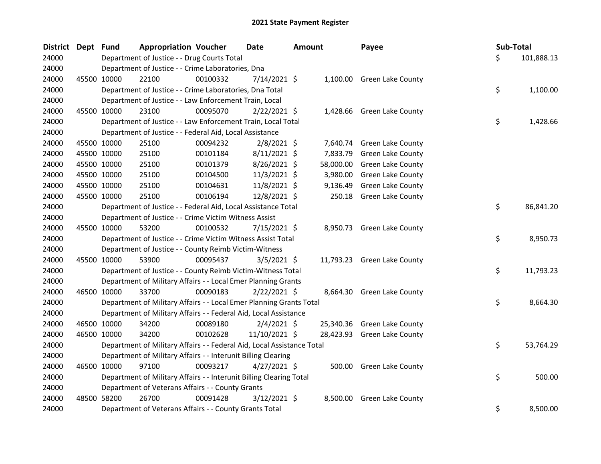| District Dept Fund |             | <b>Appropriation Voucher</b>                                           |          | <b>Date</b>    | <b>Amount</b> |           | Payee                       | Sub-Total |            |
|--------------------|-------------|------------------------------------------------------------------------|----------|----------------|---------------|-----------|-----------------------------|-----------|------------|
| 24000              |             | Department of Justice - - Drug Courts Total                            |          |                |               |           |                             | \$        | 101,888.13 |
| 24000              |             | Department of Justice - - Crime Laboratories, Dna                      |          |                |               |           |                             |           |            |
| 24000              | 45500 10000 | 22100                                                                  | 00100332 | 7/14/2021 \$   |               |           | 1,100.00 Green Lake County  |           |            |
| 24000              |             | Department of Justice - - Crime Laboratories, Dna Total                |          |                |               |           |                             | \$        | 1,100.00   |
| 24000              |             | Department of Justice - - Law Enforcement Train, Local                 |          |                |               |           |                             |           |            |
| 24000              | 45500 10000 | 23100                                                                  | 00095070 | $2/22/2021$ \$ |               | 1,428.66  | Green Lake County           |           |            |
| 24000              |             | Department of Justice - - Law Enforcement Train, Local Total           |          |                |               |           |                             | \$        | 1,428.66   |
| 24000              |             | Department of Justice - - Federal Aid, Local Assistance                |          |                |               |           |                             |           |            |
| 24000              | 45500 10000 | 25100                                                                  | 00094232 | $2/8/2021$ \$  |               | 7,640.74  | Green Lake County           |           |            |
| 24000              | 45500 10000 | 25100                                                                  | 00101184 | $8/11/2021$ \$ |               | 7,833.79  | Green Lake County           |           |            |
| 24000              | 45500 10000 | 25100                                                                  | 00101379 | 8/26/2021 \$   |               | 58,000.00 | Green Lake County           |           |            |
| 24000              | 45500 10000 | 25100                                                                  | 00104500 | 11/3/2021 \$   |               | 3,980.00  | Green Lake County           |           |            |
| 24000              | 45500 10000 | 25100                                                                  | 00104631 | 11/8/2021 \$   |               | 9,136.49  | Green Lake County           |           |            |
| 24000              | 45500 10000 | 25100                                                                  | 00106194 | 12/8/2021 \$   |               | 250.18    | Green Lake County           |           |            |
| 24000              |             | Department of Justice - - Federal Aid, Local Assistance Total          |          |                |               |           |                             | \$        | 86,841.20  |
| 24000              |             | Department of Justice - - Crime Victim Witness Assist                  |          |                |               |           |                             |           |            |
| 24000              | 45500 10000 | 53200                                                                  | 00100532 | 7/15/2021 \$   |               |           | 8,950.73 Green Lake County  |           |            |
| 24000              |             | Department of Justice - - Crime Victim Witness Assist Total            |          |                |               |           |                             | \$        | 8,950.73   |
| 24000              |             | Department of Justice - - County Reimb Victim-Witness                  |          |                |               |           |                             |           |            |
| 24000              | 45500 10000 | 53900                                                                  | 00095437 | $3/5/2021$ \$  |               |           | 11,793.23 Green Lake County |           |            |
| 24000              |             | Department of Justice - - County Reimb Victim-Witness Total            |          |                |               |           |                             | \$        | 11,793.23  |
| 24000              |             | Department of Military Affairs - - Local Emer Planning Grants          |          |                |               |           |                             |           |            |
| 24000              | 46500 10000 | 33700                                                                  | 00090183 | $2/22/2021$ \$ |               |           | 8,664.30 Green Lake County  |           |            |
| 24000              |             | Department of Military Affairs - - Local Emer Planning Grants Total    |          |                |               |           |                             | \$        | 8,664.30   |
| 24000              |             | Department of Military Affairs - - Federal Aid, Local Assistance       |          |                |               |           |                             |           |            |
| 24000              | 46500 10000 | 34200                                                                  | 00089180 | $2/4/2021$ \$  |               |           | 25,340.36 Green Lake County |           |            |
| 24000              | 46500 10000 | 34200                                                                  | 00102628 | 11/10/2021 \$  |               |           | 28,423.93 Green Lake County |           |            |
| 24000              |             | Department of Military Affairs - - Federal Aid, Local Assistance Total |          |                |               |           |                             | \$        | 53,764.29  |
| 24000              |             | Department of Military Affairs - - Interunit Billing Clearing          |          |                |               |           |                             |           |            |
| 24000              | 46500 10000 | 97100                                                                  | 00093217 | $4/27/2021$ \$ |               |           | 500.00 Green Lake County    |           |            |
| 24000              |             | Department of Military Affairs - - Interunit Billing Clearing Total    |          |                |               |           |                             | \$        | 500.00     |
| 24000              |             | Department of Veterans Affairs - - County Grants                       |          |                |               |           |                             |           |            |
| 24000              | 48500 58200 | 26700                                                                  | 00091428 | $3/12/2021$ \$ |               | 8,500.00  | Green Lake County           |           |            |
| 24000              |             | Department of Veterans Affairs - - County Grants Total                 |          |                |               |           |                             | \$        | 8,500.00   |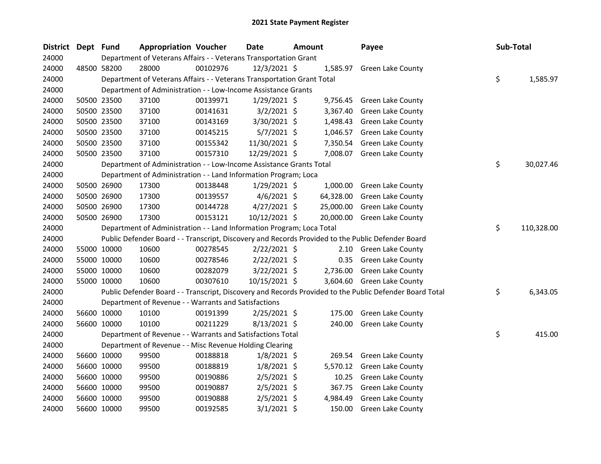| District Dept Fund |             | <b>Appropriation Voucher</b>                                           |          | <b>Date</b>    | <b>Amount</b> |           | Payee                                                                                                   | Sub-Total        |
|--------------------|-------------|------------------------------------------------------------------------|----------|----------------|---------------|-----------|---------------------------------------------------------------------------------------------------------|------------------|
| 24000              |             | Department of Veterans Affairs - - Veterans Transportation Grant       |          |                |               |           |                                                                                                         |                  |
| 24000              | 48500 58200 | 28000                                                                  | 00102976 | 12/3/2021 \$   |               |           | 1,585.97 Green Lake County                                                                              |                  |
| 24000              |             | Department of Veterans Affairs - - Veterans Transportation Grant Total |          |                |               |           |                                                                                                         | \$<br>1,585.97   |
| 24000              |             | Department of Administration - - Low-Income Assistance Grants          |          |                |               |           |                                                                                                         |                  |
| 24000              | 50500 23500 | 37100                                                                  | 00139971 | $1/29/2021$ \$ |               | 9,756.45  | <b>Green Lake County</b>                                                                                |                  |
| 24000              | 50500 23500 | 37100                                                                  | 00141631 | $3/2/2021$ \$  |               | 3,367.40  | <b>Green Lake County</b>                                                                                |                  |
| 24000              | 50500 23500 | 37100                                                                  | 00143169 | 3/30/2021 \$   |               | 1,498.43  | <b>Green Lake County</b>                                                                                |                  |
| 24000              | 50500 23500 | 37100                                                                  | 00145215 | $5/7/2021$ \$  |               | 1,046.57  | Green Lake County                                                                                       |                  |
| 24000              | 50500 23500 | 37100                                                                  | 00155342 | 11/30/2021 \$  |               | 7,350.54  | Green Lake County                                                                                       |                  |
| 24000              | 50500 23500 | 37100                                                                  | 00157310 | 12/29/2021 \$  |               |           | 7,008.07 Green Lake County                                                                              |                  |
| 24000              |             | Department of Administration - - Low-Income Assistance Grants Total    |          |                |               |           |                                                                                                         | \$<br>30,027.46  |
| 24000              |             | Department of Administration - - Land Information Program; Loca        |          |                |               |           |                                                                                                         |                  |
| 24000              | 50500 26900 | 17300                                                                  | 00138448 | $1/29/2021$ \$ |               |           | 1,000.00 Green Lake County                                                                              |                  |
| 24000              | 50500 26900 | 17300                                                                  | 00139557 | $4/6/2021$ \$  |               | 64,328.00 | <b>Green Lake County</b>                                                                                |                  |
| 24000              | 50500 26900 | 17300                                                                  | 00144728 | $4/27/2021$ \$ |               | 25,000.00 | <b>Green Lake County</b>                                                                                |                  |
| 24000              | 50500 26900 | 17300                                                                  | 00153121 | 10/12/2021 \$  |               |           | 20,000.00 Green Lake County                                                                             |                  |
| 24000              |             | Department of Administration - - Land Information Program; Loca Total  |          |                |               |           |                                                                                                         | \$<br>110,328.00 |
| 24000              |             |                                                                        |          |                |               |           | Public Defender Board - - Transcript, Discovery and Records Provided to the Public Defender Board       |                  |
| 24000              | 55000 10000 | 10600                                                                  | 00278545 | $2/22/2021$ \$ |               |           | 2.10 Green Lake County                                                                                  |                  |
| 24000              | 55000 10000 | 10600                                                                  | 00278546 | $2/22/2021$ \$ |               |           | 0.35 Green Lake County                                                                                  |                  |
| 24000              | 55000 10000 | 10600                                                                  | 00282079 | $3/22/2021$ \$ |               |           | 2,736.00 Green Lake County                                                                              |                  |
| 24000              | 55000 10000 | 10600                                                                  | 00307610 | 10/15/2021 \$  |               |           | 3,604.60 Green Lake County                                                                              |                  |
| 24000              |             |                                                                        |          |                |               |           | Public Defender Board - - Transcript, Discovery and Records Provided to the Public Defender Board Total | \$<br>6,343.05   |
| 24000              |             | Department of Revenue - - Warrants and Satisfactions                   |          |                |               |           |                                                                                                         |                  |
| 24000              | 56600 10000 | 10100                                                                  | 00191399 | $2/25/2021$ \$ |               | 175.00    | Green Lake County                                                                                       |                  |
| 24000              | 56600 10000 | 10100                                                                  | 00211229 | $8/13/2021$ \$ |               |           | 240.00 Green Lake County                                                                                |                  |
| 24000              |             | Department of Revenue - - Warrants and Satisfactions Total             |          |                |               |           |                                                                                                         | \$<br>415.00     |
| 24000              |             | Department of Revenue - - Misc Revenue Holding Clearing                |          |                |               |           |                                                                                                         |                  |
| 24000              | 56600 10000 | 99500                                                                  | 00188818 | 1/8/2021 \$    |               | 269.54    | Green Lake County                                                                                       |                  |
| 24000              | 56600 10000 | 99500                                                                  | 00188819 | $1/8/2021$ \$  |               | 5,570.12  | Green Lake County                                                                                       |                  |
| 24000              | 56600 10000 | 99500                                                                  | 00190886 | $2/5/2021$ \$  |               | 10.25     | Green Lake County                                                                                       |                  |
| 24000              | 56600 10000 | 99500                                                                  | 00190887 | $2/5/2021$ \$  |               | 367.75    | Green Lake County                                                                                       |                  |
| 24000              | 56600 10000 | 99500                                                                  | 00190888 | $2/5/2021$ \$  |               | 4,984.49  | Green Lake County                                                                                       |                  |
| 24000              | 56600 10000 | 99500                                                                  | 00192585 | $3/1/2021$ \$  |               | 150.00    | <b>Green Lake County</b>                                                                                |                  |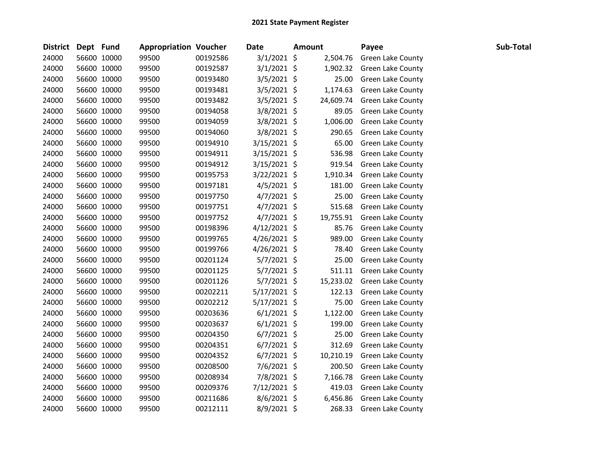| District Dept Fund |             | <b>Appropriation Voucher</b> |          | <b>Date</b>    | <b>Amount</b> | Payee                    | Sub-Total |
|--------------------|-------------|------------------------------|----------|----------------|---------------|--------------------------|-----------|
| 24000              | 56600 10000 | 99500                        | 00192586 | $3/1/2021$ \$  | 2,504.76      | Green Lake County        |           |
| 24000              | 56600 10000 | 99500                        | 00192587 | 3/1/2021 \$    | 1,902.32      | <b>Green Lake County</b> |           |
| 24000              | 56600 10000 | 99500                        | 00193480 | 3/5/2021 \$    | 25.00         | <b>Green Lake County</b> |           |
| 24000              | 56600 10000 | 99500                        | 00193481 | $3/5/2021$ \$  | 1,174.63      | <b>Green Lake County</b> |           |
| 24000              | 56600 10000 | 99500                        | 00193482 | $3/5/2021$ \$  | 24,609.74     | Green Lake County        |           |
| 24000              | 56600 10000 | 99500                        | 00194058 | 3/8/2021 \$    | 89.05         | <b>Green Lake County</b> |           |
| 24000              | 56600 10000 | 99500                        | 00194059 | 3/8/2021 \$    | 1,006.00      | <b>Green Lake County</b> |           |
| 24000              | 56600 10000 | 99500                        | 00194060 | 3/8/2021 \$    | 290.65        | Green Lake County        |           |
| 24000              | 56600 10000 | 99500                        | 00194910 | 3/15/2021 \$   | 65.00         | <b>Green Lake County</b> |           |
| 24000              | 56600 10000 | 99500                        | 00194911 | 3/15/2021 \$   | 536.98        | <b>Green Lake County</b> |           |
| 24000              | 56600 10000 | 99500                        | 00194912 | 3/15/2021 \$   | 919.54        | Green Lake County        |           |
| 24000              | 56600 10000 | 99500                        | 00195753 | 3/22/2021 \$   | 1,910.34      | <b>Green Lake County</b> |           |
| 24000              | 56600 10000 | 99500                        | 00197181 | $4/5/2021$ \$  | 181.00        | <b>Green Lake County</b> |           |
| 24000              | 56600 10000 | 99500                        | 00197750 | $4/7/2021$ \$  | 25.00         | Green Lake County        |           |
| 24000              | 56600 10000 | 99500                        | 00197751 | $4/7/2021$ \$  | 515.68        | <b>Green Lake County</b> |           |
| 24000              | 56600 10000 | 99500                        | 00197752 | $4/7/2021$ \$  | 19,755.91     | Green Lake County        |           |
| 24000              | 56600 10000 | 99500                        | 00198396 | $4/12/2021$ \$ | 85.76         | <b>Green Lake County</b> |           |
| 24000              | 56600 10000 | 99500                        | 00199765 | $4/26/2021$ \$ | 989.00        | <b>Green Lake County</b> |           |
| 24000              | 56600 10000 | 99500                        | 00199766 | 4/26/2021 \$   | 78.40         | <b>Green Lake County</b> |           |
| 24000              | 56600 10000 | 99500                        | 00201124 | $5/7/2021$ \$  | 25.00         | <b>Green Lake County</b> |           |
| 24000              | 56600 10000 | 99500                        | 00201125 | $5/7/2021$ \$  | 511.11        | <b>Green Lake County</b> |           |
| 24000              | 56600 10000 | 99500                        | 00201126 | $5/7/2021$ \$  | 15,233.02     | <b>Green Lake County</b> |           |
| 24000              | 56600 10000 | 99500                        | 00202211 | 5/17/2021 \$   | 122.13        | Green Lake County        |           |
| 24000              | 56600 10000 | 99500                        | 00202212 | 5/17/2021 \$   | 75.00         | <b>Green Lake County</b> |           |
| 24000              | 56600 10000 | 99500                        | 00203636 | $6/1/2021$ \$  | 1,122.00      | <b>Green Lake County</b> |           |
| 24000              | 56600 10000 | 99500                        | 00203637 | $6/1/2021$ \$  | 199.00        | <b>Green Lake County</b> |           |
| 24000              | 56600 10000 | 99500                        | 00204350 | $6/7/2021$ \$  | 25.00         | <b>Green Lake County</b> |           |
| 24000              | 56600 10000 | 99500                        | 00204351 | $6/7/2021$ \$  | 312.69        | <b>Green Lake County</b> |           |
| 24000              | 56600 10000 | 99500                        | 00204352 | $6/7/2021$ \$  | 10,210.19     | <b>Green Lake County</b> |           |
| 24000              | 56600 10000 | 99500                        | 00208500 | 7/6/2021 \$    | 200.50        | <b>Green Lake County</b> |           |
| 24000              | 56600 10000 | 99500                        | 00208934 | 7/8/2021 \$    | 7,166.78      | <b>Green Lake County</b> |           |
| 24000              | 56600 10000 | 99500                        | 00209376 | 7/12/2021 \$   | 419.03        | Green Lake County        |           |
| 24000              | 56600 10000 | 99500                        | 00211686 | 8/6/2021 \$    | 6,456.86      | Green Lake County        |           |
| 24000              | 56600 10000 | 99500                        | 00212111 | 8/9/2021 \$    | 268.33        | <b>Green Lake County</b> |           |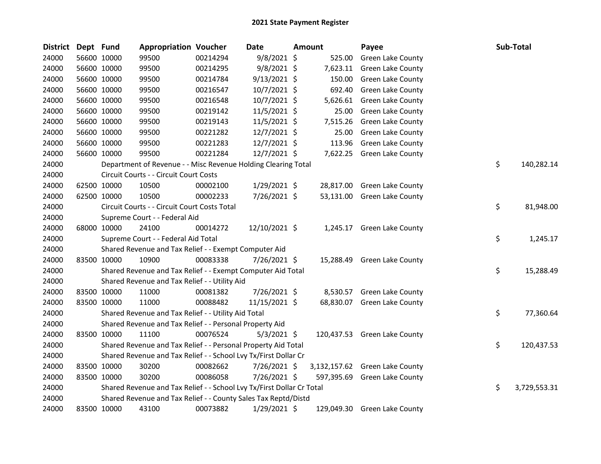| <b>District</b> | Dept Fund |             | <b>Appropriation Voucher</b>                                          |          | Date           | Amount   | Payee                          | Sub-Total          |
|-----------------|-----------|-------------|-----------------------------------------------------------------------|----------|----------------|----------|--------------------------------|--------------------|
| 24000           |           | 56600 10000 | 99500                                                                 | 00214294 | $9/8/2021$ \$  | 525.00   | Green Lake County              |                    |
| 24000           |           | 56600 10000 | 99500                                                                 | 00214295 | $9/8/2021$ \$  | 7,623.11 | <b>Green Lake County</b>       |                    |
| 24000           |           | 56600 10000 | 99500                                                                 | 00214784 | $9/13/2021$ \$ | 150.00   | Green Lake County              |                    |
| 24000           |           | 56600 10000 | 99500                                                                 | 00216547 | 10/7/2021 \$   | 692.40   | <b>Green Lake County</b>       |                    |
| 24000           |           | 56600 10000 | 99500                                                                 | 00216548 | 10/7/2021 \$   |          | 5,626.61 Green Lake County     |                    |
| 24000           |           | 56600 10000 | 99500                                                                 | 00219142 | 11/5/2021 \$   | 25.00    | Green Lake County              |                    |
| 24000           |           | 56600 10000 | 99500                                                                 | 00219143 | 11/5/2021 \$   | 7,515.26 | Green Lake County              |                    |
| 24000           |           | 56600 10000 | 99500                                                                 | 00221282 | $12/7/2021$ \$ | 25.00    | <b>Green Lake County</b>       |                    |
| 24000           |           | 56600 10000 | 99500                                                                 | 00221283 | 12/7/2021 \$   | 113.96   | <b>Green Lake County</b>       |                    |
| 24000           |           | 56600 10000 | 99500                                                                 | 00221284 | 12/7/2021 \$   |          | 7,622.25 Green Lake County     |                    |
| 24000           |           |             | Department of Revenue - - Misc Revenue Holding Clearing Total         |          |                |          |                                | \$<br>140,282.14   |
| 24000           |           |             | Circuit Courts - - Circuit Court Costs                                |          |                |          |                                |                    |
| 24000           |           | 62500 10000 | 10500                                                                 | 00002100 | 1/29/2021 \$   |          | 28,817.00 Green Lake County    |                    |
| 24000           |           | 62500 10000 | 10500                                                                 | 00002233 | 7/26/2021 \$   |          | 53,131.00 Green Lake County    |                    |
| 24000           |           |             | Circuit Courts - - Circuit Court Costs Total                          |          |                |          |                                | \$<br>81,948.00    |
| 24000           |           |             | Supreme Court - - Federal Aid                                         |          |                |          |                                |                    |
| 24000           |           | 68000 10000 | 24100                                                                 | 00014272 | 12/10/2021 \$  |          | 1,245.17 Green Lake County     |                    |
| 24000           |           |             | Supreme Court - - Federal Aid Total                                   |          |                |          |                                | \$<br>1,245.17     |
| 24000           |           |             | Shared Revenue and Tax Relief - - Exempt Computer Aid                 |          |                |          |                                |                    |
| 24000           |           | 83500 10000 | 10900                                                                 | 00083338 | 7/26/2021 \$   |          | 15,288.49 Green Lake County    |                    |
| 24000           |           |             | Shared Revenue and Tax Relief - - Exempt Computer Aid Total           |          |                |          |                                | \$<br>15,288.49    |
| 24000           |           |             | Shared Revenue and Tax Relief - - Utility Aid                         |          |                |          |                                |                    |
| 24000           |           | 83500 10000 | 11000                                                                 | 00081382 | 7/26/2021 \$   |          | 8,530.57 Green Lake County     |                    |
| 24000           |           | 83500 10000 | 11000                                                                 | 00088482 | 11/15/2021 \$  |          | 68,830.07 Green Lake County    |                    |
| 24000           |           |             | Shared Revenue and Tax Relief - - Utility Aid Total                   |          |                |          |                                | \$<br>77,360.64    |
| 24000           |           |             | Shared Revenue and Tax Relief - - Personal Property Aid               |          |                |          |                                |                    |
| 24000           |           | 83500 10000 | 11100                                                                 | 00076524 | $5/3/2021$ \$  |          | 120,437.53 Green Lake County   |                    |
| 24000           |           |             | Shared Revenue and Tax Relief - - Personal Property Aid Total         |          |                |          |                                | \$<br>120,437.53   |
| 24000           |           |             | Shared Revenue and Tax Relief - - School Lvy Tx/First Dollar Cr       |          |                |          |                                |                    |
| 24000           |           | 83500 10000 | 30200                                                                 | 00082662 | 7/26/2021 \$   |          | 3,132,157.62 Green Lake County |                    |
| 24000           |           | 83500 10000 | 30200                                                                 | 00086058 | 7/26/2021 \$   |          | 597,395.69 Green Lake County   |                    |
| 24000           |           |             | Shared Revenue and Tax Relief - - School Lvy Tx/First Dollar Cr Total |          |                |          |                                | \$<br>3,729,553.31 |
| 24000           |           |             | Shared Revenue and Tax Relief - - County Sales Tax Reptd/Distd        |          |                |          |                                |                    |
| 24000           |           | 83500 10000 | 43100                                                                 | 00073882 | 1/29/2021 \$   |          | 129,049.30 Green Lake County   |                    |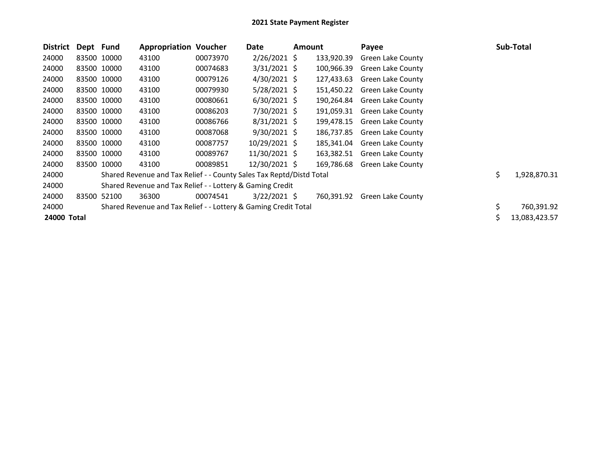| <b>District</b> | Dept Fund |             | <b>Appropriation Voucher</b>                                         |          | Date           | Amount |            | Payee                    | Sub-Total          |
|-----------------|-----------|-------------|----------------------------------------------------------------------|----------|----------------|--------|------------|--------------------------|--------------------|
| 24000           |           | 83500 10000 | 43100                                                                | 00073970 | $2/26/2021$ \$ |        | 133,920.39 | Green Lake County        |                    |
| 24000           |           | 83500 10000 | 43100                                                                | 00074683 | $3/31/2021$ \$ |        | 100,966.39 | Green Lake County        |                    |
| 24000           |           | 83500 10000 | 43100                                                                | 00079126 | 4/30/2021 \$   |        | 127,433.63 | Green Lake County        |                    |
| 24000           |           | 83500 10000 | 43100                                                                | 00079930 | 5/28/2021 \$   |        | 151,450.22 | Green Lake County        |                    |
| 24000           |           | 83500 10000 | 43100                                                                | 00080661 | $6/30/2021$ \$ |        | 190,264.84 | Green Lake County        |                    |
| 24000           |           | 83500 10000 | 43100                                                                | 00086203 | 7/30/2021 \$   |        | 191,059.31 | Green Lake County        |                    |
| 24000           |           | 83500 10000 | 43100                                                                | 00086766 | $8/31/2021$ \$ |        | 199,478.15 | <b>Green Lake County</b> |                    |
| 24000           |           | 83500 10000 | 43100                                                                | 00087068 | $9/30/2021$ \$ |        | 186,737.85 | <b>Green Lake County</b> |                    |
| 24000           |           | 83500 10000 | 43100                                                                | 00087757 | 10/29/2021 \$  |        | 185,341.04 | Green Lake County        |                    |
| 24000           |           | 83500 10000 | 43100                                                                | 00089767 | 11/30/2021 \$  |        | 163,382.51 | <b>Green Lake County</b> |                    |
| 24000           |           | 83500 10000 | 43100                                                                | 00089851 | 12/30/2021 \$  |        | 169,786.68 | Green Lake County        |                    |
| 24000           |           |             | Shared Revenue and Tax Relief - - County Sales Tax Reptd/Distd Total |          |                |        |            |                          | \$<br>1,928,870.31 |
| 24000           |           |             | Shared Revenue and Tax Relief - - Lottery & Gaming Credit            |          |                |        |            |                          |                    |
| 24000           | 83500     | 52100       | 36300                                                                | 00074541 | $3/22/2021$ \$ |        | 760,391.92 | Green Lake County        |                    |
| 24000           |           |             | Shared Revenue and Tax Relief - - Lottery & Gaming Credit Total      |          |                |        |            |                          | \$<br>760,391.92   |
| 24000 Total     |           |             |                                                                      |          |                |        |            |                          | 13,083,423.57      |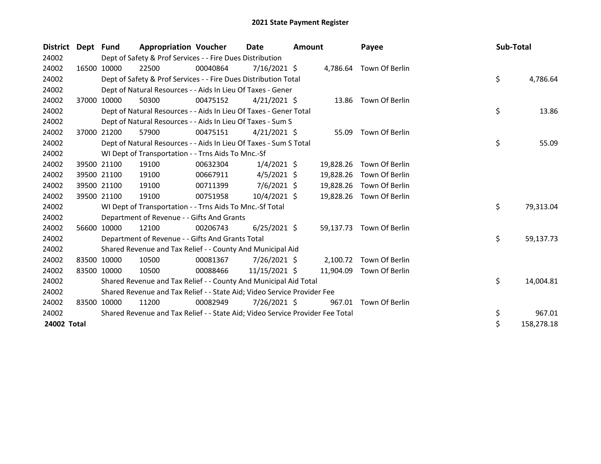| District Dept Fund |       |             | <b>Appropriation Voucher</b>                                                  |          | Date           | <b>Amount</b> |           | Payee                    | Sub-Total |            |
|--------------------|-------|-------------|-------------------------------------------------------------------------------|----------|----------------|---------------|-----------|--------------------------|-----------|------------|
| 24002              |       |             | Dept of Safety & Prof Services - - Fire Dues Distribution                     |          |                |               |           |                          |           |            |
| 24002              |       | 16500 10000 | 22500                                                                         | 00040864 | $7/16/2021$ \$ |               |           | 4,786.64 Town Of Berlin  |           |            |
| 24002              |       |             | Dept of Safety & Prof Services - - Fire Dues Distribution Total               |          |                |               |           |                          | \$        | 4,786.64   |
| 24002              |       |             | Dept of Natural Resources - - Aids In Lieu Of Taxes - Gener                   |          |                |               |           |                          |           |            |
| 24002              |       | 37000 10000 | 50300                                                                         | 00475152 | $4/21/2021$ \$ |               |           | 13.86 Town Of Berlin     |           |            |
| 24002              |       |             | Dept of Natural Resources - - Aids In Lieu Of Taxes - Gener Total             |          |                |               |           |                          | \$        | 13.86      |
| 24002              |       |             | Dept of Natural Resources - - Aids In Lieu Of Taxes - Sum S                   |          |                |               |           |                          |           |            |
| 24002              | 37000 | 21200       | 57900                                                                         | 00475151 | $4/21/2021$ \$ |               | 55.09     | Town Of Berlin           |           |            |
| 24002              |       |             | Dept of Natural Resources - - Aids In Lieu Of Taxes - Sum S Total             |          |                |               |           |                          | \$        | 55.09      |
| 24002              |       |             | WI Dept of Transportation - - Trns Aids To Mnc.-Sf                            |          |                |               |           |                          |           |            |
| 24002              |       | 39500 21100 | 19100                                                                         | 00632304 | $1/4/2021$ \$  |               | 19,828.26 | Town Of Berlin           |           |            |
| 24002              |       | 39500 21100 | 19100                                                                         | 00667911 | $4/5/2021$ \$  |               | 19,828.26 | Town Of Berlin           |           |            |
| 24002              |       | 39500 21100 | 19100                                                                         | 00711399 | $7/6/2021$ \$  |               | 19,828.26 | Town Of Berlin           |           |            |
| 24002              |       | 39500 21100 | 19100                                                                         | 00751958 | 10/4/2021 \$   |               |           | 19,828.26 Town Of Berlin |           |            |
| 24002              |       |             | WI Dept of Transportation - - Trns Aids To Mnc.-Sf Total                      |          |                |               |           |                          | \$        | 79,313.04  |
| 24002              |       |             | Department of Revenue - - Gifts And Grants                                    |          |                |               |           |                          |           |            |
| 24002              |       | 56600 10000 | 12100                                                                         | 00206743 | $6/25/2021$ \$ |               | 59,137.73 | Town Of Berlin           |           |            |
| 24002              |       |             | Department of Revenue - - Gifts And Grants Total                              |          |                |               |           |                          | \$        | 59,137.73  |
| 24002              |       |             | Shared Revenue and Tax Relief - - County And Municipal Aid                    |          |                |               |           |                          |           |            |
| 24002              |       | 83500 10000 | 10500                                                                         | 00081367 | $7/26/2021$ \$ |               |           | 2,100.72 Town Of Berlin  |           |            |
| 24002              |       | 83500 10000 | 10500                                                                         | 00088466 | 11/15/2021 \$  |               | 11,904.09 | Town Of Berlin           |           |            |
| 24002              |       |             | Shared Revenue and Tax Relief - - County And Municipal Aid Total              |          |                |               |           |                          | \$        | 14,004.81  |
| 24002              |       |             | Shared Revenue and Tax Relief - - State Aid; Video Service Provider Fee       |          |                |               |           |                          |           |            |
| 24002              |       | 83500 10000 | 11200                                                                         | 00082949 | 7/26/2021 \$   |               | 967.01    | Town Of Berlin           |           |            |
| 24002              |       |             | Shared Revenue and Tax Relief - - State Aid; Video Service Provider Fee Total |          |                |               |           |                          | \$        | 967.01     |
| 24002 Total        |       |             |                                                                               |          |                |               |           |                          | Ś         | 158,278.18 |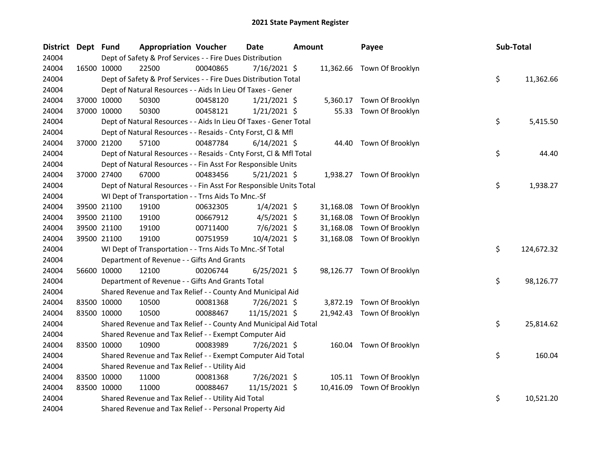| <b>District</b> | Dept Fund |             | <b>Appropriation Voucher</b>                                       |          | <b>Date</b>    | <b>Amount</b> |           | Payee                      | Sub-Total |            |
|-----------------|-----------|-------------|--------------------------------------------------------------------|----------|----------------|---------------|-----------|----------------------------|-----------|------------|
| 24004           |           |             | Dept of Safety & Prof Services - - Fire Dues Distribution          |          |                |               |           |                            |           |            |
| 24004           |           | 16500 10000 | 22500                                                              | 00040865 | 7/16/2021 \$   |               |           | 11,362.66 Town Of Brooklyn |           |            |
| 24004           |           |             | Dept of Safety & Prof Services - - Fire Dues Distribution Total    |          |                |               |           |                            | \$        | 11,362.66  |
| 24004           |           |             | Dept of Natural Resources - - Aids In Lieu Of Taxes - Gener        |          |                |               |           |                            |           |            |
| 24004           |           | 37000 10000 | 50300                                                              | 00458120 | $1/21/2021$ \$ |               | 5,360.17  | Town Of Brooklyn           |           |            |
| 24004           |           | 37000 10000 | 50300                                                              | 00458121 | $1/21/2021$ \$ |               |           | 55.33 Town Of Brooklyn     |           |            |
| 24004           |           |             | Dept of Natural Resources - - Aids In Lieu Of Taxes - Gener Total  |          |                |               |           |                            | \$        | 5,415.50   |
| 24004           |           |             | Dept of Natural Resources - - Resaids - Cnty Forst, Cl & Mfl       |          |                |               |           |                            |           |            |
| 24004           |           | 37000 21200 | 57100                                                              | 00487784 | $6/14/2021$ \$ |               | 44.40     | Town Of Brooklyn           |           |            |
| 24004           |           |             | Dept of Natural Resources - - Resaids - Cnty Forst, Cl & Mfl Total |          |                |               |           |                            | \$        | 44.40      |
| 24004           |           |             | Dept of Natural Resources - - Fin Asst For Responsible Units       |          |                |               |           |                            |           |            |
| 24004           |           | 37000 27400 | 67000                                                              | 00483456 | 5/21/2021 \$   |               |           | 1,938.27 Town Of Brooklyn  |           |            |
| 24004           |           |             | Dept of Natural Resources - - Fin Asst For Responsible Units Total |          |                |               |           |                            | \$        | 1,938.27   |
| 24004           |           |             | WI Dept of Transportation - - Trns Aids To Mnc.-Sf                 |          |                |               |           |                            |           |            |
| 24004           |           | 39500 21100 | 19100                                                              | 00632305 | $1/4/2021$ \$  |               | 31,168.08 | Town Of Brooklyn           |           |            |
| 24004           |           | 39500 21100 | 19100                                                              | 00667912 | $4/5/2021$ \$  |               | 31,168.08 | Town Of Brooklyn           |           |            |
| 24004           |           | 39500 21100 | 19100                                                              | 00711400 | $7/6/2021$ \$  |               | 31,168.08 | Town Of Brooklyn           |           |            |
| 24004           |           | 39500 21100 | 19100                                                              | 00751959 | 10/4/2021 \$   |               | 31,168.08 | Town Of Brooklyn           |           |            |
| 24004           |           |             | WI Dept of Transportation - - Trns Aids To Mnc.-Sf Total           |          |                |               |           |                            | \$        | 124,672.32 |
| 24004           |           |             | Department of Revenue - - Gifts And Grants                         |          |                |               |           |                            |           |            |
| 24004           |           | 56600 10000 | 12100                                                              | 00206744 | $6/25/2021$ \$ |               |           | 98,126.77 Town Of Brooklyn |           |            |
| 24004           |           |             | Department of Revenue - - Gifts And Grants Total                   |          |                |               |           |                            | \$        | 98,126.77  |
| 24004           |           |             | Shared Revenue and Tax Relief - - County And Municipal Aid         |          |                |               |           |                            |           |            |
| 24004           |           | 83500 10000 | 10500                                                              | 00081368 | 7/26/2021 \$   |               |           | 3,872.19 Town Of Brooklyn  |           |            |
| 24004           |           | 83500 10000 | 10500                                                              | 00088467 | 11/15/2021 \$  |               | 21,942.43 | Town Of Brooklyn           |           |            |
| 24004           |           |             | Shared Revenue and Tax Relief - - County And Municipal Aid Total   |          |                |               |           |                            | \$        | 25,814.62  |
| 24004           |           |             | Shared Revenue and Tax Relief - - Exempt Computer Aid              |          |                |               |           |                            |           |            |
| 24004           |           | 83500 10000 | 10900                                                              | 00083989 | 7/26/2021 \$   |               |           | 160.04 Town Of Brooklyn    |           |            |
| 24004           |           |             | Shared Revenue and Tax Relief - - Exempt Computer Aid Total        |          |                |               |           |                            | \$        | 160.04     |
| 24004           |           |             | Shared Revenue and Tax Relief - - Utility Aid                      |          |                |               |           |                            |           |            |
| 24004           |           | 83500 10000 | 11000                                                              | 00081368 | 7/26/2021 \$   |               |           | 105.11 Town Of Brooklyn    |           |            |
| 24004           |           | 83500 10000 | 11000                                                              | 00088467 | 11/15/2021 \$  |               |           | 10,416.09 Town Of Brooklyn |           |            |
| 24004           |           |             | Shared Revenue and Tax Relief - - Utility Aid Total                |          |                |               |           |                            | \$        | 10,521.20  |
| 24004           |           |             | Shared Revenue and Tax Relief - - Personal Property Aid            |          |                |               |           |                            |           |            |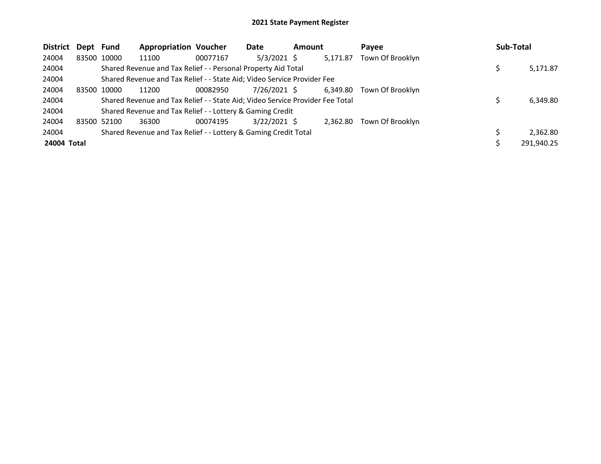| <b>District</b> | Dept Fund |             | <b>Appropriation Voucher</b>                                                  |          | Date           | <b>Amount</b> |          | Pavee            | Sub-Total  |
|-----------------|-----------|-------------|-------------------------------------------------------------------------------|----------|----------------|---------------|----------|------------------|------------|
| 24004           |           | 83500 10000 | 11100                                                                         | 00077167 | $5/3/2021$ \$  |               | 5.171.87 | Town Of Brooklyn |            |
| 24004           |           |             | Shared Revenue and Tax Relief - - Personal Property Aid Total                 |          |                |               |          |                  | 5,171.87   |
| 24004           |           |             | Shared Revenue and Tax Relief - - State Aid; Video Service Provider Fee       |          |                |               |          |                  |            |
| 24004           |           | 83500 10000 | 11200                                                                         | 00082950 | 7/26/2021 \$   |               | 6.349.80 | Town Of Brooklyn |            |
| 24004           |           |             | Shared Revenue and Tax Relief - - State Aid; Video Service Provider Fee Total |          |                |               |          |                  | 6,349.80   |
| 24004           |           |             | Shared Revenue and Tax Relief - - Lottery & Gaming Credit                     |          |                |               |          |                  |            |
| 24004           |           | 83500 52100 | 36300                                                                         | 00074195 | $3/22/2021$ \$ |               | 2.362.80 | Town Of Brooklyn |            |
| 24004           |           |             | Shared Revenue and Tax Relief - - Lottery & Gaming Credit Total               |          |                |               |          |                  | 2.362.80   |
| 24004 Total     |           |             |                                                                               |          |                |               |          |                  | 291,940.25 |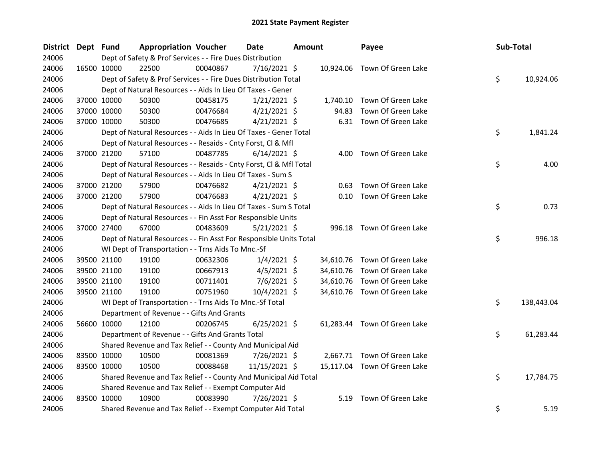| <b>District</b> | Dept Fund   |             | <b>Appropriation Voucher</b>                                       |          | <b>Date</b>    | Amount |           | Payee                        | Sub-Total |            |
|-----------------|-------------|-------------|--------------------------------------------------------------------|----------|----------------|--------|-----------|------------------------------|-----------|------------|
| 24006           |             |             | Dept of Safety & Prof Services - - Fire Dues Distribution          |          |                |        |           |                              |           |            |
| 24006           |             | 16500 10000 | 22500                                                              | 00040867 | $7/16/2021$ \$ |        | 10,924.06 | Town Of Green Lake           |           |            |
| 24006           |             |             | Dept of Safety & Prof Services - - Fire Dues Distribution Total    |          |                |        |           |                              | \$        | 10,924.06  |
| 24006           |             |             | Dept of Natural Resources - - Aids In Lieu Of Taxes - Gener        |          |                |        |           |                              |           |            |
| 24006           |             | 37000 10000 | 50300                                                              | 00458175 | $1/21/2021$ \$ |        | 1,740.10  | Town Of Green Lake           |           |            |
| 24006           |             | 37000 10000 | 50300                                                              | 00476684 | $4/21/2021$ \$ |        | 94.83     | Town Of Green Lake           |           |            |
| 24006           |             | 37000 10000 | 50300                                                              | 00476685 | $4/21/2021$ \$ |        |           | 6.31 Town Of Green Lake      |           |            |
| 24006           |             |             | Dept of Natural Resources - - Aids In Lieu Of Taxes - Gener Total  |          |                |        |           |                              | \$        | 1,841.24   |
| 24006           |             |             | Dept of Natural Resources - - Resaids - Cnty Forst, Cl & Mfl       |          |                |        |           |                              |           |            |
| 24006           |             | 37000 21200 | 57100                                                              | 00487785 | $6/14/2021$ \$ |        | 4.00      | Town Of Green Lake           |           |            |
| 24006           |             |             | Dept of Natural Resources - - Resaids - Cnty Forst, CI & Mfl Total |          |                |        |           |                              | \$        | 4.00       |
| 24006           |             |             | Dept of Natural Resources - - Aids In Lieu Of Taxes - Sum S        |          |                |        |           |                              |           |            |
| 24006           |             | 37000 21200 | 57900                                                              | 00476682 | $4/21/2021$ \$ |        | 0.63      | Town Of Green Lake           |           |            |
| 24006           |             | 37000 21200 | 57900                                                              | 00476683 | $4/21/2021$ \$ |        |           | 0.10 Town Of Green Lake      |           |            |
| 24006           |             |             | Dept of Natural Resources - - Aids In Lieu Of Taxes - Sum S Total  |          |                |        |           |                              | \$        | 0.73       |
| 24006           |             |             | Dept of Natural Resources - - Fin Asst For Responsible Units       |          |                |        |           |                              |           |            |
| 24006           |             | 37000 27400 | 67000                                                              | 00483609 | 5/21/2021 \$   |        |           | 996.18 Town Of Green Lake    |           |            |
| 24006           |             |             | Dept of Natural Resources - - Fin Asst For Responsible Units Total |          |                |        |           |                              | \$        | 996.18     |
| 24006           |             |             | WI Dept of Transportation - - Trns Aids To Mnc.-Sf                 |          |                |        |           |                              |           |            |
| 24006           |             | 39500 21100 | 19100                                                              | 00632306 | $1/4/2021$ \$  |        |           | 34,610.76 Town Of Green Lake |           |            |
| 24006           |             | 39500 21100 | 19100                                                              | 00667913 | $4/5/2021$ \$  |        | 34,610.76 | Town Of Green Lake           |           |            |
| 24006           |             | 39500 21100 | 19100                                                              | 00711401 | 7/6/2021 \$    |        | 34,610.76 | Town Of Green Lake           |           |            |
| 24006           |             | 39500 21100 | 19100                                                              | 00751960 | 10/4/2021 \$   |        |           | 34,610.76 Town Of Green Lake |           |            |
| 24006           |             |             | WI Dept of Transportation - - Trns Aids To Mnc.-Sf Total           |          |                |        |           |                              | \$        | 138,443.04 |
| 24006           |             |             | Department of Revenue - - Gifts And Grants                         |          |                |        |           |                              |           |            |
| 24006           |             | 56600 10000 | 12100                                                              | 00206745 | $6/25/2021$ \$ |        |           | 61,283.44 Town Of Green Lake |           |            |
| 24006           |             |             | Department of Revenue - - Gifts And Grants Total                   |          |                |        |           |                              | \$        | 61,283.44  |
| 24006           |             |             | Shared Revenue and Tax Relief - - County And Municipal Aid         |          |                |        |           |                              |           |            |
| 24006           | 83500 10000 |             | 10500                                                              | 00081369 | 7/26/2021 \$   |        |           | 2,667.71 Town Of Green Lake  |           |            |
| 24006           |             | 83500 10000 | 10500                                                              | 00088468 | 11/15/2021 \$  |        |           | 15,117.04 Town Of Green Lake |           |            |
| 24006           |             |             | Shared Revenue and Tax Relief - - County And Municipal Aid Total   |          |                |        |           |                              | \$        | 17,784.75  |
| 24006           |             |             | Shared Revenue and Tax Relief - - Exempt Computer Aid              |          |                |        |           |                              |           |            |
| 24006           |             | 83500 10000 | 10900                                                              | 00083990 | 7/26/2021 \$   |        | 5.19      | Town Of Green Lake           |           |            |
| 24006           |             |             | Shared Revenue and Tax Relief - - Exempt Computer Aid Total        |          |                |        |           |                              | \$        | 5.19       |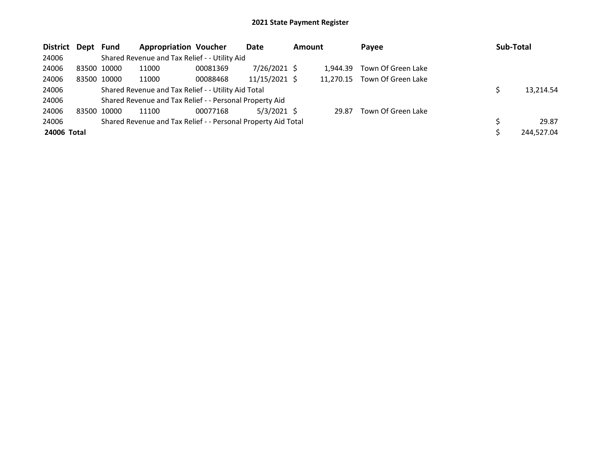| District Dept Fund |       |             | <b>Appropriation Voucher</b>                                  |          | Date           | <b>Amount</b> |           | Payee              | Sub-Total  |
|--------------------|-------|-------------|---------------------------------------------------------------|----------|----------------|---------------|-----------|--------------------|------------|
| 24006              |       |             | Shared Revenue and Tax Relief - - Utility Aid                 |          |                |               |           |                    |            |
| 24006              |       | 83500 10000 | 11000                                                         | 00081369 | $7/26/2021$ \$ |               | 1.944.39  | Town Of Green Lake |            |
| 24006              |       | 83500 10000 | 11000                                                         | 00088468 | 11/15/2021 \$  |               | 11.270.15 | Town Of Green Lake |            |
| 24006              |       |             | Shared Revenue and Tax Relief - - Utility Aid Total           |          |                |               |           |                    | 13.214.54  |
| 24006              |       |             | Shared Revenue and Tax Relief - - Personal Property Aid       |          |                |               |           |                    |            |
| 24006              | 83500 | 10000       | 11100                                                         | 00077168 | $5/3/2021$ \$  |               | 29.87     | Town Of Green Lake |            |
| 24006              |       |             | Shared Revenue and Tax Relief - - Personal Property Aid Total |          |                |               |           |                    | 29.87      |
| 24006 Total        |       |             |                                                               |          |                |               |           |                    | 244,527.04 |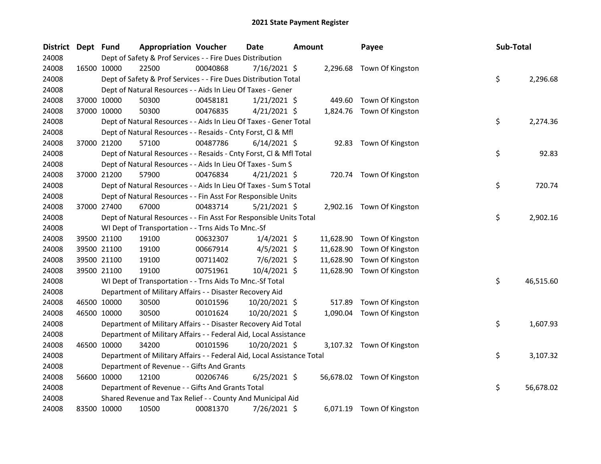| District Dept Fund |             |             | <b>Appropriation Voucher</b>                                           |          | <b>Date</b>    | <b>Amount</b> |           | Payee                      | Sub-Total |           |
|--------------------|-------------|-------------|------------------------------------------------------------------------|----------|----------------|---------------|-----------|----------------------------|-----------|-----------|
| 24008              |             |             | Dept of Safety & Prof Services - - Fire Dues Distribution              |          |                |               |           |                            |           |           |
| 24008              |             | 16500 10000 | 22500                                                                  | 00040868 | 7/16/2021 \$   |               |           | 2,296.68 Town Of Kingston  |           |           |
| 24008              |             |             | Dept of Safety & Prof Services - - Fire Dues Distribution Total        |          |                |               |           |                            | \$        | 2,296.68  |
| 24008              |             |             | Dept of Natural Resources - - Aids In Lieu Of Taxes - Gener            |          |                |               |           |                            |           |           |
| 24008              |             | 37000 10000 | 50300                                                                  | 00458181 | $1/21/2021$ \$ |               | 449.60    | Town Of Kingston           |           |           |
| 24008              | 37000 10000 |             | 50300                                                                  | 00476835 | $4/21/2021$ \$ |               |           | 1,824.76 Town Of Kingston  |           |           |
| 24008              |             |             | Dept of Natural Resources - - Aids In Lieu Of Taxes - Gener Total      |          |                |               |           |                            | \$        | 2,274.36  |
| 24008              |             |             | Dept of Natural Resources - - Resaids - Cnty Forst, Cl & Mfl           |          |                |               |           |                            |           |           |
| 24008              |             | 37000 21200 | 57100                                                                  | 00487786 | $6/14/2021$ \$ |               | 92.83     | Town Of Kingston           |           |           |
| 24008              |             |             | Dept of Natural Resources - - Resaids - Cnty Forst, Cl & Mfl Total     |          |                |               |           |                            | \$        | 92.83     |
| 24008              |             |             | Dept of Natural Resources - - Aids In Lieu Of Taxes - Sum S            |          |                |               |           |                            |           |           |
| 24008              |             | 37000 21200 | 57900                                                                  | 00476834 | $4/21/2021$ \$ |               |           | 720.74 Town Of Kingston    |           |           |
| 24008              |             |             | Dept of Natural Resources - - Aids In Lieu Of Taxes - Sum S Total      |          |                |               |           |                            | \$        | 720.74    |
| 24008              |             |             | Dept of Natural Resources - - Fin Asst For Responsible Units           |          |                |               |           |                            |           |           |
| 24008              | 37000 27400 |             | 67000                                                                  | 00483714 | $5/21/2021$ \$ |               |           | 2,902.16 Town Of Kingston  |           |           |
| 24008              |             |             | Dept of Natural Resources - - Fin Asst For Responsible Units Total     |          |                |               |           |                            | \$        | 2,902.16  |
| 24008              |             |             | WI Dept of Transportation - - Trns Aids To Mnc.-Sf                     |          |                |               |           |                            |           |           |
| 24008              |             | 39500 21100 | 19100                                                                  | 00632307 | $1/4/2021$ \$  |               | 11,628.90 | Town Of Kingston           |           |           |
| 24008              |             | 39500 21100 | 19100                                                                  | 00667914 | $4/5/2021$ \$  |               | 11,628.90 | Town Of Kingston           |           |           |
| 24008              |             | 39500 21100 | 19100                                                                  | 00711402 | $7/6/2021$ \$  |               | 11,628.90 | Town Of Kingston           |           |           |
| 24008              |             | 39500 21100 | 19100                                                                  | 00751961 | 10/4/2021 \$   |               | 11,628.90 | Town Of Kingston           |           |           |
| 24008              |             |             | WI Dept of Transportation - - Trns Aids To Mnc.-Sf Total               |          |                |               |           |                            | \$        | 46,515.60 |
| 24008              |             |             | Department of Military Affairs - - Disaster Recovery Aid               |          |                |               |           |                            |           |           |
| 24008              |             | 46500 10000 | 30500                                                                  | 00101596 | 10/20/2021 \$  |               | 517.89    | Town Of Kingston           |           |           |
| 24008              |             | 46500 10000 | 30500                                                                  | 00101624 | 10/20/2021 \$  |               | 1,090.04  | Town Of Kingston           |           |           |
| 24008              |             |             | Department of Military Affairs - - Disaster Recovery Aid Total         |          |                |               |           |                            | \$        | 1,607.93  |
| 24008              |             |             | Department of Military Affairs - - Federal Aid, Local Assistance       |          |                |               |           |                            |           |           |
| 24008              |             | 46500 10000 | 34200                                                                  | 00101596 | 10/20/2021 \$  |               |           | 3,107.32 Town Of Kingston  |           |           |
| 24008              |             |             | Department of Military Affairs - - Federal Aid, Local Assistance Total |          |                |               |           |                            | \$        | 3,107.32  |
| 24008              |             |             | Department of Revenue - - Gifts And Grants                             |          |                |               |           |                            |           |           |
| 24008              |             | 56600 10000 | 12100                                                                  | 00206746 | $6/25/2021$ \$ |               |           | 56,678.02 Town Of Kingston |           |           |
| 24008              |             |             | Department of Revenue - - Gifts And Grants Total                       |          |                |               |           |                            | \$        | 56,678.02 |
| 24008              |             |             | Shared Revenue and Tax Relief - - County And Municipal Aid             |          |                |               |           |                            |           |           |
| 24008              |             | 83500 10000 | 10500                                                                  | 00081370 | 7/26/2021 \$   |               |           | 6,071.19 Town Of Kingston  |           |           |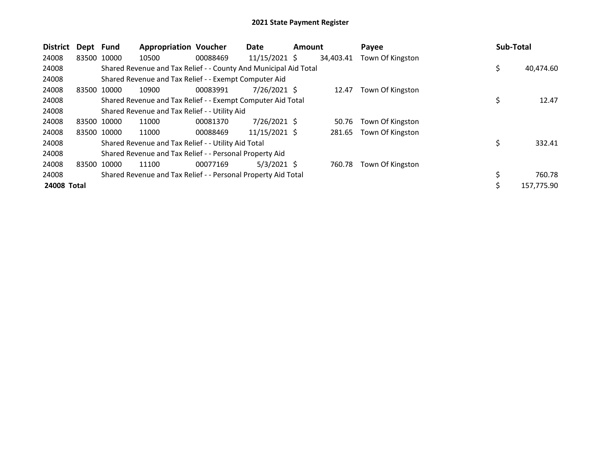| <b>District</b> | Dept Fund   |             | <b>Appropriation Voucher</b>                                     |          | Date            | <b>Amount</b> |           | Payee            | <b>Sub-Total</b> |
|-----------------|-------------|-------------|------------------------------------------------------------------|----------|-----------------|---------------|-----------|------------------|------------------|
| 24008           | 83500 10000 |             | 10500                                                            | 00088469 | $11/15/2021$ \$ |               | 34.403.41 | Town Of Kingston |                  |
| 24008           |             |             | Shared Revenue and Tax Relief - - County And Municipal Aid Total |          |                 |               |           |                  | \$<br>40,474.60  |
| 24008           |             |             | Shared Revenue and Tax Relief - - Exempt Computer Aid            |          |                 |               |           |                  |                  |
| 24008           | 83500 10000 |             | 10900                                                            | 00083991 | $7/26/2021$ \$  |               | 12.47     | Town Of Kingston |                  |
| 24008           |             |             | Shared Revenue and Tax Relief - - Exempt Computer Aid Total      |          |                 |               |           |                  | 12.47            |
| 24008           |             |             | Shared Revenue and Tax Relief - - Utility Aid                    |          |                 |               |           |                  |                  |
| 24008           | 83500 10000 |             | 11000                                                            | 00081370 | $7/26/2021$ \$  |               | 50.76     | Town Of Kingston |                  |
| 24008           |             | 83500 10000 | 11000                                                            | 00088469 | 11/15/2021 \$   |               | 281.65    | Town Of Kingston |                  |
| 24008           |             |             | Shared Revenue and Tax Relief - - Utility Aid Total              |          |                 |               |           |                  | \$<br>332.41     |
| 24008           |             |             | Shared Revenue and Tax Relief - - Personal Property Aid          |          |                 |               |           |                  |                  |
| 24008           | 83500 10000 |             | 11100                                                            | 00077169 | $5/3/2021$ \$   |               | 760.78    | Town Of Kingston |                  |
| 24008           |             |             | Shared Revenue and Tax Relief - - Personal Property Aid Total    |          |                 |               |           |                  | \$<br>760.78     |
| 24008 Total     |             |             |                                                                  |          |                 |               |           |                  | 157,775.90       |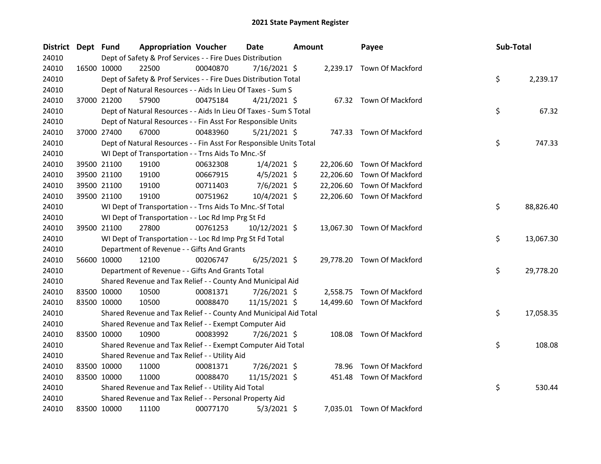| District | Dept Fund |                                                                    | <b>Appropriation Voucher</b> |          | <b>Date</b>     | <b>Amount</b> |           | Payee                      | Sub-Total |           |
|----------|-----------|--------------------------------------------------------------------|------------------------------|----------|-----------------|---------------|-----------|----------------------------|-----------|-----------|
| 24010    |           | Dept of Safety & Prof Services - - Fire Dues Distribution          |                              |          |                 |               |           |                            |           |           |
| 24010    |           | 16500 10000<br>22500                                               |                              | 00040870 | 7/16/2021 \$    |               |           | 2,239.17 Town Of Mackford  |           |           |
| 24010    |           | Dept of Safety & Prof Services - - Fire Dues Distribution Total    |                              |          |                 |               |           |                            | \$        | 2,239.17  |
| 24010    |           | Dept of Natural Resources - - Aids In Lieu Of Taxes - Sum S        |                              |          |                 |               |           |                            |           |           |
| 24010    |           | 37000 21200<br>57900                                               |                              | 00475184 | $4/21/2021$ \$  |               |           | 67.32 Town Of Mackford     |           |           |
| 24010    |           | Dept of Natural Resources - - Aids In Lieu Of Taxes - Sum S Total  |                              |          |                 |               |           |                            | \$        | 67.32     |
| 24010    |           | Dept of Natural Resources - - Fin Asst For Responsible Units       |                              |          |                 |               |           |                            |           |           |
| 24010    |           | 37000 27400<br>67000                                               |                              | 00483960 | $5/21/2021$ \$  |               |           | 747.33 Town Of Mackford    |           |           |
| 24010    |           | Dept of Natural Resources - - Fin Asst For Responsible Units Total |                              |          |                 |               |           |                            | \$        | 747.33    |
| 24010    |           | WI Dept of Transportation - - Trns Aids To Mnc.-Sf                 |                              |          |                 |               |           |                            |           |           |
| 24010    |           | 39500 21100<br>19100                                               |                              | 00632308 | $1/4/2021$ \$   |               | 22,206.60 | Town Of Mackford           |           |           |
| 24010    |           | 39500 21100<br>19100                                               |                              | 00667915 | $4/5/2021$ \$   |               | 22,206.60 | <b>Town Of Mackford</b>    |           |           |
| 24010    |           | 39500 21100<br>19100                                               |                              | 00711403 | $7/6/2021$ \$   |               | 22,206.60 | Town Of Mackford           |           |           |
| 24010    |           | 39500 21100<br>19100                                               |                              | 00751962 | 10/4/2021 \$    |               |           | 22,206.60 Town Of Mackford |           |           |
| 24010    |           | WI Dept of Transportation - - Trns Aids To Mnc.-Sf Total           |                              |          |                 |               |           |                            | \$        | 88,826.40 |
| 24010    |           | WI Dept of Transportation - - Loc Rd Imp Prg St Fd                 |                              |          |                 |               |           |                            |           |           |
| 24010    |           | 39500 21100<br>27800                                               |                              | 00761253 | $10/12/2021$ \$ |               |           | 13,067.30 Town Of Mackford |           |           |
| 24010    |           | WI Dept of Transportation - - Loc Rd Imp Prg St Fd Total           |                              |          |                 |               |           |                            | \$        | 13,067.30 |
| 24010    |           | Department of Revenue - - Gifts And Grants                         |                              |          |                 |               |           |                            |           |           |
| 24010    |           | 56600 10000<br>12100                                               |                              | 00206747 | $6/25/2021$ \$  |               |           | 29,778.20 Town Of Mackford |           |           |
| 24010    |           | Department of Revenue - - Gifts And Grants Total                   |                              |          |                 |               |           |                            | \$        | 29,778.20 |
| 24010    |           | Shared Revenue and Tax Relief - - County And Municipal Aid         |                              |          |                 |               |           |                            |           |           |
| 24010    |           | 83500 10000<br>10500                                               |                              | 00081371 | 7/26/2021 \$    |               | 2,558.75  | Town Of Mackford           |           |           |
| 24010    |           | 83500 10000<br>10500                                               |                              | 00088470 | 11/15/2021 \$   |               |           | 14,499.60 Town Of Mackford |           |           |
| 24010    |           | Shared Revenue and Tax Relief - - County And Municipal Aid Total   |                              |          |                 |               |           |                            | \$        | 17,058.35 |
| 24010    |           | Shared Revenue and Tax Relief - - Exempt Computer Aid              |                              |          |                 |               |           |                            |           |           |
| 24010    |           | 83500 10000<br>10900                                               |                              | 00083992 | 7/26/2021 \$    |               | 108.08    | <b>Town Of Mackford</b>    |           |           |
| 24010    |           | Shared Revenue and Tax Relief - - Exempt Computer Aid Total        |                              |          |                 |               |           |                            | \$        | 108.08    |
| 24010    |           | Shared Revenue and Tax Relief - - Utility Aid                      |                              |          |                 |               |           |                            |           |           |
| 24010    |           | 83500 10000<br>11000                                               |                              | 00081371 | 7/26/2021 \$    |               | 78.96     | <b>Town Of Mackford</b>    |           |           |
| 24010    |           | 11000<br>83500 10000                                               |                              | 00088470 | 11/15/2021 \$   |               | 451.48    | Town Of Mackford           |           |           |
| 24010    |           | Shared Revenue and Tax Relief - - Utility Aid Total                |                              |          |                 |               |           |                            | \$        | 530.44    |
| 24010    |           | Shared Revenue and Tax Relief - - Personal Property Aid            |                              |          |                 |               |           |                            |           |           |
| 24010    |           | 83500 10000<br>11100                                               |                              | 00077170 | $5/3/2021$ \$   |               |           | 7,035.01 Town Of Mackford  |           |           |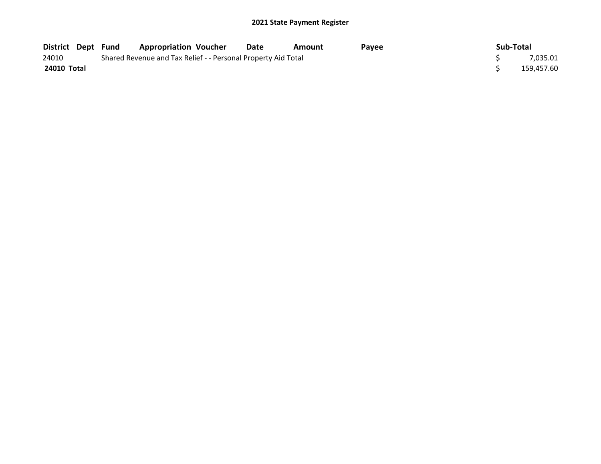| <b>District Dept Fund</b> |  | <b>Appropriation Voucher</b>                                  | Date | Amount | Payee | Sub-Total |            |
|---------------------------|--|---------------------------------------------------------------|------|--------|-------|-----------|------------|
| 24010                     |  | Shared Revenue and Tax Relief - - Personal Property Aid Total |      |        |       |           | 7,035.01   |
| 24010 Total               |  |                                                               |      |        |       |           | 159,457.60 |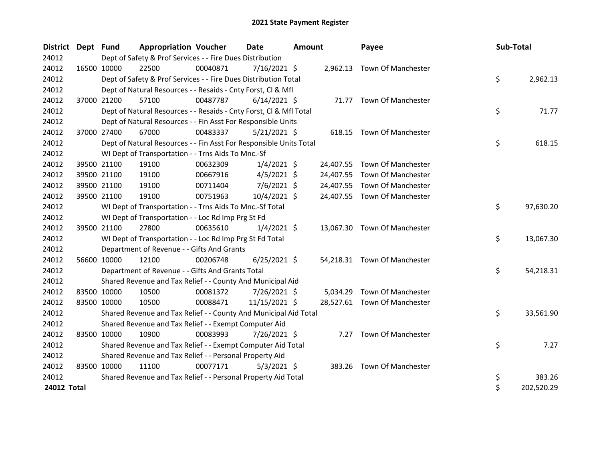| District Dept Fund |             |             | <b>Appropriation Voucher</b>                                       |          | <b>Date</b>    | <b>Amount</b> |           | Payee                        | Sub-Total |            |
|--------------------|-------------|-------------|--------------------------------------------------------------------|----------|----------------|---------------|-----------|------------------------------|-----------|------------|
| 24012              |             |             | Dept of Safety & Prof Services - - Fire Dues Distribution          |          |                |               |           |                              |           |            |
| 24012              |             | 16500 10000 | 22500                                                              | 00040871 | $7/16/2021$ \$ |               |           | 2,962.13 Town Of Manchester  |           |            |
| 24012              |             |             | Dept of Safety & Prof Services - - Fire Dues Distribution Total    |          |                |               |           |                              | \$        | 2,962.13   |
| 24012              |             |             | Dept of Natural Resources - - Resaids - Cnty Forst, Cl & Mfl       |          |                |               |           |                              |           |            |
| 24012              |             | 37000 21200 | 57100                                                              | 00487787 | $6/14/2021$ \$ |               |           | 71.77 Town Of Manchester     |           |            |
| 24012              |             |             | Dept of Natural Resources - - Resaids - Cnty Forst, Cl & Mfl Total |          |                |               |           |                              | \$        | 71.77      |
| 24012              |             |             | Dept of Natural Resources - - Fin Asst For Responsible Units       |          |                |               |           |                              |           |            |
| 24012              | 37000 27400 |             | 67000                                                              | 00483337 | $5/21/2021$ \$ |               |           | 618.15 Town Of Manchester    |           |            |
| 24012              |             |             | Dept of Natural Resources - - Fin Asst For Responsible Units Total |          |                |               |           |                              | \$        | 618.15     |
| 24012              |             |             | WI Dept of Transportation - - Trns Aids To Mnc.-Sf                 |          |                |               |           |                              |           |            |
| 24012              |             | 39500 21100 | 19100                                                              | 00632309 | $1/4/2021$ \$  |               | 24,407.55 | <b>Town Of Manchester</b>    |           |            |
| 24012              |             | 39500 21100 | 19100                                                              | 00667916 | $4/5/2021$ \$  |               | 24,407.55 | <b>Town Of Manchester</b>    |           |            |
| 24012              |             | 39500 21100 | 19100                                                              | 00711404 | $7/6/2021$ \$  |               |           | 24,407.55 Town Of Manchester |           |            |
| 24012              |             | 39500 21100 | 19100                                                              | 00751963 | 10/4/2021 \$   |               |           | 24,407.55 Town Of Manchester |           |            |
| 24012              |             |             | WI Dept of Transportation - - Trns Aids To Mnc.-Sf Total           |          |                |               |           |                              | \$        | 97,630.20  |
| 24012              |             |             | WI Dept of Transportation - - Loc Rd Imp Prg St Fd                 |          |                |               |           |                              |           |            |
| 24012              |             | 39500 21100 | 27800                                                              | 00635610 | $1/4/2021$ \$  |               |           | 13,067.30 Town Of Manchester |           |            |
| 24012              |             |             | WI Dept of Transportation - - Loc Rd Imp Prg St Fd Total           |          |                |               |           |                              | \$        | 13,067.30  |
| 24012              |             |             | Department of Revenue - - Gifts And Grants                         |          |                |               |           |                              |           |            |
| 24012              |             | 56600 10000 | 12100                                                              | 00206748 | $6/25/2021$ \$ |               |           | 54,218.31 Town Of Manchester |           |            |
| 24012              |             |             | Department of Revenue - - Gifts And Grants Total                   |          |                |               |           |                              | \$        | 54,218.31  |
| 24012              |             |             | Shared Revenue and Tax Relief - - County And Municipal Aid         |          |                |               |           |                              |           |            |
| 24012              |             | 83500 10000 | 10500                                                              | 00081372 | 7/26/2021 \$   |               | 5,034.29  | <b>Town Of Manchester</b>    |           |            |
| 24012              |             | 83500 10000 | 10500                                                              | 00088471 | 11/15/2021 \$  |               |           | 28,527.61 Town Of Manchester |           |            |
| 24012              |             |             | Shared Revenue and Tax Relief - - County And Municipal Aid Total   |          |                |               |           |                              | \$        | 33,561.90  |
| 24012              |             |             | Shared Revenue and Tax Relief - - Exempt Computer Aid              |          |                |               |           |                              |           |            |
| 24012              |             | 83500 10000 | 10900                                                              | 00083993 | 7/26/2021 \$   |               |           | 7.27 Town Of Manchester      |           |            |
| 24012              |             |             | Shared Revenue and Tax Relief - - Exempt Computer Aid Total        |          |                |               |           |                              | \$        | 7.27       |
| 24012              |             |             | Shared Revenue and Tax Relief - - Personal Property Aid            |          |                |               |           |                              |           |            |
| 24012              |             | 83500 10000 | 11100                                                              | 00077171 | $5/3/2021$ \$  |               |           | 383.26 Town Of Manchester    |           |            |
| 24012              |             |             | Shared Revenue and Tax Relief - - Personal Property Aid Total      |          |                |               |           |                              | \$        | 383.26     |
| 24012 Total        |             |             |                                                                    |          |                |               |           |                              | \$        | 202,520.29 |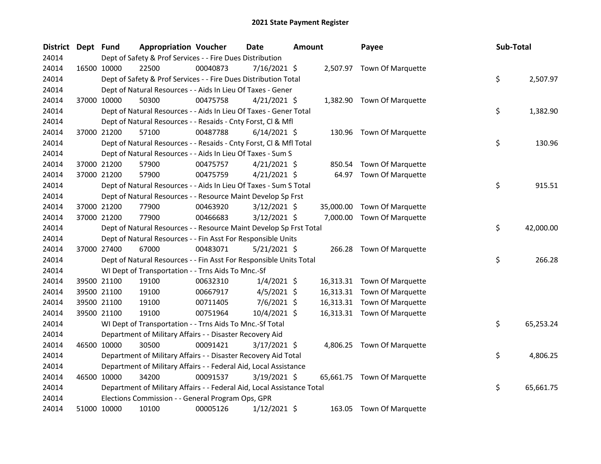| <b>District</b> | Dept Fund |                                                                        | <b>Appropriation Voucher</b> | <b>Date</b>    | <b>Amount</b> | Payee                       | Sub-Total       |
|-----------------|-----------|------------------------------------------------------------------------|------------------------------|----------------|---------------|-----------------------------|-----------------|
| 24014           |           | Dept of Safety & Prof Services - - Fire Dues Distribution              |                              |                |               |                             |                 |
| 24014           |           | 22500<br>16500 10000                                                   | 00040873                     | 7/16/2021 \$   |               | 2,507.97 Town Of Marquette  |                 |
| 24014           |           | Dept of Safety & Prof Services - - Fire Dues Distribution Total        |                              |                |               |                             | \$<br>2,507.97  |
| 24014           |           | Dept of Natural Resources - - Aids In Lieu Of Taxes - Gener            |                              |                |               |                             |                 |
| 24014           |           | 50300<br>37000 10000                                                   | 00475758                     | $4/21/2021$ \$ |               | 1,382.90 Town Of Marquette  |                 |
| 24014           |           | Dept of Natural Resources - - Aids In Lieu Of Taxes - Gener Total      |                              |                |               |                             | \$<br>1,382.90  |
| 24014           |           | Dept of Natural Resources - - Resaids - Cnty Forst, Cl & Mfl           |                              |                |               |                             |                 |
| 24014           |           | 37000 21200<br>57100                                                   | 00487788                     | $6/14/2021$ \$ |               | 130.96 Town Of Marquette    |                 |
| 24014           |           | Dept of Natural Resources - - Resaids - Cnty Forst, Cl & Mfl Total     |                              |                |               |                             | \$<br>130.96    |
| 24014           |           | Dept of Natural Resources - - Aids In Lieu Of Taxes - Sum S            |                              |                |               |                             |                 |
| 24014           |           | 37000 21200<br>57900                                                   | 00475757                     | $4/21/2021$ \$ | 850.54        | Town Of Marquette           |                 |
| 24014           |           | 37000 21200<br>57900                                                   | 00475759                     | $4/21/2021$ \$ | 64.97         | Town Of Marquette           |                 |
| 24014           |           | Dept of Natural Resources - - Aids In Lieu Of Taxes - Sum S Total      |                              |                |               |                             | \$<br>915.51    |
| 24014           |           | Dept of Natural Resources - - Resource Maint Develop Sp Frst           |                              |                |               |                             |                 |
| 24014           |           | 37000 21200<br>77900                                                   | 00463920                     | $3/12/2021$ \$ | 35,000.00     | Town Of Marquette           |                 |
| 24014           |           | 37000 21200<br>77900                                                   | 00466683                     | $3/12/2021$ \$ | 7,000.00      | Town Of Marquette           |                 |
| 24014           |           | Dept of Natural Resources - - Resource Maint Develop Sp Frst Total     |                              |                |               |                             | \$<br>42,000.00 |
| 24014           |           | Dept of Natural Resources - - Fin Asst For Responsible Units           |                              |                |               |                             |                 |
| 24014           |           | 37000 27400<br>67000                                                   | 00483071                     | $5/21/2021$ \$ |               | 266.28 Town Of Marquette    |                 |
| 24014           |           | Dept of Natural Resources - - Fin Asst For Responsible Units Total     |                              |                |               |                             | \$<br>266.28    |
| 24014           |           | WI Dept of Transportation - - Trns Aids To Mnc.-Sf                     |                              |                |               |                             |                 |
| 24014           |           | 39500 21100<br>19100                                                   | 00632310                     | $1/4/2021$ \$  |               | 16,313.31 Town Of Marquette |                 |
| 24014           |           | 39500 21100<br>19100                                                   | 00667917                     | $4/5/2021$ \$  |               | 16,313.31 Town Of Marquette |                 |
| 24014           |           | 39500 21100<br>19100                                                   | 00711405                     | 7/6/2021 \$    |               | 16,313.31 Town Of Marquette |                 |
| 24014           |           | 19100<br>39500 21100                                                   | 00751964                     | $10/4/2021$ \$ |               | 16,313.31 Town Of Marquette |                 |
| 24014           |           | WI Dept of Transportation - - Trns Aids To Mnc.-Sf Total               |                              |                |               |                             | \$<br>65,253.24 |
| 24014           |           | Department of Military Affairs - - Disaster Recovery Aid               |                              |                |               |                             |                 |
| 24014           |           | 46500 10000<br>30500                                                   | 00091421                     | $3/17/2021$ \$ |               | 4,806.25 Town Of Marquette  |                 |
| 24014           |           | Department of Military Affairs - - Disaster Recovery Aid Total         |                              |                |               |                             | \$<br>4,806.25  |
| 24014           |           | Department of Military Affairs - - Federal Aid, Local Assistance       |                              |                |               |                             |                 |
| 24014           |           | 34200<br>46500 10000                                                   | 00091537                     | $3/19/2021$ \$ |               | 65,661.75 Town Of Marquette |                 |
| 24014           |           | Department of Military Affairs - - Federal Aid, Local Assistance Total |                              |                |               |                             | \$<br>65,661.75 |
| 24014           |           | Elections Commission - - General Program Ops, GPR                      |                              |                |               |                             |                 |
| 24014           |           | 51000 10000<br>10100                                                   | 00005126                     | 1/12/2021 \$   | 163.05        | <b>Town Of Marquette</b>    |                 |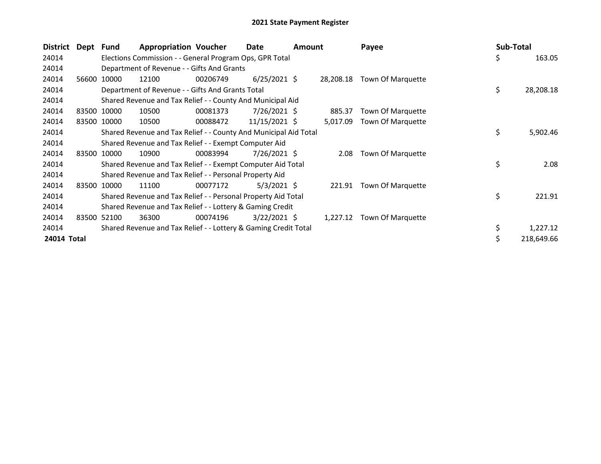| District    | Dept Fund |             | <b>Appropriation Voucher</b>                                     |          | Date           | Amount |           | Payee             | Sub-Total |            |
|-------------|-----------|-------------|------------------------------------------------------------------|----------|----------------|--------|-----------|-------------------|-----------|------------|
| 24014       |           |             | Elections Commission - - General Program Ops, GPR Total          |          |                |        |           |                   | \$        | 163.05     |
| 24014       |           |             | Department of Revenue - - Gifts And Grants                       |          |                |        |           |                   |           |            |
| 24014       | 56600     | 10000       | 12100                                                            | 00206749 | $6/25/2021$ \$ |        | 28,208.18 | Town Of Marquette |           |            |
| 24014       |           |             | Department of Revenue - - Gifts And Grants Total                 |          |                |        |           |                   | \$        | 28,208.18  |
| 24014       |           |             | Shared Revenue and Tax Relief - - County And Municipal Aid       |          |                |        |           |                   |           |            |
| 24014       |           | 83500 10000 | 10500                                                            | 00081373 | 7/26/2021 \$   |        | 885.37    | Town Of Marquette |           |            |
| 24014       |           | 83500 10000 | 10500                                                            | 00088472 | 11/15/2021 \$  |        | 5,017.09  | Town Of Marquette |           |            |
| 24014       |           |             | Shared Revenue and Tax Relief - - County And Municipal Aid Total |          |                |        |           |                   | \$        | 5,902.46   |
| 24014       |           |             | Shared Revenue and Tax Relief - - Exempt Computer Aid            |          |                |        |           |                   |           |            |
| 24014       | 83500     | 10000       | 10900                                                            | 00083994 | 7/26/2021 \$   |        | 2.08      | Town Of Marquette |           |            |
| 24014       |           |             | Shared Revenue and Tax Relief - - Exempt Computer Aid Total      |          |                |        |           |                   | \$        | 2.08       |
| 24014       |           |             | Shared Revenue and Tax Relief - - Personal Property Aid          |          |                |        |           |                   |           |            |
| 24014       | 83500     | 10000       | 11100                                                            | 00077172 | $5/3/2021$ \$  |        | 221.91    | Town Of Marquette |           |            |
| 24014       |           |             | Shared Revenue and Tax Relief - - Personal Property Aid Total    |          |                |        |           |                   | \$        | 221.91     |
| 24014       |           |             | Shared Revenue and Tax Relief - - Lottery & Gaming Credit        |          |                |        |           |                   |           |            |
| 24014       | 83500     | 52100       | 36300                                                            | 00074196 | $3/22/2021$ \$ |        | 1,227.12  | Town Of Marquette |           |            |
| 24014       |           |             | Shared Revenue and Tax Relief - - Lottery & Gaming Credit Total  |          |                |        |           |                   | \$        | 1,227.12   |
| 24014 Total |           |             |                                                                  |          |                |        |           |                   | \$        | 218,649.66 |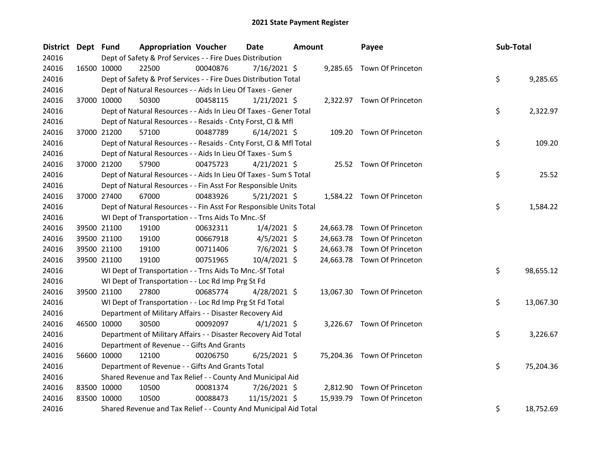| District Dept Fund |             | <b>Appropriation Voucher</b>                                       |          | <b>Date</b>    | <b>Amount</b> |           | Payee                       | Sub-Total |           |
|--------------------|-------------|--------------------------------------------------------------------|----------|----------------|---------------|-----------|-----------------------------|-----------|-----------|
| 24016              |             | Dept of Safety & Prof Services - - Fire Dues Distribution          |          |                |               |           |                             |           |           |
| 24016              | 16500 10000 | 22500                                                              | 00040876 | $7/16/2021$ \$ |               |           | 9,285.65 Town Of Princeton  |           |           |
| 24016              |             | Dept of Safety & Prof Services - - Fire Dues Distribution Total    |          |                |               |           |                             | \$        | 9,285.65  |
| 24016              |             | Dept of Natural Resources - - Aids In Lieu Of Taxes - Gener        |          |                |               |           |                             |           |           |
| 24016              | 37000 10000 | 50300                                                              | 00458115 | $1/21/2021$ \$ |               |           | 2,322.97 Town Of Princeton  |           |           |
| 24016              |             | Dept of Natural Resources - - Aids In Lieu Of Taxes - Gener Total  |          |                |               |           |                             | \$        | 2,322.97  |
| 24016              |             | Dept of Natural Resources - - Resaids - Cnty Forst, Cl & Mfl       |          |                |               |           |                             |           |           |
| 24016              | 37000 21200 | 57100                                                              | 00487789 | $6/14/2021$ \$ |               |           | 109.20 Town Of Princeton    |           |           |
| 24016              |             | Dept of Natural Resources - - Resaids - Cnty Forst, Cl & Mfl Total |          |                |               |           |                             | \$        | 109.20    |
| 24016              |             | Dept of Natural Resources - - Aids In Lieu Of Taxes - Sum S        |          |                |               |           |                             |           |           |
| 24016              | 37000 21200 | 57900                                                              | 00475723 | $4/21/2021$ \$ |               |           | 25.52 Town Of Princeton     |           |           |
| 24016              |             | Dept of Natural Resources - - Aids In Lieu Of Taxes - Sum S Total  |          |                |               |           |                             | \$        | 25.52     |
| 24016              |             | Dept of Natural Resources - - Fin Asst For Responsible Units       |          |                |               |           |                             |           |           |
| 24016              | 37000 27400 | 67000                                                              | 00483926 | $5/21/2021$ \$ |               |           | 1,584.22 Town Of Princeton  |           |           |
| 24016              |             | Dept of Natural Resources - - Fin Asst For Responsible Units Total |          |                |               |           |                             | \$        | 1,584.22  |
| 24016              |             | WI Dept of Transportation - - Trns Aids To Mnc.-Sf                 |          |                |               |           |                             |           |           |
| 24016              | 39500 21100 | 19100                                                              | 00632311 | $1/4/2021$ \$  |               |           | 24,663.78 Town Of Princeton |           |           |
| 24016              | 39500 21100 | 19100                                                              | 00667918 | $4/5/2021$ \$  |               | 24,663.78 | Town Of Princeton           |           |           |
| 24016              | 39500 21100 | 19100                                                              | 00711406 | 7/6/2021 \$    |               | 24,663.78 | Town Of Princeton           |           |           |
| 24016              | 39500 21100 | 19100                                                              | 00751965 | 10/4/2021 \$   |               |           | 24,663.78 Town Of Princeton |           |           |
| 24016              |             | WI Dept of Transportation - - Trns Aids To Mnc.-Sf Total           |          |                |               |           |                             | \$        | 98,655.12 |
| 24016              |             | WI Dept of Transportation - - Loc Rd Imp Prg St Fd                 |          |                |               |           |                             |           |           |
| 24016              | 39500 21100 | 27800                                                              | 00685774 | $4/28/2021$ \$ |               |           | 13,067.30 Town Of Princeton |           |           |
| 24016              |             | WI Dept of Transportation - - Loc Rd Imp Prg St Fd Total           |          |                |               |           |                             | \$        | 13,067.30 |
| 24016              |             | Department of Military Affairs - - Disaster Recovery Aid           |          |                |               |           |                             |           |           |
| 24016              | 46500 10000 | 30500                                                              | 00092097 | $4/1/2021$ \$  |               |           | 3,226.67 Town Of Princeton  |           |           |
| 24016              |             | Department of Military Affairs - - Disaster Recovery Aid Total     |          |                |               |           |                             | \$        | 3,226.67  |
| 24016              |             | Department of Revenue - - Gifts And Grants                         |          |                |               |           |                             |           |           |
| 24016              | 56600 10000 | 12100                                                              | 00206750 | $6/25/2021$ \$ |               |           | 75,204.36 Town Of Princeton |           |           |
| 24016              |             | Department of Revenue - - Gifts And Grants Total                   |          |                |               |           |                             | \$        | 75,204.36 |
| 24016              |             | Shared Revenue and Tax Relief - - County And Municipal Aid         |          |                |               |           |                             |           |           |
| 24016              | 83500 10000 | 10500                                                              | 00081374 | 7/26/2021 \$   |               |           | 2,812.90 Town Of Princeton  |           |           |
| 24016              | 83500 10000 | 10500                                                              | 00088473 | 11/15/2021 \$  |               | 15,939.79 | Town Of Princeton           |           |           |
| 24016              |             | Shared Revenue and Tax Relief - - County And Municipal Aid Total   |          |                |               |           |                             | \$        | 18,752.69 |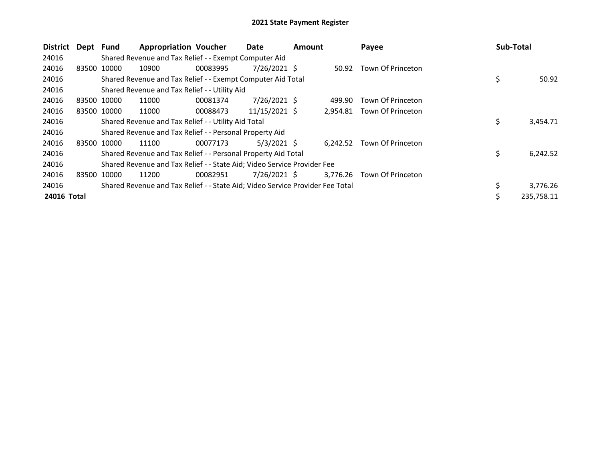| <b>District</b> | Dept Fund |             | <b>Appropriation Voucher</b>                                                  |          | Date           | <b>Amount</b> |          | Payee                   | <b>Sub-Total</b> |            |
|-----------------|-----------|-------------|-------------------------------------------------------------------------------|----------|----------------|---------------|----------|-------------------------|------------------|------------|
| 24016           |           |             | Shared Revenue and Tax Relief - - Exempt Computer Aid                         |          |                |               |          |                         |                  |            |
| 24016           |           | 83500 10000 | 10900                                                                         | 00083995 | 7/26/2021 \$   |               |          | 50.92 Town Of Princeton |                  |            |
| 24016           |           |             | Shared Revenue and Tax Relief - - Exempt Computer Aid Total                   |          |                |               |          |                         | \$               | 50.92      |
| 24016           |           |             | Shared Revenue and Tax Relief - - Utility Aid                                 |          |                |               |          |                         |                  |            |
| 24016           |           | 83500 10000 | 11000                                                                         | 00081374 | 7/26/2021 \$   |               | 499.90   | Town Of Princeton       |                  |            |
| 24016           |           | 83500 10000 | 11000                                                                         | 00088473 | 11/15/2021 \$  |               | 2,954.81 | Town Of Princeton       |                  |            |
| 24016           |           |             | Shared Revenue and Tax Relief - - Utility Aid Total                           |          |                |               |          |                         | \$               | 3,454.71   |
| 24016           |           |             | Shared Revenue and Tax Relief - - Personal Property Aid                       |          |                |               |          |                         |                  |            |
| 24016           |           | 83500 10000 | 11100                                                                         | 00077173 | $5/3/2021$ \$  |               | 6,242.52 | Town Of Princeton       |                  |            |
| 24016           |           |             | Shared Revenue and Tax Relief - - Personal Property Aid Total                 |          |                |               |          |                         | \$               | 6,242.52   |
| 24016           |           |             | Shared Revenue and Tax Relief - - State Aid; Video Service Provider Fee       |          |                |               |          |                         |                  |            |
| 24016           |           | 83500 10000 | 11200                                                                         | 00082951 | $7/26/2021$ \$ |               | 3,776.26 | Town Of Princeton       |                  |            |
| 24016           |           |             | Shared Revenue and Tax Relief - - State Aid; Video Service Provider Fee Total |          |                |               |          |                         | \$               | 3,776.26   |
| 24016 Total     |           |             |                                                                               |          |                |               |          |                         | \$               | 235,758.11 |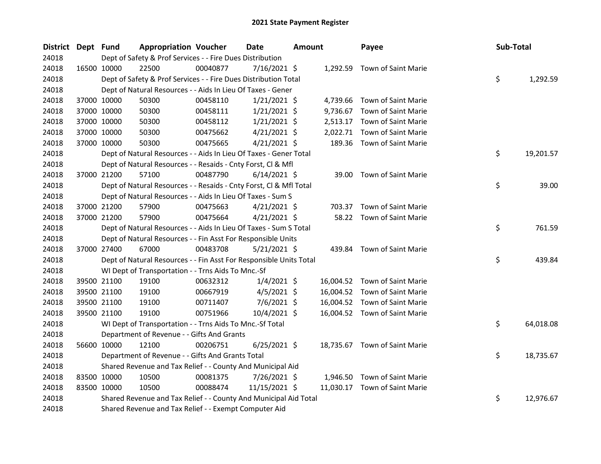| District Dept Fund |             | <b>Appropriation Voucher</b>                                       |          | <b>Date</b>    | <b>Amount</b> |          | Payee                         | Sub-Total |           |
|--------------------|-------------|--------------------------------------------------------------------|----------|----------------|---------------|----------|-------------------------------|-----------|-----------|
| 24018              |             | Dept of Safety & Prof Services - - Fire Dues Distribution          |          |                |               |          |                               |           |           |
| 24018              | 16500 10000 | 22500                                                              | 00040877 | 7/16/2021 \$   |               |          | 1,292.59 Town of Saint Marie  |           |           |
| 24018              |             | Dept of Safety & Prof Services - - Fire Dues Distribution Total    |          |                |               |          |                               | \$        | 1,292.59  |
| 24018              |             | Dept of Natural Resources - - Aids In Lieu Of Taxes - Gener        |          |                |               |          |                               |           |           |
| 24018              | 37000 10000 | 50300                                                              | 00458110 | $1/21/2021$ \$ |               |          | 4,739.66 Town of Saint Marie  |           |           |
| 24018              | 37000 10000 | 50300                                                              | 00458111 | $1/21/2021$ \$ |               | 9,736.67 | Town of Saint Marie           |           |           |
| 24018              | 37000 10000 | 50300                                                              | 00458112 | $1/21/2021$ \$ |               |          | 2,513.17 Town of Saint Marie  |           |           |
| 24018              | 37000 10000 | 50300                                                              | 00475662 | $4/21/2021$ \$ |               |          | 2,022.71 Town of Saint Marie  |           |           |
| 24018              | 37000 10000 | 50300                                                              | 00475665 | $4/21/2021$ \$ |               |          | 189.36 Town of Saint Marie    |           |           |
| 24018              |             | Dept of Natural Resources - - Aids In Lieu Of Taxes - Gener Total  |          |                |               |          |                               | \$        | 19,201.57 |
| 24018              |             | Dept of Natural Resources - - Resaids - Cnty Forst, Cl & Mfl       |          |                |               |          |                               |           |           |
| 24018              | 37000 21200 | 57100                                                              | 00487790 | $6/14/2021$ \$ |               |          | 39.00 Town of Saint Marie     |           |           |
| 24018              |             | Dept of Natural Resources - - Resaids - Cnty Forst, CI & Mfl Total |          |                |               |          |                               | \$        | 39.00     |
| 24018              |             | Dept of Natural Resources - - Aids In Lieu Of Taxes - Sum S        |          |                |               |          |                               |           |           |
| 24018              | 37000 21200 | 57900                                                              | 00475663 | $4/21/2021$ \$ |               |          | 703.37 Town of Saint Marie    |           |           |
| 24018              | 37000 21200 | 57900                                                              | 00475664 | $4/21/2021$ \$ |               |          | 58.22 Town of Saint Marie     |           |           |
| 24018              |             | Dept of Natural Resources - - Aids In Lieu Of Taxes - Sum S Total  |          |                |               |          |                               | \$        | 761.59    |
| 24018              |             | Dept of Natural Resources - - Fin Asst For Responsible Units       |          |                |               |          |                               |           |           |
| 24018              | 37000 27400 | 67000                                                              | 00483708 | $5/21/2021$ \$ |               |          | 439.84 Town of Saint Marie    |           |           |
| 24018              |             | Dept of Natural Resources - - Fin Asst For Responsible Units Total |          |                |               |          |                               | \$        | 439.84    |
| 24018              |             | WI Dept of Transportation - - Trns Aids To Mnc.-Sf                 |          |                |               |          |                               |           |           |
| 24018              | 39500 21100 | 19100                                                              | 00632312 | $1/4/2021$ \$  |               |          | 16,004.52 Town of Saint Marie |           |           |
| 24018              | 39500 21100 | 19100                                                              | 00667919 | $4/5/2021$ \$  |               |          | 16,004.52 Town of Saint Marie |           |           |
| 24018              | 39500 21100 | 19100                                                              | 00711407 | $7/6/2021$ \$  |               |          | 16,004.52 Town of Saint Marie |           |           |
| 24018              | 39500 21100 | 19100                                                              | 00751966 | 10/4/2021 \$   |               |          | 16,004.52 Town of Saint Marie |           |           |
| 24018              |             | WI Dept of Transportation - - Trns Aids To Mnc.-Sf Total           |          |                |               |          |                               | \$        | 64,018.08 |
| 24018              |             | Department of Revenue - - Gifts And Grants                         |          |                |               |          |                               |           |           |
| 24018              | 56600 10000 | 12100                                                              | 00206751 | $6/25/2021$ \$ |               |          | 18,735.67 Town of Saint Marie |           |           |
| 24018              |             | Department of Revenue - - Gifts And Grants Total                   |          |                |               |          |                               | \$        | 18,735.67 |
| 24018              |             | Shared Revenue and Tax Relief - - County And Municipal Aid         |          |                |               |          |                               |           |           |
| 24018              | 83500 10000 | 10500                                                              | 00081375 | 7/26/2021 \$   |               |          | 1,946.50 Town of Saint Marie  |           |           |
| 24018              | 83500 10000 | 10500                                                              | 00088474 | 11/15/2021 \$  |               |          | 11,030.17 Town of Saint Marie |           |           |
| 24018              |             | Shared Revenue and Tax Relief - - County And Municipal Aid Total   |          |                |               |          |                               | \$        | 12,976.67 |
| 24018              |             | Shared Revenue and Tax Relief - - Exempt Computer Aid              |          |                |               |          |                               |           |           |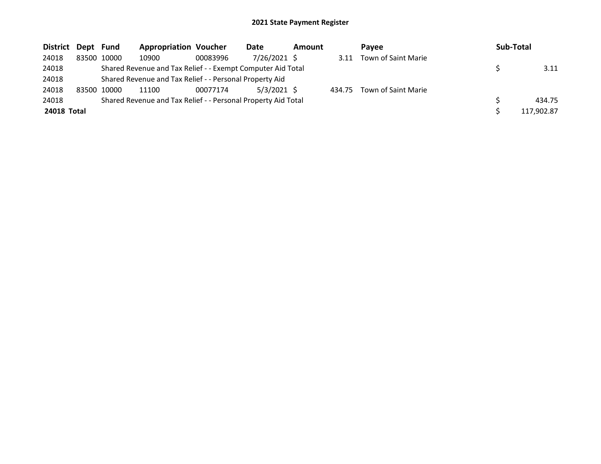| District Dept Fund |       |             | <b>Appropriation Voucher</b>                                  |          | Date          | <b>Amount</b> |        | Pavee               | Sub-Total  |
|--------------------|-------|-------------|---------------------------------------------------------------|----------|---------------|---------------|--------|---------------------|------------|
| 24018              |       | 83500 10000 | 10900                                                         | 00083996 | 7/26/2021 \$  |               | 3.11   | Town of Saint Marie |            |
| 24018              |       |             | Shared Revenue and Tax Relief - - Exempt Computer Aid Total   |          |               |               |        |                     | 3.11       |
| 24018              |       |             | Shared Revenue and Tax Relief - - Personal Property Aid       |          |               |               |        |                     |            |
| 24018              | 83500 | 10000       | 11100                                                         | 00077174 | $5/3/2021$ \$ |               | 434.75 | Town of Saint Marie |            |
| 24018              |       |             | Shared Revenue and Tax Relief - - Personal Property Aid Total |          |               |               |        |                     | 434.75     |
| 24018 Total        |       |             |                                                               |          |               |               |        |                     | 117,902.87 |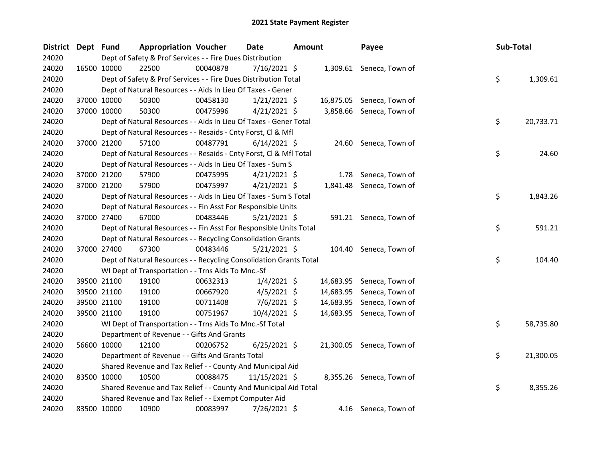| District Dept Fund |             |             | <b>Appropriation Voucher</b>                                       |          | <b>Date</b>    | <b>Amount</b> |      | Payee                     | Sub-Total |           |
|--------------------|-------------|-------------|--------------------------------------------------------------------|----------|----------------|---------------|------|---------------------------|-----------|-----------|
| 24020              |             |             | Dept of Safety & Prof Services - - Fire Dues Distribution          |          |                |               |      |                           |           |           |
| 24020              |             | 16500 10000 | 22500                                                              | 00040878 | $7/16/2021$ \$ |               |      | 1,309.61 Seneca, Town of  |           |           |
| 24020              |             |             | Dept of Safety & Prof Services - - Fire Dues Distribution Total    |          |                |               |      |                           | \$        | 1,309.61  |
| 24020              |             |             | Dept of Natural Resources - - Aids In Lieu Of Taxes - Gener        |          |                |               |      |                           |           |           |
| 24020              |             | 37000 10000 | 50300                                                              | 00458130 | $1/21/2021$ \$ |               |      | 16,875.05 Seneca, Town of |           |           |
| 24020              |             | 37000 10000 | 50300                                                              | 00475996 | $4/21/2021$ \$ |               |      | 3,858.66 Seneca, Town of  |           |           |
| 24020              |             |             | Dept of Natural Resources - - Aids In Lieu Of Taxes - Gener Total  |          |                |               |      |                           | \$        | 20,733.71 |
| 24020              |             |             | Dept of Natural Resources - - Resaids - Cnty Forst, Cl & Mfl       |          |                |               |      |                           |           |           |
| 24020              |             | 37000 21200 | 57100                                                              | 00487791 | $6/14/2021$ \$ |               |      | 24.60 Seneca, Town of     |           |           |
| 24020              |             |             | Dept of Natural Resources - - Resaids - Cnty Forst, CI & Mfl Total |          |                |               |      |                           | \$        | 24.60     |
| 24020              |             |             | Dept of Natural Resources - - Aids In Lieu Of Taxes - Sum S        |          |                |               |      |                           |           |           |
| 24020              |             | 37000 21200 | 57900                                                              | 00475995 | $4/21/2021$ \$ |               | 1.78 | Seneca, Town of           |           |           |
| 24020              |             | 37000 21200 | 57900                                                              | 00475997 | $4/21/2021$ \$ |               |      | 1,841.48 Seneca, Town of  |           |           |
| 24020              |             |             | Dept of Natural Resources - - Aids In Lieu Of Taxes - Sum S Total  |          |                |               |      |                           | \$        | 1,843.26  |
| 24020              |             |             | Dept of Natural Resources - - Fin Asst For Responsible Units       |          |                |               |      |                           |           |           |
| 24020              |             | 37000 27400 | 67000                                                              | 00483446 | $5/21/2021$ \$ |               |      | 591.21 Seneca, Town of    |           |           |
| 24020              |             |             | Dept of Natural Resources - - Fin Asst For Responsible Units Total |          |                |               |      |                           | \$        | 591.21    |
| 24020              |             |             | Dept of Natural Resources - - Recycling Consolidation Grants       |          |                |               |      |                           |           |           |
| 24020              |             | 37000 27400 | 67300                                                              | 00483446 | 5/21/2021 \$   |               |      | 104.40 Seneca, Town of    |           |           |
| 24020              |             |             | Dept of Natural Resources - - Recycling Consolidation Grants Total |          |                |               |      |                           | \$        | 104.40    |
| 24020              |             |             | WI Dept of Transportation - - Trns Aids To Mnc.-Sf                 |          |                |               |      |                           |           |           |
| 24020              |             | 39500 21100 | 19100                                                              | 00632313 | $1/4/2021$ \$  |               |      | 14,683.95 Seneca, Town of |           |           |
| 24020              |             | 39500 21100 | 19100                                                              | 00667920 | $4/5/2021$ \$  |               |      | 14,683.95 Seneca, Town of |           |           |
| 24020              |             | 39500 21100 | 19100                                                              | 00711408 | $7/6/2021$ \$  |               |      | 14,683.95 Seneca, Town of |           |           |
| 24020              |             | 39500 21100 | 19100                                                              | 00751967 | $10/4/2021$ \$ |               |      | 14,683.95 Seneca, Town of |           |           |
| 24020              |             |             | WI Dept of Transportation - - Trns Aids To Mnc.-Sf Total           |          |                |               |      |                           | \$        | 58,735.80 |
| 24020              |             |             | Department of Revenue - - Gifts And Grants                         |          |                |               |      |                           |           |           |
| 24020              |             | 56600 10000 | 12100                                                              | 00206752 | $6/25/2021$ \$ |               |      | 21,300.05 Seneca, Town of |           |           |
| 24020              |             |             | Department of Revenue - - Gifts And Grants Total                   |          |                |               |      |                           | \$        | 21,300.05 |
| 24020              |             |             | Shared Revenue and Tax Relief - - County And Municipal Aid         |          |                |               |      |                           |           |           |
| 24020              |             | 83500 10000 | 10500                                                              | 00088475 | 11/15/2021 \$  |               |      | 8,355.26 Seneca, Town of  |           |           |
| 24020              |             |             | Shared Revenue and Tax Relief - - County And Municipal Aid Total   |          |                |               |      |                           | \$        | 8,355.26  |
| 24020              |             |             | Shared Revenue and Tax Relief - - Exempt Computer Aid              |          |                |               |      |                           |           |           |
| 24020              | 83500 10000 |             | 10900                                                              | 00083997 | 7/26/2021 \$   |               |      | 4.16 Seneca, Town of      |           |           |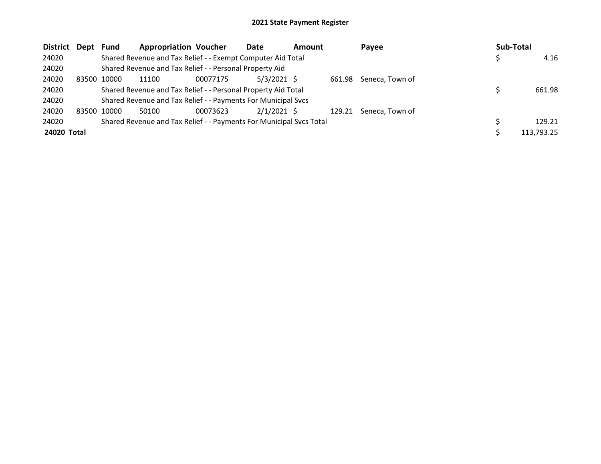| District Dept |       | Fund  | <b>Appropriation Voucher</b>                                        |          | Date          | <b>Amount</b> |        | Payee           | Sub-Total  |
|---------------|-------|-------|---------------------------------------------------------------------|----------|---------------|---------------|--------|-----------------|------------|
| 24020         |       |       | Shared Revenue and Tax Relief - - Exempt Computer Aid Total         |          |               |               |        |                 | 4.16       |
| 24020         |       |       | Shared Revenue and Tax Relief - - Personal Property Aid             |          |               |               |        |                 |            |
| 24020         | 83500 | 10000 | 11100                                                               | 00077175 | $5/3/2021$ \$ |               | 661.98 | Seneca, Town of |            |
| 24020         |       |       | Shared Revenue and Tax Relief - - Personal Property Aid Total       |          |               |               |        |                 | 661.98     |
| 24020         |       |       | Shared Revenue and Tax Relief - - Payments For Municipal Svcs       |          |               |               |        |                 |            |
| 24020         | 83500 | 10000 | 50100                                                               | 00073623 | $2/1/2021$ \$ |               | 129.21 | Seneca, Town of |            |
| 24020         |       |       | Shared Revenue and Tax Relief - - Payments For Municipal Svcs Total |          |               |               |        |                 | 129.21     |
| 24020 Total   |       |       |                                                                     |          |               |               |        |                 | 113,793.25 |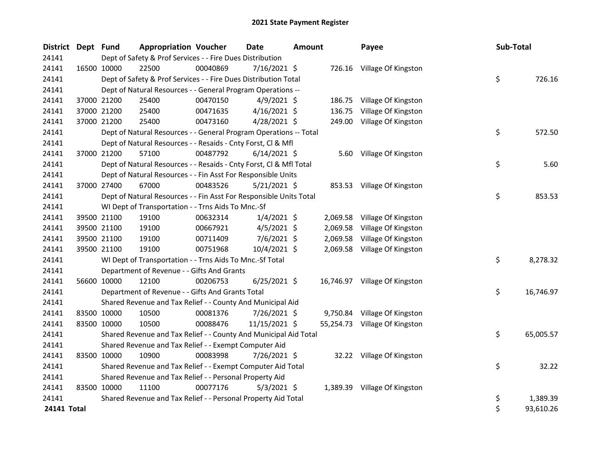|             | District Dept Fund |             | <b>Appropriation Voucher</b>                                       |          | Date           | <b>Amount</b> |          | Payee                         | Sub-Total |           |
|-------------|--------------------|-------------|--------------------------------------------------------------------|----------|----------------|---------------|----------|-------------------------------|-----------|-----------|
| 24141       |                    |             | Dept of Safety & Prof Services - - Fire Dues Distribution          |          |                |               |          |                               |           |           |
| 24141       |                    | 16500 10000 | 22500                                                              | 00040869 | 7/16/2021 \$   |               |          | 726.16 Village Of Kingston    |           |           |
| 24141       |                    |             | Dept of Safety & Prof Services - - Fire Dues Distribution Total    |          |                |               |          |                               | \$        | 726.16    |
| 24141       |                    |             | Dept of Natural Resources - - General Program Operations --        |          |                |               |          |                               |           |           |
| 24141       |                    | 37000 21200 | 25400                                                              | 00470150 | $4/9/2021$ \$  |               |          | 186.75 Village Of Kingston    |           |           |
| 24141       |                    | 37000 21200 | 25400                                                              | 00471635 | $4/16/2021$ \$ |               | 136.75   | Village Of Kingston           |           |           |
| 24141       |                    | 37000 21200 | 25400                                                              | 00473160 | 4/28/2021 \$   |               | 249.00   | Village Of Kingston           |           |           |
| 24141       |                    |             | Dept of Natural Resources - - General Program Operations -- Total  |          |                |               |          |                               | \$        | 572.50    |
| 24141       |                    |             | Dept of Natural Resources - - Resaids - Cnty Forst, Cl & Mfl       |          |                |               |          |                               |           |           |
| 24141       |                    | 37000 21200 | 57100                                                              | 00487792 | $6/14/2021$ \$ |               |          | 5.60 Village Of Kingston      |           |           |
| 24141       |                    |             | Dept of Natural Resources - - Resaids - Cnty Forst, Cl & Mfl Total |          |                |               |          |                               | \$        | 5.60      |
| 24141       |                    |             | Dept of Natural Resources - - Fin Asst For Responsible Units       |          |                |               |          |                               |           |           |
| 24141       |                    | 37000 27400 | 67000                                                              | 00483526 | $5/21/2021$ \$ |               |          | 853.53 Village Of Kingston    |           |           |
| 24141       |                    |             | Dept of Natural Resources - - Fin Asst For Responsible Units Total |          |                |               |          |                               | \$        | 853.53    |
| 24141       |                    |             | WI Dept of Transportation - - Trns Aids To Mnc.-Sf                 |          |                |               |          |                               |           |           |
| 24141       |                    | 39500 21100 | 19100                                                              | 00632314 | $1/4/2021$ \$  |               |          | 2,069.58 Village Of Kingston  |           |           |
| 24141       |                    | 39500 21100 | 19100                                                              | 00667921 | $4/5/2021$ \$  |               | 2,069.58 | Village Of Kingston           |           |           |
| 24141       |                    | 39500 21100 | 19100                                                              | 00711409 | 7/6/2021 \$    |               | 2,069.58 | Village Of Kingston           |           |           |
| 24141       |                    | 39500 21100 | 19100                                                              | 00751968 | 10/4/2021 \$   |               |          | 2,069.58 Village Of Kingston  |           |           |
| 24141       |                    |             | WI Dept of Transportation - - Trns Aids To Mnc.-Sf Total           |          |                |               |          |                               | \$        | 8,278.32  |
| 24141       |                    |             | Department of Revenue - - Gifts And Grants                         |          |                |               |          |                               |           |           |
| 24141       |                    | 56600 10000 | 12100                                                              | 00206753 | $6/25/2021$ \$ |               |          | 16,746.97 Village Of Kingston |           |           |
| 24141       |                    |             | Department of Revenue - - Gifts And Grants Total                   |          |                |               |          |                               | \$        | 16,746.97 |
| 24141       |                    |             | Shared Revenue and Tax Relief - - County And Municipal Aid         |          |                |               |          |                               |           |           |
| 24141       |                    | 83500 10000 | 10500                                                              | 00081376 | 7/26/2021 \$   |               |          | 9,750.84 Village Of Kingston  |           |           |
| 24141       |                    | 83500 10000 | 10500                                                              | 00088476 | 11/15/2021 \$  |               |          | 55,254.73 Village Of Kingston |           |           |
| 24141       |                    |             | Shared Revenue and Tax Relief - - County And Municipal Aid Total   |          |                |               |          |                               | \$        | 65,005.57 |
| 24141       |                    |             | Shared Revenue and Tax Relief - - Exempt Computer Aid              |          |                |               |          |                               |           |           |
| 24141       |                    | 83500 10000 | 10900                                                              | 00083998 | 7/26/2021 \$   |               |          | 32.22 Village Of Kingston     |           |           |
| 24141       |                    |             | Shared Revenue and Tax Relief - - Exempt Computer Aid Total        |          |                |               |          |                               | \$        | 32.22     |
| 24141       |                    |             | Shared Revenue and Tax Relief - - Personal Property Aid            |          |                |               |          |                               |           |           |
| 24141       |                    | 83500 10000 | 11100                                                              | 00077176 | $5/3/2021$ \$  |               |          | 1,389.39 Village Of Kingston  |           |           |
| 24141       |                    |             | Shared Revenue and Tax Relief - - Personal Property Aid Total      |          |                |               |          |                               | \$        | 1,389.39  |
| 24141 Total |                    |             |                                                                    |          |                |               |          |                               | \$        | 93,610.26 |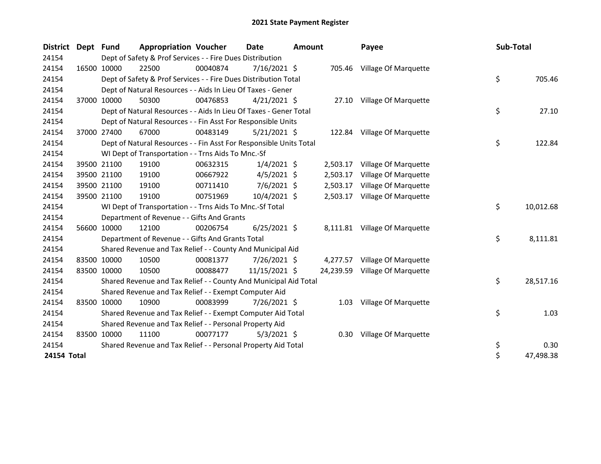| <b>District</b> | Dept Fund |             | <b>Appropriation Voucher</b>                                       |          | Date           | <b>Amount</b> |           | Payee                         | Sub-Total |           |
|-----------------|-----------|-------------|--------------------------------------------------------------------|----------|----------------|---------------|-----------|-------------------------------|-----------|-----------|
| 24154           |           |             | Dept of Safety & Prof Services - - Fire Dues Distribution          |          |                |               |           |                               |           |           |
| 24154           |           | 16500 10000 | 22500                                                              | 00040874 | 7/16/2021 \$   |               | 705.46    | Village Of Marquette          |           |           |
| 24154           |           |             | Dept of Safety & Prof Services - - Fire Dues Distribution Total    |          |                |               |           |                               | \$        | 705.46    |
| 24154           |           |             | Dept of Natural Resources - - Aids In Lieu Of Taxes - Gener        |          |                |               |           |                               |           |           |
| 24154           |           | 37000 10000 | 50300                                                              | 00476853 | $4/21/2021$ \$ |               |           | 27.10 Village Of Marquette    |           |           |
| 24154           |           |             | Dept of Natural Resources - - Aids In Lieu Of Taxes - Gener Total  |          |                |               |           |                               | \$        | 27.10     |
| 24154           |           |             | Dept of Natural Resources - - Fin Asst For Responsible Units       |          |                |               |           |                               |           |           |
| 24154           |           | 37000 27400 | 67000                                                              | 00483149 | $5/21/2021$ \$ |               |           | 122.84 Village Of Marquette   |           |           |
| 24154           |           |             | Dept of Natural Resources - - Fin Asst For Responsible Units Total |          |                |               |           |                               | \$        | 122.84    |
| 24154           |           |             | WI Dept of Transportation - - Trns Aids To Mnc.-Sf                 |          |                |               |           |                               |           |           |
| 24154           |           | 39500 21100 | 19100                                                              | 00632315 | $1/4/2021$ \$  |               | 2,503.17  | Village Of Marquette          |           |           |
| 24154           |           | 39500 21100 | 19100                                                              | 00667922 | $4/5/2021$ \$  |               | 2,503.17  | Village Of Marquette          |           |           |
| 24154           |           | 39500 21100 | 19100                                                              | 00711410 | $7/6/2021$ \$  |               | 2,503.17  | Village Of Marquette          |           |           |
| 24154           |           | 39500 21100 | 19100                                                              | 00751969 | 10/4/2021 \$   |               | 2,503.17  | Village Of Marquette          |           |           |
| 24154           |           |             | WI Dept of Transportation - - Trns Aids To Mnc.-Sf Total           |          |                |               |           |                               | \$        | 10,012.68 |
| 24154           |           |             | Department of Revenue - - Gifts And Grants                         |          |                |               |           |                               |           |           |
| 24154           |           | 56600 10000 | 12100                                                              | 00206754 | $6/25/2021$ \$ |               |           | 8,111.81 Village Of Marquette |           |           |
| 24154           |           |             | Department of Revenue - - Gifts And Grants Total                   |          |                |               |           |                               | \$        | 8,111.81  |
| 24154           |           |             | Shared Revenue and Tax Relief - - County And Municipal Aid         |          |                |               |           |                               |           |           |
| 24154           |           | 83500 10000 | 10500                                                              | 00081377 | 7/26/2021 \$   |               | 4,277.57  | Village Of Marquette          |           |           |
| 24154           |           | 83500 10000 | 10500                                                              | 00088477 | 11/15/2021 \$  |               | 24,239.59 | Village Of Marquette          |           |           |
| 24154           |           |             | Shared Revenue and Tax Relief - - County And Municipal Aid Total   |          |                |               |           |                               | \$        | 28,517.16 |
| 24154           |           |             | Shared Revenue and Tax Relief - - Exempt Computer Aid              |          |                |               |           |                               |           |           |
| 24154           |           | 83500 10000 | 10900                                                              | 00083999 | 7/26/2021 \$   |               |           | 1.03 Village Of Marquette     |           |           |
| 24154           |           |             | Shared Revenue and Tax Relief - - Exempt Computer Aid Total        |          |                |               |           |                               | \$        | 1.03      |
| 24154           |           |             | Shared Revenue and Tax Relief - - Personal Property Aid            |          |                |               |           |                               |           |           |
| 24154           |           | 83500 10000 | 11100                                                              | 00077177 | $5/3/2021$ \$  |               | 0.30      | Village Of Marquette          |           |           |
| 24154           |           |             | Shared Revenue and Tax Relief - - Personal Property Aid Total      |          |                |               |           |                               | \$        | 0.30      |
| 24154 Total     |           |             |                                                                    |          |                |               |           |                               | \$        | 47,498.38 |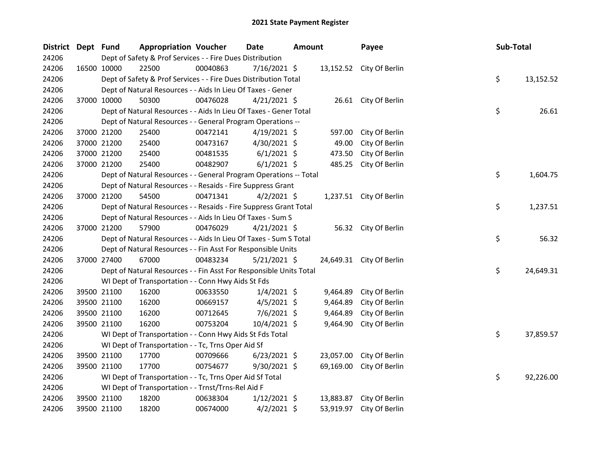| District Dept Fund |             |             | <b>Appropriation Voucher</b>                                       |          | <b>Date</b>    | <b>Amount</b> |           | Payee                    | Sub-Total |           |
|--------------------|-------------|-------------|--------------------------------------------------------------------|----------|----------------|---------------|-----------|--------------------------|-----------|-----------|
| 24206              |             |             | Dept of Safety & Prof Services - - Fire Dues Distribution          |          |                |               |           |                          |           |           |
| 24206              |             | 16500 10000 | 22500                                                              | 00040863 | 7/16/2021 \$   |               |           | 13,152.52 City Of Berlin |           |           |
| 24206              |             |             | Dept of Safety & Prof Services - - Fire Dues Distribution Total    |          |                |               |           |                          | \$        | 13,152.52 |
| 24206              |             |             | Dept of Natural Resources - - Aids In Lieu Of Taxes - Gener        |          |                |               |           |                          |           |           |
| 24206              |             | 37000 10000 | 50300                                                              | 00476028 | $4/21/2021$ \$ |               |           | 26.61 City Of Berlin     |           |           |
| 24206              |             |             | Dept of Natural Resources - - Aids In Lieu Of Taxes - Gener Total  |          |                |               |           |                          | \$        | 26.61     |
| 24206              |             |             | Dept of Natural Resources - - General Program Operations --        |          |                |               |           |                          |           |           |
| 24206              |             | 37000 21200 | 25400                                                              | 00472141 | $4/19/2021$ \$ |               | 597.00    | City Of Berlin           |           |           |
| 24206              |             | 37000 21200 | 25400                                                              | 00473167 | $4/30/2021$ \$ |               | 49.00     | City Of Berlin           |           |           |
| 24206              |             | 37000 21200 | 25400                                                              | 00481535 | $6/1/2021$ \$  |               | 473.50    | City Of Berlin           |           |           |
| 24206              |             | 37000 21200 | 25400                                                              | 00482907 | $6/1/2021$ \$  |               | 485.25    | City Of Berlin           |           |           |
| 24206              |             |             | Dept of Natural Resources - - General Program Operations -- Total  |          |                |               |           |                          | \$        | 1,604.75  |
| 24206              |             |             | Dept of Natural Resources - - Resaids - Fire Suppress Grant        |          |                |               |           |                          |           |           |
| 24206              |             | 37000 21200 | 54500                                                              | 00471341 | $4/2/2021$ \$  |               |           | 1,237.51 City Of Berlin  |           |           |
| 24206              |             |             | Dept of Natural Resources - - Resaids - Fire Suppress Grant Total  |          |                |               |           |                          | \$        | 1,237.51  |
| 24206              |             |             | Dept of Natural Resources - - Aids In Lieu Of Taxes - Sum S        |          |                |               |           |                          |           |           |
| 24206              |             | 37000 21200 | 57900                                                              | 00476029 | $4/21/2021$ \$ |               |           | 56.32 City Of Berlin     |           |           |
| 24206              |             |             | Dept of Natural Resources - - Aids In Lieu Of Taxes - Sum S Total  |          |                |               |           |                          | \$        | 56.32     |
| 24206              |             |             | Dept of Natural Resources - - Fin Asst For Responsible Units       |          |                |               |           |                          |           |           |
| 24206              |             | 37000 27400 | 67000                                                              | 00483234 | $5/21/2021$ \$ |               |           | 24,649.31 City Of Berlin |           |           |
| 24206              |             |             | Dept of Natural Resources - - Fin Asst For Responsible Units Total |          |                |               |           |                          | \$        | 24,649.31 |
| 24206              |             |             | WI Dept of Transportation - - Conn Hwy Aids St Fds                 |          |                |               |           |                          |           |           |
| 24206              |             | 39500 21100 | 16200                                                              | 00633550 | $1/4/2021$ \$  |               | 9,464.89  | City Of Berlin           |           |           |
| 24206              |             | 39500 21100 | 16200                                                              | 00669157 | $4/5/2021$ \$  |               | 9,464.89  | City Of Berlin           |           |           |
| 24206              |             | 39500 21100 | 16200                                                              | 00712645 | $7/6/2021$ \$  |               | 9,464.89  | City Of Berlin           |           |           |
| 24206              |             | 39500 21100 | 16200                                                              | 00753204 | 10/4/2021 \$   |               | 9,464.90  | City Of Berlin           |           |           |
| 24206              |             |             | WI Dept of Transportation - - Conn Hwy Aids St Fds Total           |          |                |               |           |                          | \$        | 37,859.57 |
| 24206              |             |             | WI Dept of Transportation - - Tc, Trns Oper Aid Sf                 |          |                |               |           |                          |           |           |
| 24206              |             | 39500 21100 | 17700                                                              | 00709666 | $6/23/2021$ \$ |               | 23,057.00 | City Of Berlin           |           |           |
| 24206              |             | 39500 21100 | 17700                                                              | 00754677 | 9/30/2021 \$   |               | 69,169.00 | City Of Berlin           |           |           |
| 24206              |             |             | WI Dept of Transportation - - Tc, Trns Oper Aid Sf Total           |          |                |               |           |                          | \$        | 92,226.00 |
| 24206              |             |             | WI Dept of Transportation - - Trnst/Trns-Rel Aid F                 |          |                |               |           |                          |           |           |
| 24206              |             | 39500 21100 | 18200                                                              | 00638304 | $1/12/2021$ \$ |               | 13,883.87 | City Of Berlin           |           |           |
| 24206              | 39500 21100 |             | 18200                                                              | 00674000 | $4/2/2021$ \$  |               | 53,919.97 | City Of Berlin           |           |           |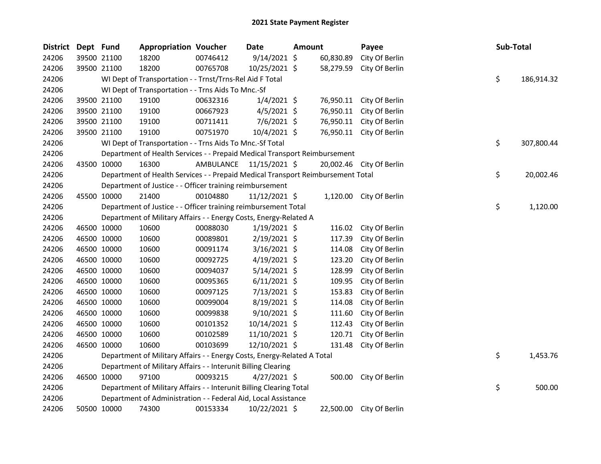| <b>District</b> | Dept Fund |             | <b>Appropriation Voucher</b>                                                    |                         | Date           | Amount |           | Payee                    | Sub-Total |            |
|-----------------|-----------|-------------|---------------------------------------------------------------------------------|-------------------------|----------------|--------|-----------|--------------------------|-----------|------------|
| 24206           |           | 39500 21100 | 18200                                                                           | 00746412                | $9/14/2021$ \$ |        | 60,830.89 | City Of Berlin           |           |            |
| 24206           |           | 39500 21100 | 18200                                                                           | 00765708                | 10/25/2021 \$  |        | 58,279.59 | City Of Berlin           |           |            |
| 24206           |           |             | WI Dept of Transportation - - Trnst/Trns-Rel Aid F Total                        |                         |                |        |           |                          | \$.       | 186,914.32 |
| 24206           |           |             | WI Dept of Transportation - - Trns Aids To Mnc.-Sf                              |                         |                |        |           |                          |           |            |
| 24206           |           | 39500 21100 | 19100                                                                           | 00632316                | $1/4/2021$ \$  |        | 76,950.11 | City Of Berlin           |           |            |
| 24206           |           | 39500 21100 | 19100                                                                           | 00667923                | $4/5/2021$ \$  |        | 76,950.11 | City Of Berlin           |           |            |
| 24206           |           | 39500 21100 | 19100                                                                           | 00711411                | $7/6/2021$ \$  |        | 76,950.11 | City Of Berlin           |           |            |
| 24206           |           | 39500 21100 | 19100                                                                           | 00751970                | 10/4/2021 \$   |        |           | 76,950.11 City Of Berlin |           |            |
| 24206           |           |             | WI Dept of Transportation - - Trns Aids To Mnc.-Sf Total                        |                         |                |        |           |                          | \$        | 307,800.44 |
| 24206           |           |             | Department of Health Services - - Prepaid Medical Transport Reimbursement       |                         |                |        |           |                          |           |            |
| 24206           |           | 43500 10000 | 16300                                                                           | AMBULANCE 11/15/2021 \$ |                |        |           | 20,002.46 City Of Berlin |           |            |
| 24206           |           |             | Department of Health Services - - Prepaid Medical Transport Reimbursement Total |                         |                |        |           |                          | \$.       | 20,002.46  |
| 24206           |           |             | Department of Justice - - Officer training reimbursement                        |                         |                |        |           |                          |           |            |
| 24206           |           | 45500 10000 | 21400                                                                           | 00104880                | 11/12/2021 \$  |        |           | 1,120.00 City Of Berlin  |           |            |
| 24206           |           |             | Department of Justice - - Officer training reimbursement Total                  |                         |                |        |           |                          | \$        | 1,120.00   |
| 24206           |           |             | Department of Military Affairs - - Energy Costs, Energy-Related A               |                         |                |        |           |                          |           |            |
| 24206           |           | 46500 10000 | 10600                                                                           | 00088030                | $1/19/2021$ \$ |        | 116.02    | City Of Berlin           |           |            |
| 24206           |           | 46500 10000 | 10600                                                                           | 00089801                | 2/19/2021 \$   |        | 117.39    | City Of Berlin           |           |            |
| 24206           |           | 46500 10000 | 10600                                                                           | 00091174                | $3/16/2021$ \$ |        | 114.08    | City Of Berlin           |           |            |
| 24206           |           | 46500 10000 | 10600                                                                           | 00092725                | $4/19/2021$ \$ |        | 123.20    | City Of Berlin           |           |            |
| 24206           |           | 46500 10000 | 10600                                                                           | 00094037                | $5/14/2021$ \$ |        | 128.99    | City Of Berlin           |           |            |
| 24206           |           | 46500 10000 | 10600                                                                           | 00095365                | $6/11/2021$ \$ |        | 109.95    | City Of Berlin           |           |            |
| 24206           |           | 46500 10000 | 10600                                                                           | 00097125                | 7/13/2021 \$   |        | 153.83    | City Of Berlin           |           |            |
| 24206           |           | 46500 10000 | 10600                                                                           | 00099004                | 8/19/2021 \$   |        | 114.08    | City Of Berlin           |           |            |
| 24206           |           | 46500 10000 | 10600                                                                           | 00099838                | $9/10/2021$ \$ |        | 111.60    | City Of Berlin           |           |            |
| 24206           |           | 46500 10000 | 10600                                                                           | 00101352                | 10/14/2021 \$  |        | 112.43    | City Of Berlin           |           |            |
| 24206           |           | 46500 10000 | 10600                                                                           | 00102589                | 11/10/2021 \$  |        | 120.71    | City Of Berlin           |           |            |
| 24206           |           | 46500 10000 | 10600                                                                           | 00103699                | 12/10/2021 \$  |        | 131.48    | City Of Berlin           |           |            |
| 24206           |           |             | Department of Military Affairs - - Energy Costs, Energy-Related A Total         |                         |                |        |           |                          | \$        | 1,453.76   |
| 24206           |           |             | Department of Military Affairs - - Interunit Billing Clearing                   |                         |                |        |           |                          |           |            |
| 24206           |           | 46500 10000 | 97100                                                                           | 00093215                | $4/27/2021$ \$ |        | 500.00    | City Of Berlin           |           |            |
| 24206           |           |             | Department of Military Affairs - - Interunit Billing Clearing Total             |                         |                |        |           |                          | \$        | 500.00     |
| 24206           |           |             | Department of Administration - - Federal Aid, Local Assistance                  |                         |                |        |           |                          |           |            |
| 24206           |           | 50500 10000 | 74300                                                                           | 00153334                | 10/22/2021 \$  |        |           | 22,500.00 City Of Berlin |           |            |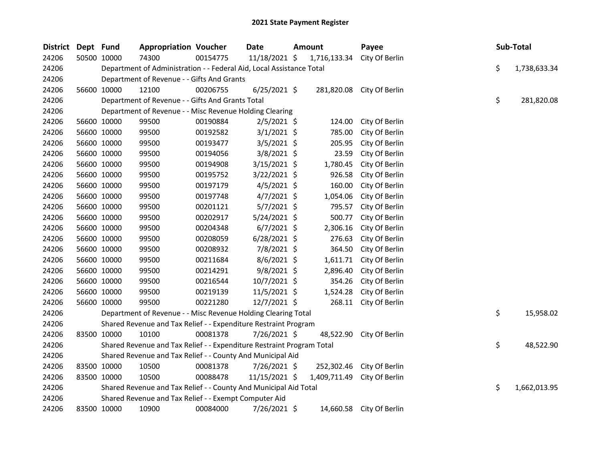| <b>District</b> | Dept Fund |             | <b>Appropriation Voucher</b>                                          |          | <b>Date</b>    | Amount       | Payee                     |    | Sub-Total    |
|-----------------|-----------|-------------|-----------------------------------------------------------------------|----------|----------------|--------------|---------------------------|----|--------------|
| 24206           |           | 50500 10000 | 74300                                                                 | 00154775 | 11/18/2021 \$  | 1,716,133.34 | City Of Berlin            |    |              |
| 24206           |           |             | Department of Administration - - Federal Aid, Local Assistance Total  |          |                |              |                           | \$ | 1,738,633.34 |
| 24206           |           |             | Department of Revenue - - Gifts And Grants                            |          |                |              |                           |    |              |
| 24206           |           | 56600 10000 | 12100                                                                 | 00206755 | $6/25/2021$ \$ |              | 281,820.08 City Of Berlin |    |              |
| 24206           |           |             | Department of Revenue - - Gifts And Grants Total                      |          |                |              |                           | \$ | 281,820.08   |
| 24206           |           |             | Department of Revenue - - Misc Revenue Holding Clearing               |          |                |              |                           |    |              |
| 24206           |           | 56600 10000 | 99500                                                                 | 00190884 | $2/5/2021$ \$  | 124.00       | City Of Berlin            |    |              |
| 24206           |           | 56600 10000 | 99500                                                                 | 00192582 | $3/1/2021$ \$  | 785.00       | City Of Berlin            |    |              |
| 24206           |           | 56600 10000 | 99500                                                                 | 00193477 | $3/5/2021$ \$  | 205.95       | City Of Berlin            |    |              |
| 24206           |           | 56600 10000 | 99500                                                                 | 00194056 | $3/8/2021$ \$  | 23.59        | City Of Berlin            |    |              |
| 24206           |           | 56600 10000 | 99500                                                                 | 00194908 | $3/15/2021$ \$ | 1,780.45     | City Of Berlin            |    |              |
| 24206           |           | 56600 10000 | 99500                                                                 | 00195752 | 3/22/2021 \$   | 926.58       | City Of Berlin            |    |              |
| 24206           |           | 56600 10000 | 99500                                                                 | 00197179 | $4/5/2021$ \$  | 160.00       | City Of Berlin            |    |              |
| 24206           |           | 56600 10000 | 99500                                                                 | 00197748 | $4/7/2021$ \$  | 1,054.06     | City Of Berlin            |    |              |
| 24206           |           | 56600 10000 | 99500                                                                 | 00201121 | $5/7/2021$ \$  | 795.57       | City Of Berlin            |    |              |
| 24206           |           | 56600 10000 | 99500                                                                 | 00202917 | $5/24/2021$ \$ | 500.77       | City Of Berlin            |    |              |
| 24206           |           | 56600 10000 | 99500                                                                 | 00204348 | $6/7/2021$ \$  | 2,306.16     | City Of Berlin            |    |              |
| 24206           |           | 56600 10000 | 99500                                                                 | 00208059 | $6/28/2021$ \$ | 276.63       | City Of Berlin            |    |              |
| 24206           |           | 56600 10000 | 99500                                                                 | 00208932 | 7/8/2021 \$    | 364.50       | City Of Berlin            |    |              |
| 24206           |           | 56600 10000 | 99500                                                                 | 00211684 | $8/6/2021$ \$  | 1,611.71     | City Of Berlin            |    |              |
| 24206           |           | 56600 10000 | 99500                                                                 | 00214291 | $9/8/2021$ \$  | 2,896.40     | City Of Berlin            |    |              |
| 24206           |           | 56600 10000 | 99500                                                                 | 00216544 | 10/7/2021 \$   | 354.26       | City Of Berlin            |    |              |
| 24206           |           | 56600 10000 | 99500                                                                 | 00219139 | 11/5/2021 \$   | 1,524.28     | City Of Berlin            |    |              |
| 24206           |           | 56600 10000 | 99500                                                                 | 00221280 | 12/7/2021 \$   | 268.11       | City Of Berlin            |    |              |
| 24206           |           |             | Department of Revenue - - Misc Revenue Holding Clearing Total         |          |                |              |                           | \$ | 15,958.02    |
| 24206           |           |             | Shared Revenue and Tax Relief - - Expenditure Restraint Program       |          |                |              |                           |    |              |
| 24206           |           | 83500 10000 | 10100                                                                 | 00081378 | 7/26/2021 \$   | 48,522.90    | City Of Berlin            |    |              |
| 24206           |           |             | Shared Revenue and Tax Relief - - Expenditure Restraint Program Total |          |                |              |                           | \$ | 48,522.90    |
| 24206           |           |             | Shared Revenue and Tax Relief - - County And Municipal Aid            |          |                |              |                           |    |              |
| 24206           |           | 83500 10000 | 10500                                                                 | 00081378 | 7/26/2021 \$   | 252,302.46   | City Of Berlin            |    |              |
| 24206           |           | 83500 10000 | 10500                                                                 | 00088478 | 11/15/2021 \$  | 1,409,711.49 | City Of Berlin            |    |              |
| 24206           |           |             | Shared Revenue and Tax Relief - - County And Municipal Aid Total      |          |                |              |                           | \$ | 1,662,013.95 |
| 24206           |           |             | Shared Revenue and Tax Relief - - Exempt Computer Aid                 |          |                |              |                           |    |              |
| 24206           |           | 83500 10000 | 10900                                                                 | 00084000 | 7/26/2021 \$   |              | 14,660.58 City Of Berlin  |    |              |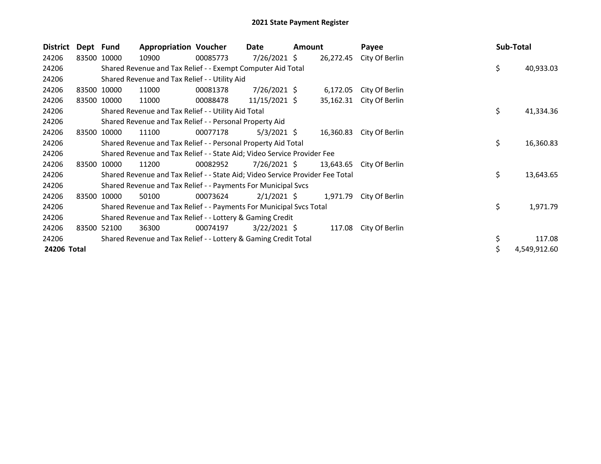| <b>District</b> | Dept Fund |             | <b>Appropriation Voucher</b>                                                  |          | Date            | <b>Amount</b> |           | Payee          |    | Sub-Total    |
|-----------------|-----------|-------------|-------------------------------------------------------------------------------|----------|-----------------|---------------|-----------|----------------|----|--------------|
| 24206           |           | 83500 10000 | 10900                                                                         | 00085773 | $7/26/2021$ \$  |               | 26,272.45 | City Of Berlin |    |              |
| 24206           |           |             | Shared Revenue and Tax Relief - - Exempt Computer Aid Total                   |          |                 |               |           |                | \$ | 40,933.03    |
| 24206           |           |             | Shared Revenue and Tax Relief - - Utility Aid                                 |          |                 |               |           |                |    |              |
| 24206           |           | 83500 10000 | 11000                                                                         | 00081378 | $7/26/2021$ \$  |               | 6,172.05  | City Of Berlin |    |              |
| 24206           | 83500     | 10000       | 11000                                                                         | 00088478 | $11/15/2021$ \$ |               | 35,162.31 | City Of Berlin |    |              |
| 24206           |           |             | Shared Revenue and Tax Relief - - Utility Aid Total                           |          |                 |               |           |                | \$ | 41,334.36    |
| 24206           |           |             | Shared Revenue and Tax Relief - - Personal Property Aid                       |          |                 |               |           |                |    |              |
| 24206           | 83500     | 10000       | 11100                                                                         | 00077178 | $5/3/2021$ \$   |               | 16,360.83 | City Of Berlin |    |              |
| 24206           |           |             | Shared Revenue and Tax Relief - - Personal Property Aid Total                 |          |                 |               |           |                | \$ | 16,360.83    |
| 24206           |           |             | Shared Revenue and Tax Relief - - State Aid; Video Service Provider Fee       |          |                 |               |           |                |    |              |
| 24206           | 83500     | 10000       | 11200                                                                         | 00082952 | $7/26/2021$ \$  |               | 13,643.65 | City Of Berlin |    |              |
| 24206           |           |             | Shared Revenue and Tax Relief - - State Aid; Video Service Provider Fee Total |          |                 |               |           |                | \$ | 13,643.65    |
| 24206           |           |             | Shared Revenue and Tax Relief - - Payments For Municipal Svcs                 |          |                 |               |           |                |    |              |
| 24206           | 83500     | 10000       | 50100                                                                         | 00073624 | $2/1/2021$ \$   |               | 1,971.79  | City Of Berlin |    |              |
| 24206           |           |             | Shared Revenue and Tax Relief - - Payments For Municipal Svcs Total           |          |                 |               |           |                | \$ | 1,971.79     |
| 24206           |           |             | Shared Revenue and Tax Relief - - Lottery & Gaming Credit                     |          |                 |               |           |                |    |              |
| 24206           | 83500     | 52100       | 36300                                                                         | 00074197 | $3/22/2021$ \$  |               | 117.08    | City Of Berlin |    |              |
| 24206           |           |             | Shared Revenue and Tax Relief - - Lottery & Gaming Credit Total               |          |                 |               |           |                | \$ | 117.08       |
| 24206 Total     |           |             |                                                                               |          |                 |               |           |                | \$ | 4,549,912.60 |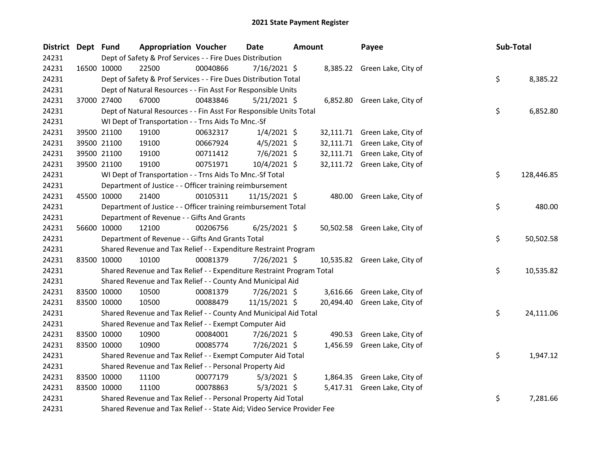| <b>District</b> | Dept Fund |             | <b>Appropriation Voucher</b>                                            |          | Date           | <b>Amount</b> |        | Payee                         | Sub-Total |            |
|-----------------|-----------|-------------|-------------------------------------------------------------------------|----------|----------------|---------------|--------|-------------------------------|-----------|------------|
| 24231           |           |             | Dept of Safety & Prof Services - - Fire Dues Distribution               |          |                |               |        |                               |           |            |
| 24231           |           | 16500 10000 | 22500                                                                   | 00040866 | 7/16/2021 \$   |               |        | 8,385.22 Green Lake, City of  |           |            |
| 24231           |           |             | Dept of Safety & Prof Services - - Fire Dues Distribution Total         |          |                |               |        |                               | \$        | 8,385.22   |
| 24231           |           |             | Dept of Natural Resources - - Fin Asst For Responsible Units            |          |                |               |        |                               |           |            |
| 24231           |           | 37000 27400 | 67000                                                                   | 00483846 | $5/21/2021$ \$ |               |        | 6,852.80 Green Lake, City of  |           |            |
| 24231           |           |             | Dept of Natural Resources - - Fin Asst For Responsible Units Total      |          |                |               |        |                               | \$        | 6,852.80   |
| 24231           |           |             | WI Dept of Transportation - - Trns Aids To Mnc.-Sf                      |          |                |               |        |                               |           |            |
| 24231           |           | 39500 21100 | 19100                                                                   | 00632317 | $1/4/2021$ \$  |               |        | 32,111.71 Green Lake, City of |           |            |
| 24231           |           | 39500 21100 | 19100                                                                   | 00667924 | $4/5/2021$ \$  |               |        | 32,111.71 Green Lake, City of |           |            |
| 24231           |           | 39500 21100 | 19100                                                                   | 00711412 | 7/6/2021 \$    |               |        | 32,111.71 Green Lake, City of |           |            |
| 24231           |           | 39500 21100 | 19100                                                                   | 00751971 | 10/4/2021 \$   |               |        | 32,111.72 Green Lake, City of |           |            |
| 24231           |           |             | WI Dept of Transportation - - Trns Aids To Mnc.-Sf Total                |          |                |               |        |                               | \$        | 128,446.85 |
| 24231           |           |             | Department of Justice - - Officer training reimbursement                |          |                |               |        |                               |           |            |
| 24231           |           | 45500 10000 | 21400                                                                   | 00105311 | 11/15/2021 \$  |               |        | 480.00 Green Lake, City of    |           |            |
| 24231           |           |             | Department of Justice - - Officer training reimbursement Total          |          |                |               |        |                               | \$        | 480.00     |
| 24231           |           |             | Department of Revenue - - Gifts And Grants                              |          |                |               |        |                               |           |            |
| 24231           |           | 56600 10000 | 12100                                                                   | 00206756 | $6/25/2021$ \$ |               |        | 50,502.58 Green Lake, City of |           |            |
| 24231           |           |             | Department of Revenue - - Gifts And Grants Total                        |          |                |               |        |                               | \$        | 50,502.58  |
| 24231           |           |             | Shared Revenue and Tax Relief - - Expenditure Restraint Program         |          |                |               |        |                               |           |            |
| 24231           |           | 83500 10000 | 10100                                                                   | 00081379 | 7/26/2021 \$   |               |        | 10,535.82 Green Lake, City of |           |            |
| 24231           |           |             | Shared Revenue and Tax Relief - - Expenditure Restraint Program Total   |          |                |               |        |                               | \$        | 10,535.82  |
| 24231           |           |             | Shared Revenue and Tax Relief - - County And Municipal Aid              |          |                |               |        |                               |           |            |
| 24231           |           | 83500 10000 | 10500                                                                   | 00081379 | 7/26/2021 \$   |               |        | 3,616.66 Green Lake, City of  |           |            |
| 24231           |           | 83500 10000 | 10500                                                                   | 00088479 | 11/15/2021 \$  |               |        | 20,494.40 Green Lake, City of |           |            |
| 24231           |           |             | Shared Revenue and Tax Relief - - County And Municipal Aid Total        |          |                |               |        |                               | \$        | 24,111.06  |
| 24231           |           |             | Shared Revenue and Tax Relief - - Exempt Computer Aid                   |          |                |               |        |                               |           |            |
| 24231           |           | 83500 10000 | 10900                                                                   | 00084001 | 7/26/2021 \$   |               | 490.53 | Green Lake, City of           |           |            |
| 24231           |           | 83500 10000 | 10900                                                                   | 00085774 | 7/26/2021 \$   |               |        | 1,456.59 Green Lake, City of  |           |            |
| 24231           |           |             | Shared Revenue and Tax Relief - - Exempt Computer Aid Total             |          |                |               |        |                               | \$        | 1,947.12   |
| 24231           |           |             | Shared Revenue and Tax Relief - - Personal Property Aid                 |          |                |               |        |                               |           |            |
| 24231           |           | 83500 10000 | 11100                                                                   | 00077179 | $5/3/2021$ \$  |               |        | 1,864.35 Green Lake, City of  |           |            |
| 24231           |           | 83500 10000 | 11100                                                                   | 00078863 | $5/3/2021$ \$  |               |        | 5,417.31 Green Lake, City of  |           |            |
| 24231           |           |             | Shared Revenue and Tax Relief - - Personal Property Aid Total           |          |                |               |        |                               | \$        | 7,281.66   |
| 24231           |           |             | Shared Revenue and Tax Relief - - State Aid; Video Service Provider Fee |          |                |               |        |                               |           |            |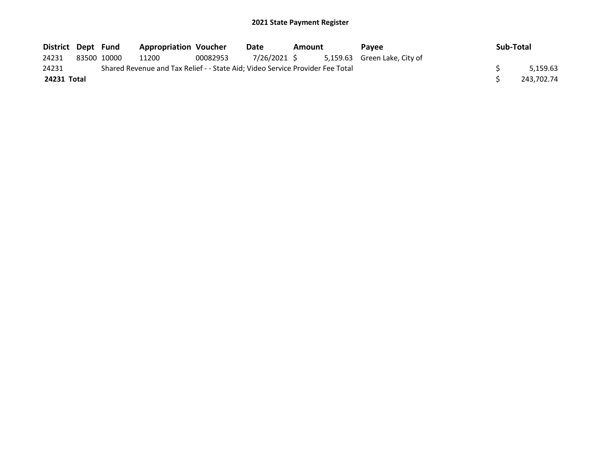| District Dept Fund |             | <b>Appropriation Voucher</b>                                                  |          | Date         | Amount | Pavee                        | Sub-Total |            |
|--------------------|-------------|-------------------------------------------------------------------------------|----------|--------------|--------|------------------------------|-----------|------------|
| 24231              | 83500 10000 | 11200                                                                         | 00082953 | 7/26/2021 \$ |        | 5,159.63 Green Lake, City of |           |            |
| 24231              |             | Shared Revenue and Tax Relief - - State Aid; Video Service Provider Fee Total |          |              |        |                              |           | 5.159.63   |
| 24231 Total        |             |                                                                               |          |              |        |                              |           | 243,702.74 |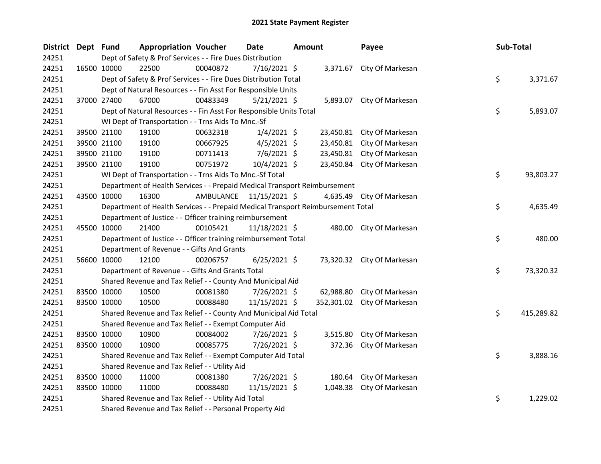| <b>District</b> | Dept Fund   |                                                                                 | <b>Appropriation Voucher</b> | <b>Date</b>             | <b>Amount</b> |            | Payee                      | Sub-Total        |
|-----------------|-------------|---------------------------------------------------------------------------------|------------------------------|-------------------------|---------------|------------|----------------------------|------------------|
| 24251           |             | Dept of Safety & Prof Services - - Fire Dues Distribution                       |                              |                         |               |            |                            |                  |
| 24251           |             | 22500<br>16500 10000                                                            | 00040872                     | 7/16/2021 \$            |               |            | 3,371.67 City Of Markesan  |                  |
| 24251           |             | Dept of Safety & Prof Services - - Fire Dues Distribution Total                 |                              |                         |               |            |                            | \$<br>3,371.67   |
| 24251           |             | Dept of Natural Resources - - Fin Asst For Responsible Units                    |                              |                         |               |            |                            |                  |
| 24251           |             | 67000<br>37000 27400                                                            | 00483349                     | $5/21/2021$ \$          |               |            | 5,893.07 City Of Markesan  |                  |
| 24251           |             | Dept of Natural Resources - - Fin Asst For Responsible Units Total              |                              |                         |               |            |                            | \$<br>5,893.07   |
| 24251           |             | WI Dept of Transportation - - Trns Aids To Mnc.-Sf                              |                              |                         |               |            |                            |                  |
| 24251           |             | 19100<br>39500 21100                                                            | 00632318                     | $1/4/2021$ \$           |               |            | 23,450.81 City Of Markesan |                  |
| 24251           |             | 39500 21100<br>19100                                                            | 00667925                     | $4/5/2021$ \$           |               | 23,450.81  | City Of Markesan           |                  |
| 24251           |             | 39500 21100<br>19100                                                            | 00711413                     | 7/6/2021 \$             |               |            | 23,450.81 City Of Markesan |                  |
| 24251           |             | 39500 21100<br>19100                                                            | 00751972                     | 10/4/2021 \$            |               |            | 23,450.84 City Of Markesan |                  |
| 24251           |             | WI Dept of Transportation - - Trns Aids To Mnc.-Sf Total                        |                              |                         |               |            |                            | \$<br>93,803.27  |
| 24251           |             | Department of Health Services - - Prepaid Medical Transport Reimbursement       |                              |                         |               |            |                            |                  |
| 24251           |             | 43500 10000<br>16300                                                            |                              | AMBULANCE 11/15/2021 \$ |               |            | 4,635.49 City Of Markesan  |                  |
| 24251           |             | Department of Health Services - - Prepaid Medical Transport Reimbursement Total |                              |                         |               |            |                            | \$<br>4,635.49   |
| 24251           |             | Department of Justice - - Officer training reimbursement                        |                              |                         |               |            |                            |                  |
| 24251           |             | 45500 10000<br>21400                                                            | 00105421                     | 11/18/2021 \$           |               |            | 480.00 City Of Markesan    |                  |
| 24251           |             | Department of Justice - - Officer training reimbursement Total                  |                              |                         |               |            |                            | \$<br>480.00     |
| 24251           |             | Department of Revenue - - Gifts And Grants                                      |                              |                         |               |            |                            |                  |
| 24251           |             | 56600 10000<br>12100                                                            | 00206757                     | $6/25/2021$ \$          |               |            | 73,320.32 City Of Markesan |                  |
| 24251           |             | Department of Revenue - - Gifts And Grants Total                                |                              |                         |               |            |                            | \$<br>73,320.32  |
| 24251           |             | Shared Revenue and Tax Relief - - County And Municipal Aid                      |                              |                         |               |            |                            |                  |
| 24251           | 83500 10000 | 10500                                                                           | 00081380                     | 7/26/2021 \$            |               | 62,988.80  | City Of Markesan           |                  |
| 24251           |             | 83500 10000<br>10500                                                            | 00088480                     | 11/15/2021 \$           |               | 352,301.02 | City Of Markesan           |                  |
| 24251           |             | Shared Revenue and Tax Relief - - County And Municipal Aid Total                |                              |                         |               |            |                            | \$<br>415,289.82 |
| 24251           |             | Shared Revenue and Tax Relief - - Exempt Computer Aid                           |                              |                         |               |            |                            |                  |
| 24251           |             | 83500 10000<br>10900                                                            | 00084002                     | 7/26/2021 \$            |               | 3,515.80   | City Of Markesan           |                  |
| 24251           |             | 83500 10000<br>10900                                                            | 00085775                     | 7/26/2021 \$            |               | 372.36     | City Of Markesan           |                  |
| 24251           |             | Shared Revenue and Tax Relief - - Exempt Computer Aid Total                     |                              |                         |               |            |                            | \$<br>3,888.16   |
| 24251           |             | Shared Revenue and Tax Relief - - Utility Aid                                   |                              |                         |               |            |                            |                  |
| 24251           |             | 83500 10000<br>11000                                                            | 00081380                     | 7/26/2021 \$            |               | 180.64     | City Of Markesan           |                  |
| 24251           |             | 83500 10000<br>11000                                                            | 00088480                     | 11/15/2021 \$           |               | 1,048.38   | City Of Markesan           |                  |
| 24251           |             | Shared Revenue and Tax Relief - - Utility Aid Total                             |                              |                         |               |            |                            | \$<br>1,229.02   |
| 24251           |             | Shared Revenue and Tax Relief - - Personal Property Aid                         |                              |                         |               |            |                            |                  |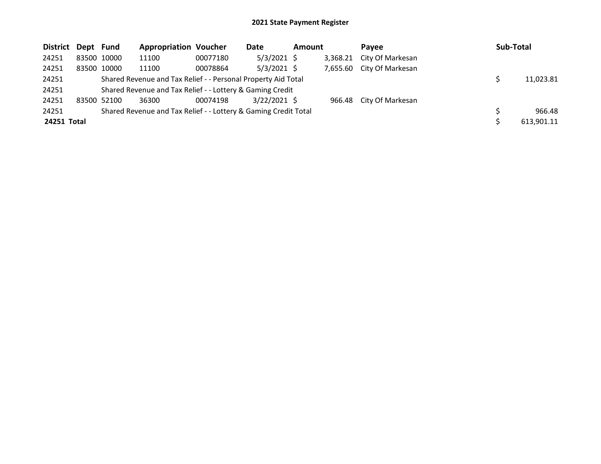| District Dept Fund |             | <b>Appropriation Voucher</b>                                    |          | Date           | <b>Amount</b> |          | <b>Pavee</b>            | Sub-Total  |
|--------------------|-------------|-----------------------------------------------------------------|----------|----------------|---------------|----------|-------------------------|------------|
| 24251              | 83500 10000 | 11100                                                           | 00077180 | $5/3/2021$ \$  |               | 3,368.21 | City Of Markesan        |            |
| 24251              | 83500 10000 | 11100                                                           | 00078864 | $5/3/2021$ \$  |               | 7,655.60 | City Of Markesan        |            |
| 24251              |             | Shared Revenue and Tax Relief - - Personal Property Aid Total   |          |                |               |          |                         | 11,023.81  |
| 24251              |             | Shared Revenue and Tax Relief - - Lottery & Gaming Credit       |          |                |               |          |                         |            |
| 24251              | 83500 52100 | 36300                                                           | 00074198 | $3/22/2021$ \$ |               |          | 966.48 City Of Markesan |            |
| 24251              |             | Shared Revenue and Tax Relief - - Lottery & Gaming Credit Total |          |                |               |          |                         | 966.48     |
| 24251 Total        |             |                                                                 |          |                |               |          |                         | 613,901.11 |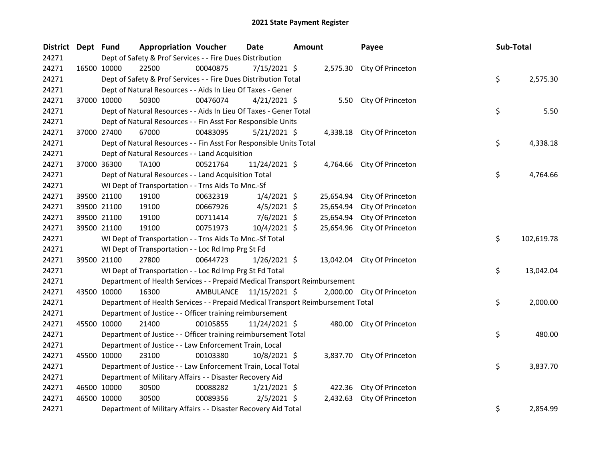| <b>District</b> | Dept Fund |                                                                                                   | <b>Appropriation Voucher</b>                                                         |          | Date                    | Amount |           | Payee                       |          | Sub-Total |            |  |  |
|-----------------|-----------|---------------------------------------------------------------------------------------------------|--------------------------------------------------------------------------------------|----------|-------------------------|--------|-----------|-----------------------------|----------|-----------|------------|--|--|
| 24271           |           | Dept of Safety & Prof Services - - Fire Dues Distribution                                         |                                                                                      |          |                         |        |           |                             |          |           |            |  |  |
| 24271           |           | 16500 10000                                                                                       | 22500                                                                                | 00040875 | 7/15/2021 \$            |        |           | 2,575.30 City Of Princeton  |          |           |            |  |  |
| 24271           |           | \$<br>Dept of Safety & Prof Services - - Fire Dues Distribution Total<br>2,575.30                 |                                                                                      |          |                         |        |           |                             |          |           |            |  |  |
| 24271           |           | Dept of Natural Resources - - Aids In Lieu Of Taxes - Gener                                       |                                                                                      |          |                         |        |           |                             |          |           |            |  |  |
| 24271           |           | 37000 10000                                                                                       | 50300                                                                                | 00476074 | $4/21/2021$ \$          |        |           | 5.50 City Of Princeton      |          |           |            |  |  |
| 24271           |           | \$<br>5.50<br>Dept of Natural Resources - - Aids In Lieu Of Taxes - Gener Total                   |                                                                                      |          |                         |        |           |                             |          |           |            |  |  |
| 24271           |           | Dept of Natural Resources - - Fin Asst For Responsible Units                                      |                                                                                      |          |                         |        |           |                             |          |           |            |  |  |
| 24271           |           | 37000 27400                                                                                       | 67000                                                                                | 00483095 | $5/21/2021$ \$          |        |           | 4,338.18 City Of Princeton  |          |           |            |  |  |
| 24271           |           |                                                                                                   | \$<br>Dept of Natural Resources - - Fin Asst For Responsible Units Total<br>4,338.18 |          |                         |        |           |                             |          |           |            |  |  |
| 24271           |           |                                                                                                   | Dept of Natural Resources - - Land Acquisition                                       |          |                         |        |           |                             |          |           |            |  |  |
| 24271           |           | 37000 36300                                                                                       | TA100                                                                                | 00521764 | 11/24/2021 \$           |        |           | 4,764.66 City Of Princeton  |          |           |            |  |  |
| 24271           |           |                                                                                                   | Dept of Natural Resources - - Land Acquisition Total                                 |          |                         |        |           |                             |          | \$.       | 4,764.66   |  |  |
| 24271           |           |                                                                                                   | WI Dept of Transportation - - Trns Aids To Mnc.-Sf                                   |          |                         |        |           |                             |          |           |            |  |  |
| 24271           |           | 39500 21100                                                                                       | 19100                                                                                | 00632319 | $1/4/2021$ \$           |        | 25,654.94 | City Of Princeton           |          |           |            |  |  |
| 24271           |           | 39500 21100                                                                                       | 19100                                                                                | 00667926 | $4/5/2021$ \$           |        | 25,654.94 | City Of Princeton           |          |           |            |  |  |
| 24271           |           | 39500 21100                                                                                       | 19100                                                                                | 00711414 | $7/6/2021$ \$           |        | 25,654.94 | City Of Princeton           |          |           |            |  |  |
| 24271           |           | 39500 21100                                                                                       | 19100                                                                                | 00751973 | 10/4/2021 \$            |        | 25,654.96 | City Of Princeton           |          |           |            |  |  |
| 24271           |           | WI Dept of Transportation - - Trns Aids To Mnc.-Sf Total                                          |                                                                                      |          |                         |        |           |                             |          |           | 102,619.78 |  |  |
| 24271           |           | \$.<br>WI Dept of Transportation - - Loc Rd Imp Prg St Fd                                         |                                                                                      |          |                         |        |           |                             |          |           |            |  |  |
| 24271           |           | 39500 21100                                                                                       | 27800                                                                                | 00644723 | $1/26/2021$ \$          |        |           | 13,042.04 City Of Princeton |          |           |            |  |  |
| 24271           |           | \$.<br>13,042.04<br>WI Dept of Transportation - - Loc Rd Imp Prg St Fd Total                      |                                                                                      |          |                         |        |           |                             |          |           |            |  |  |
| 24271           |           | Department of Health Services - - Prepaid Medical Transport Reimbursement                         |                                                                                      |          |                         |        |           |                             |          |           |            |  |  |
| 24271           |           | 43500 10000                                                                                       | 16300                                                                                |          | AMBULANCE 11/15/2021 \$ |        |           | 2,000.00 City Of Princeton  |          |           |            |  |  |
| 24271           |           | \$<br>Department of Health Services - - Prepaid Medical Transport Reimbursement Total<br>2,000.00 |                                                                                      |          |                         |        |           |                             |          |           |            |  |  |
| 24271           |           | Department of Justice - - Officer training reimbursement                                          |                                                                                      |          |                         |        |           |                             |          |           |            |  |  |
| 24271           |           | 45500 10000                                                                                       | 21400                                                                                | 00105855 | 11/24/2021 \$           |        |           | 480.00 City Of Princeton    |          |           |            |  |  |
| 24271           |           | \$<br>Department of Justice - - Officer training reimbursement Total<br>480.00                    |                                                                                      |          |                         |        |           |                             |          |           |            |  |  |
| 24271           |           | Department of Justice - - Law Enforcement Train, Local                                            |                                                                                      |          |                         |        |           |                             |          |           |            |  |  |
| 24271           |           | 45500 10000                                                                                       | 23100                                                                                | 00103380 | 10/8/2021 \$            |        |           | 3,837.70 City Of Princeton  |          |           |            |  |  |
| 24271           |           | \$.<br>3,837.70<br>Department of Justice - - Law Enforcement Train, Local Total                   |                                                                                      |          |                         |        |           |                             |          |           |            |  |  |
| 24271           |           | Department of Military Affairs - - Disaster Recovery Aid                                          |                                                                                      |          |                         |        |           |                             |          |           |            |  |  |
| 24271           |           | 46500 10000                                                                                       | 30500                                                                                | 00088282 | $1/21/2021$ \$          |        |           | 422.36 City Of Princeton    |          |           |            |  |  |
| 24271           |           | 46500 10000                                                                                       | 30500                                                                                | 00089356 | $2/5/2021$ \$           |        | 2,432.63  | City Of Princeton           |          |           |            |  |  |
| 24271           |           | \$<br>Department of Military Affairs - - Disaster Recovery Aid Total                              |                                                                                      |          |                         |        |           |                             | 2,854.99 |           |            |  |  |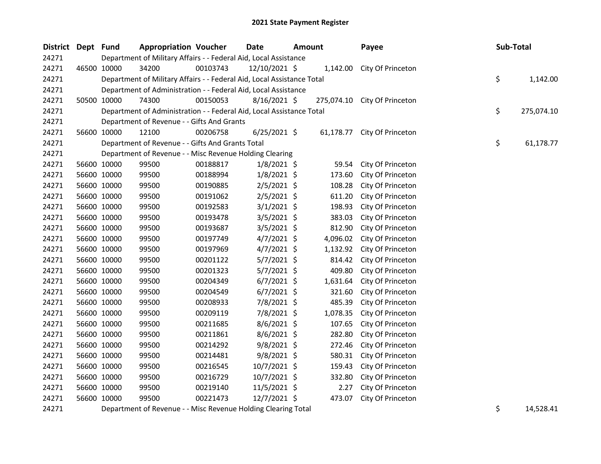| District Dept Fund |                                                                        | <b>Appropriation Voucher</b>                            |          | <b>Date</b>                                                                                                                                                                                                                       | <b>Amount</b> |           | Payee                        |  | Sub-Total |            |
|--------------------|------------------------------------------------------------------------|---------------------------------------------------------|----------|-----------------------------------------------------------------------------------------------------------------------------------------------------------------------------------------------------------------------------------|---------------|-----------|------------------------------|--|-----------|------------|
| 24271              | Department of Military Affairs - - Federal Aid, Local Assistance       |                                                         |          |                                                                                                                                                                                                                                   |               |           |                              |  |           |            |
| 24271              | 46500 10000                                                            | 34200                                                   | 00103743 | 12/10/2021 \$                                                                                                                                                                                                                     |               |           | 1,142.00 City Of Princeton   |  |           |            |
| 24271              | Department of Military Affairs - - Federal Aid, Local Assistance Total |                                                         |          |                                                                                                                                                                                                                                   |               |           |                              |  | \$        | 1,142.00   |
| 24271              | Department of Administration - - Federal Aid, Local Assistance         |                                                         |          |                                                                                                                                                                                                                                   |               |           |                              |  |           |            |
| 24271              | 50500 10000                                                            | 74300                                                   | 00150053 | $8/16/2021$ \$                                                                                                                                                                                                                    |               |           | 275,074.10 City Of Princeton |  |           |            |
| 24271              | Department of Administration - - Federal Aid, Local Assistance Total   |                                                         |          |                                                                                                                                                                                                                                   |               |           |                              |  | \$        | 275,074.10 |
| 24271              | Department of Revenue - - Gifts And Grants                             |                                                         |          |                                                                                                                                                                                                                                   |               |           |                              |  |           |            |
| 24271              | 56600 10000                                                            | 12100                                                   | 00206758 | $6/25/2021$ \$                                                                                                                                                                                                                    |               | 61,178.77 | City Of Princeton            |  |           |            |
| 24271              |                                                                        | Department of Revenue - - Gifts And Grants Total        |          |                                                                                                                                                                                                                                   |               |           |                              |  | \$        | 61,178.77  |
| 24271              |                                                                        | Department of Revenue - - Misc Revenue Holding Clearing |          |                                                                                                                                                                                                                                   |               |           |                              |  |           |            |
| 24271              | 56600 10000                                                            | 99500                                                   | 00188817 | $1/8/2021$ \$                                                                                                                                                                                                                     |               | 59.54     | City Of Princeton            |  |           |            |
| 24271              | 56600 10000                                                            | 99500                                                   | 00188994 | $1/8/2021$ \$                                                                                                                                                                                                                     |               | 173.60    | City Of Princeton            |  |           |            |
| 24271              | 56600 10000                                                            | 99500                                                   | 00190885 | $2/5/2021$ \$                                                                                                                                                                                                                     |               | 108.28    | City Of Princeton            |  |           |            |
| 24271              | 56600 10000                                                            | 99500                                                   | 00191062 | $2/5/2021$ \$                                                                                                                                                                                                                     |               | 611.20    | City Of Princeton            |  |           |            |
| 24271              | 56600 10000                                                            | 99500                                                   | 00192583 | $3/1/2021$ \$                                                                                                                                                                                                                     |               | 198.93    | City Of Princeton            |  |           |            |
| 24271              | 56600 10000                                                            | 99500                                                   | 00193478 | $3/5/2021$ \$                                                                                                                                                                                                                     |               | 383.03    | City Of Princeton            |  |           |            |
| 24271              | 56600 10000                                                            | 99500                                                   | 00193687 | $3/5/2021$ \$                                                                                                                                                                                                                     |               | 812.90    | City Of Princeton            |  |           |            |
| 24271              | 56600 10000                                                            | 99500                                                   | 00197749 | $4/7/2021$ \$                                                                                                                                                                                                                     |               | 4,096.02  | City Of Princeton            |  |           |            |
| 24271              | 56600 10000                                                            | 99500                                                   | 00197969 | $4/7/2021$ \$                                                                                                                                                                                                                     |               | 1,132.92  | City Of Princeton            |  |           |            |
| 24271              | 56600 10000                                                            | 99500                                                   | 00201122 | $5/7/2021$ \$                                                                                                                                                                                                                     |               | 814.42    | City Of Princeton            |  |           |            |
| 24271              | 56600 10000                                                            | 99500                                                   | 00201323 | $5/7/2021$ \$                                                                                                                                                                                                                     |               | 409.80    | City Of Princeton            |  |           |            |
| 24271              | 56600 10000                                                            | 99500                                                   | 00204349 | $6/7/2021$ \$                                                                                                                                                                                                                     |               | 1,631.64  | City Of Princeton            |  |           |            |
| 24271              | 56600 10000                                                            | 99500                                                   | 00204549 | $6/7/2021$ \$                                                                                                                                                                                                                     |               | 321.60    | City Of Princeton            |  |           |            |
| 24271              | 56600 10000                                                            | 99500                                                   | 00208933 | 7/8/2021 \$                                                                                                                                                                                                                       |               | 485.39    | City Of Princeton            |  |           |            |
| 24271              | 56600 10000                                                            | 99500                                                   | 00209119 | 7/8/2021 \$                                                                                                                                                                                                                       |               | 1,078.35  | City Of Princeton            |  |           |            |
| 24271              | 56600 10000                                                            | 99500                                                   | 00211685 | $8/6/2021$ \$                                                                                                                                                                                                                     |               | 107.65    | City Of Princeton            |  |           |            |
| 24271              | 56600 10000                                                            | 99500                                                   | 00211861 | $8/6/2021$ \$                                                                                                                                                                                                                     |               | 282.80    | City Of Princeton            |  |           |            |
| 24271              | 56600 10000                                                            | 99500                                                   | 00214292 | $9/8/2021$ \$                                                                                                                                                                                                                     |               | 272.46    | City Of Princeton            |  |           |            |
| 24271              | 56600 10000                                                            | 99500                                                   | 00214481 | $9/8/2021$ \$                                                                                                                                                                                                                     |               | 580.31    | City Of Princeton            |  |           |            |
| 24271              | 56600 10000                                                            | 99500                                                   | 00216545 | 10/7/2021 \$                                                                                                                                                                                                                      |               | 159.43    | City Of Princeton            |  |           |            |
| 24271              | 56600 10000                                                            | 99500                                                   | 00216729 | 10/7/2021 \$                                                                                                                                                                                                                      |               | 332.80    | City Of Princeton            |  |           |            |
| 24271              | 56600 10000                                                            | 99500                                                   | 00219140 | $11/5/2021$ \$                                                                                                                                                                                                                    |               | 2.27      | City Of Princeton            |  |           |            |
| 24271              | 56600 10000                                                            | 99500                                                   | 00221473 | 12/7/2021 \$                                                                                                                                                                                                                      |               | 473.07    | City Of Princeton            |  |           |            |
|                    |                                                                        | $\sim$ $\sim$                                           |          | $\mathbf{r}$ . The state of the state of the state of the state of the state of the state of the state of the state of the state of the state of the state of the state of the state of the state of the state of the state of th |               |           |                              |  |           |            |

24271 Department of Revenue - - Misc Revenue Holding Clearing Total **14528.41** Superior 3 and 24271